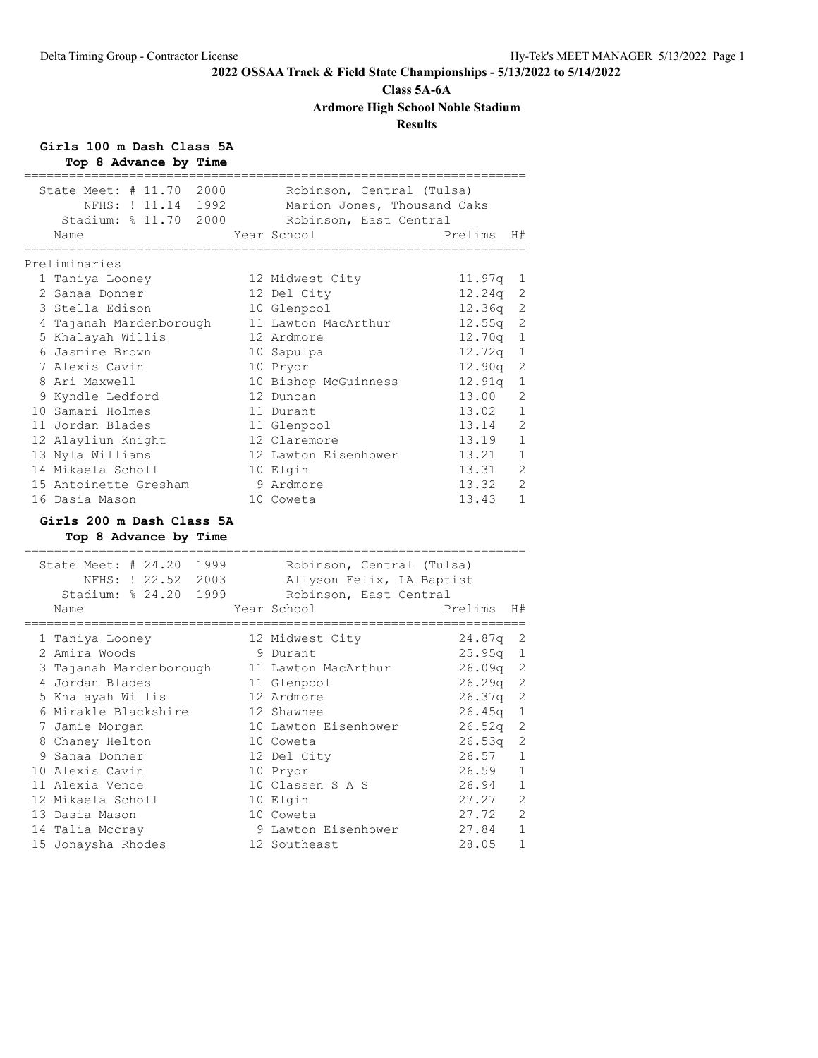### **Class 5A-6A**

**Ardmore High School Noble Stadium**

# **Results**

**Girls 100 m Dash Class 5A**

**Top 8 Advance by Time**

| Name           | State Meet: $\#$ 11.70<br>NFHS: ! 11.14 1992<br>Stadium: % 11.70 2000 | 2000 | Robinson, Central (Tulsa)<br>Marion Jones, Thousand Oaks<br>Robinson, East Central<br>Year School | Prelims<br>H#                        |
|----------------|-----------------------------------------------------------------------|------|---------------------------------------------------------------------------------------------------|--------------------------------------|
|                |                                                                       |      | ===========                                                                                       |                                      |
| Preliminaries  |                                                                       |      |                                                                                                   |                                      |
|                | 1 Taniya Looney                                                       |      | 12 Midwest City                                                                                   | 11.97q<br>1                          |
|                | 2 Sanaa Donner                                                        |      | 12 Del City                                                                                       | 12.24q<br>2                          |
|                | 3 Stella Edison                                                       |      | 10 Glenpool                                                                                       | 2<br>12.36q                          |
|                | 4 Tajanah Mardenborough                                               |      | 11 Lawton MacArthur                                                                               | 12.55q<br>2                          |
|                | 5 Khalayah Willis                                                     |      | 12 Ardmore                                                                                        | 12.70q<br>1                          |
|                | 6 Jasmine Brown                                                       |      | 10 Sapulpa                                                                                        | $\mathbf 1$<br>12.72q                |
|                | 7 Alexis Cavin                                                        |      | 10 Pryor                                                                                          | 12.90q<br>2                          |
|                | 8 Ari Maxwell                                                         |      | 10 Bishop McGuinness                                                                              | 12.91q<br>1                          |
|                | 9 Kyndle Ledford                                                      |      | 12 Duncan                                                                                         | $\overline{2}$<br>13.00              |
|                | 10 Samari Holmes                                                      |      | 11 Durant                                                                                         | 13.02<br>$\mathbf{1}$                |
|                | 11 Jordan Blades                                                      |      | 11 Glenpool                                                                                       | 2<br>13.14                           |
|                | 12 Alayliun Knight                                                    |      | 12 Claremore                                                                                      | 13.19<br>$\mathbf{1}$                |
|                | 13 Nyla Williams                                                      |      | 12 Lawton Eisenhower                                                                              | 13.21<br>1                           |
|                | 14 Mikaela Scholl                                                     |      | 10 Elgin                                                                                          | $\overline{2}$<br>13.31              |
|                | 15 Antoinette Gresham                                                 |      | 9 Ardmore                                                                                         | 13.32<br>2                           |
|                | 16 Dasia Mason                                                        |      | 10 Coweta                                                                                         | 13.43<br>$\mathbf{1}$                |
|                |                                                                       |      |                                                                                                   |                                      |
|                | Girls 200 m Dash Class 5A                                             |      |                                                                                                   |                                      |
|                | Top 8 Advance by Time                                                 |      |                                                                                                   |                                      |
|                | State Meet: $# 24.20$                                                 | 1999 | Robinson, Central (Tulsa)                                                                         |                                      |
|                | NFHS: ! 22.52 2003                                                    |      | Allyson Felix, LA Baptist                                                                         |                                      |
|                | Stadium: % 24.20 1999                                                 |      |                                                                                                   |                                      |
|                |                                                                       |      |                                                                                                   |                                      |
|                |                                                                       |      | Robinson, East Central                                                                            |                                      |
| Name           | --------------                                                        |      | Year School                                                                                       | Prelims<br>H#<br>_______             |
|                |                                                                       |      |                                                                                                   |                                      |
|                | 1 Taniya Looney                                                       |      | 12 Midwest City                                                                                   | 24.87q<br>2                          |
|                | 2 Amira Woods                                                         |      | 9 Durant                                                                                          | 25.95q<br>1                          |
|                | 3 Tajanah Mardenborough                                               |      | 11 Lawton MacArthur                                                                               | 2<br>26.09q                          |
|                | 4 Jordan Blades                                                       |      | 11 Glenpool                                                                                       | 2<br>26.29q                          |
|                | 5 Khalayah Willis                                                     |      | 12 Ardmore                                                                                        | 2<br>26.37q                          |
|                | 6 Mirakle Blackshire                                                  |      | 12 Shawnee                                                                                        | 26.45q<br>1                          |
|                | 7 Jamie Morgan                                                        |      | 10 Lawton Eisenhower                                                                              | 26.52q<br>2                          |
|                | 8 Chaney Helton                                                       |      | 10 Coweta                                                                                         | 2<br>26.53q                          |
|                | 9 Sanaa Donner                                                        |      | 12 Del City                                                                                       | 26.57<br>1                           |
|                | 10 Alexis Cavin                                                       |      | 10 Pryor                                                                                          | 26.59<br>$\mathbf 1$                 |
|                | 11 Alexia Vence                                                       |      | 10 Classen S A S                                                                                  | 26.94<br>1                           |
|                | 12 Mikaela Scholl                                                     |      | 10 Elgin                                                                                          | 2<br>27.27                           |
| 13 Dasia Mason |                                                                       |      | 10 Coweta                                                                                         | 2<br>27.72                           |
|                | 14 Talia Mccray                                                       |      | 9 Lawton Eisenhower                                                                               | $\mathbf 1$<br>27.84<br>$\mathbf{1}$ |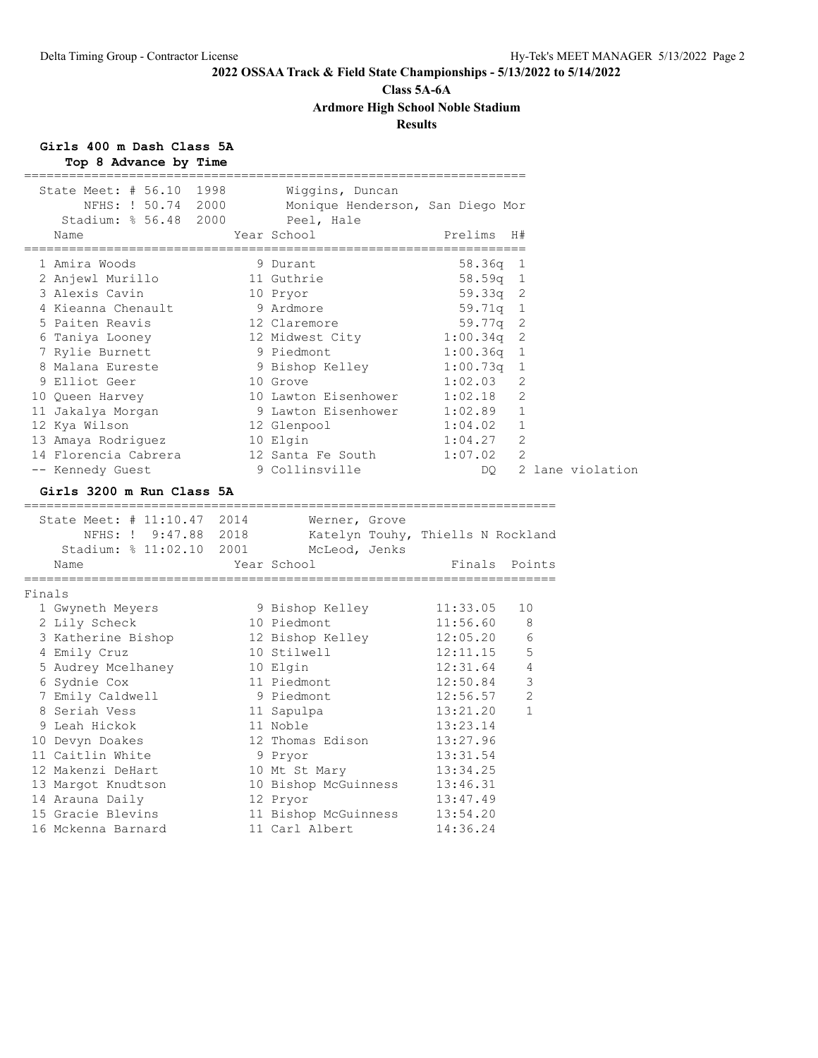# **Class 5A-6A Ardmore High School Noble Stadium**

# **Results**

# **Girls 400 m Dash Class 5A**

|        | Top 8 Advance by Time                                                                                                                    |             |                                                                                               |                                        |                     |
|--------|------------------------------------------------------------------------------------------------------------------------------------------|-------------|-----------------------------------------------------------------------------------------------|----------------------------------------|---------------------|
|        | State Meet: # 56.10 1998<br>Stadium: % 56.48 2000 Peel, Hale                                                                             |             | Wiggins, Duncan<br>NFHS: ! 50.74 2000 Monique Henderson, San Diego Mor                        |                                        |                     |
|        | Name                                                                                                                                     | Year School |                                                                                               | Prelims H#                             |                     |
|        | 1 Amira Woods                                                                                                                            |             | 9 Durant                                                                                      | $58.36q$ 1                             |                     |
|        | 2 Anjewl Murillo 11 Guthrie                                                                                                              |             |                                                                                               | 58.59q 1                               |                     |
|        | 3 Alexis Cavin                                                                                                                           |             | 10 Pryor                                                                                      |                                        |                     |
|        | 4 Kieanna Chenault                                                                                                                       |             | 9 Ardmore                                                                                     | 59.33q 2<br>59.71q 1                   |                     |
|        | 5 Paiten Reavis                                                                                                                          |             |                                                                                               |                                        |                     |
|        | 6 Taniya Looney                                                                                                                          |             |                                                                                               |                                        |                     |
|        | 7 Rylie Burnett                                                                                                                          |             | 12 Claremore<br>12 Midwest City<br>9 Piedmont                                                 | $59.77q$ 2<br>1:00.34q 2<br>1:00.36q 1 |                     |
|        | 8 Malana Eureste                                                                                                                         |             |                                                                                               |                                        | 1                   |
|        | 9 Elliot Geer                                                                                                                            |             | 9 Bishop Kelley 1:00.73q<br>10 Grove 1:02.03                                                  |                                        | 2                   |
|        | 10 Queen Harvey                                                                                                                          |             | 10 Lawton Eisenhower 1:02.18                                                                  |                                        | 2                   |
|        | 11 Jakalya Morgan                                                                                                                        |             |                                                                                               |                                        | 1                   |
|        | 12 Kya Wilson                                                                                                                            |             | 9 Lawton Eisenhower 1:02.89<br>12 Glenpool 1:04.02                                            | 1:04.02 1                              |                     |
|        |                                                                                                                                          |             |                                                                                               | $1:04.27$ 2                            |                     |
|        | 13 Amaya Rodriguez 10 Elgin<br>14 Florencia Cabrera 12 Santa Fe South                                                                    |             |                                                                                               | 1:07.02                                | - 2                 |
|        | 14 Florencia Cabrera 12 Santa Fe South<br>-- Kennedy Guest 9 Collinsville                                                                |             |                                                                                               |                                        | DO 2 lane violation |
|        | Girls 3200 m Run Class 5A                                                                                                                |             |                                                                                               |                                        |                     |
|        | ======================================                                                                                                   |             |                                                                                               |                                        |                     |
|        | State Meet: # 11:10.47 2014                                                                                                              |             | Meet: # 11:10.47 2014 Werner, Grove<br>NFHS: ! 9:47.88 2018 Katelyn Touhy, Thiells N Rockland |                                        |                     |
|        |                                                                                                                                          |             | Stadium: % 11:02.10 2001 McLeod, Jenks                                                        |                                        |                     |
|        | Name                                                                                                                                     | Year School |                                                                                               | Finals Points                          |                     |
|        |                                                                                                                                          |             |                                                                                               |                                        |                     |
| Finals |                                                                                                                                          |             |                                                                                               |                                        |                     |
|        | 1 Gwyneth Meyers                                                                                                                         |             | 9 Bishop Kelley<br>10 Piedmont                                                                | 11:33.05                               | 10                  |
|        | 2 Lily Scheck                                                                                                                            |             |                                                                                               | 11:56.60                               | - 8                 |
|        | 3 Katherine Bishop                                                                                                                       |             | 12 Bishop Kelley<br>10 Stilwell                                                               | 12:05.20<br>12:11.15                   | 6                   |
|        | 4 Emily Cruz                                                                                                                             |             |                                                                                               |                                        | 5                   |
|        |                                                                                                                                          |             |                                                                                               | $12:31.64$ 4                           |                     |
|        | 5 Audrey Mcelhaney 10 Elgin<br>6 Sydnie Cox 11 Piedmont<br>7 Emily Caldwell 9 Piedmont                                                   |             |                                                                                               | 12:50.84                               | 3                   |
|        | 7 Emily Caldwell                                                                                                                         |             |                                                                                               | 12:56.57                               | 2                   |
|        | 8 Seriah Vess                                                                                                                            |             | 11 Sapulpa<br>11 Noble                                                                        | 13:21.20                               | $\mathbf{1}$        |
|        | 9 Leah Hickok                                                                                                                            |             |                                                                                               | 13:23.14                               |                     |
|        | 10 Devyn Doakes                                                                                                                          |             | 12 Thomas Edison                                                                              | 13:27.96                               |                     |
|        | 11 Caitlin White                                                                                                                         |             | 9 Pryor<br>10 Mt St Mary                                                                      | 13:31.54                               |                     |
|        | 12 Makenzi DeHart                                                                                                                        |             |                                                                                               | 13:34.25                               |                     |
|        | 13 Margot Knudtson 10 Bishop McGuinness 13:46.31<br>14 Arauna Daily 12 Pryor 13:47.49<br>15 Gracie Blevins 11 Bishop McGuinness 13:54.20 |             |                                                                                               |                                        |                     |
|        |                                                                                                                                          |             |                                                                                               |                                        |                     |
|        |                                                                                                                                          |             |                                                                                               |                                        |                     |
|        | 16 Mckenna Barnard                                                                                                                       |             | 11 Carl Albert                                                                                | 14:36.24                               |                     |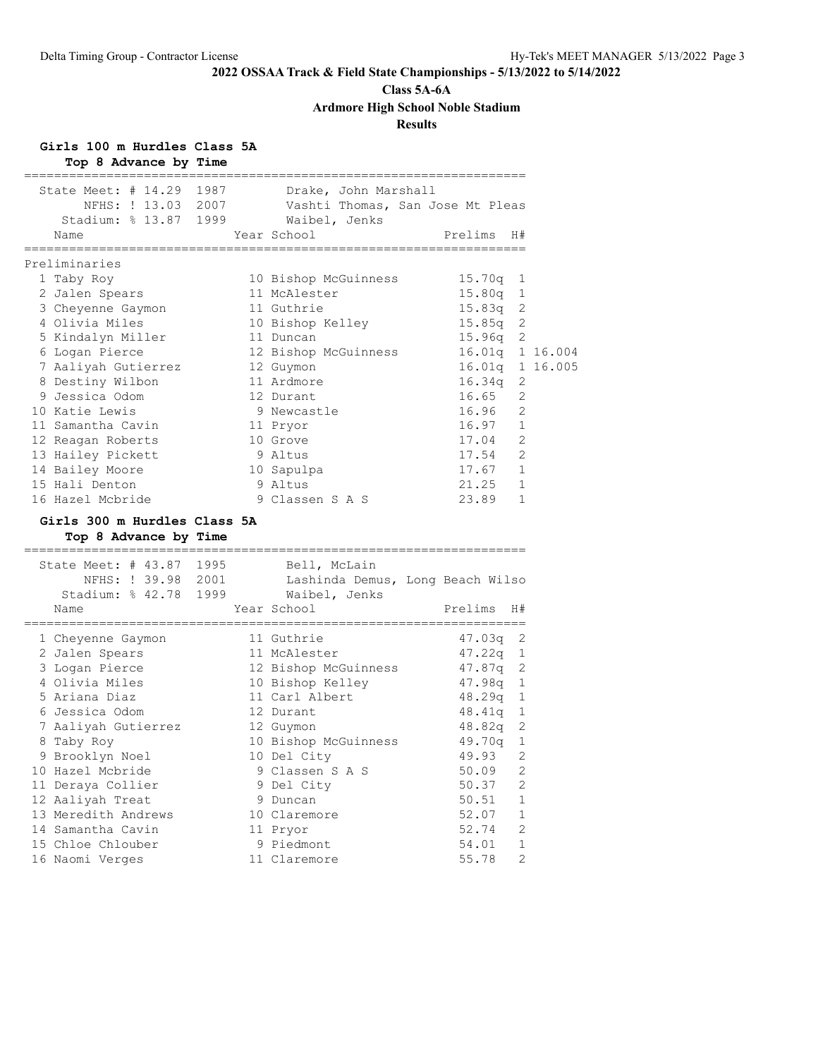# **Class 5A-6A**

**Ardmore High School Noble Stadium**

# **Results**

**Girls 100 m Hurdles Class 5A**

| Top 8 Advance by Time                                                            |      |                                                                   |                                    |             |  |
|----------------------------------------------------------------------------------|------|-------------------------------------------------------------------|------------------------------------|-------------|--|
| State Meet: $\#$ 14.29                                                           | 1987 | Drake, John Marshall                                              |                                    |             |  |
| NFHS: ! 13.03 2007                                                               |      | Vashti Thomas, San Jose Mt Pleas                                  |                                    |             |  |
| Stadium: % 13.87 1999                                                            |      | Waibel, Jenks                                                     |                                    |             |  |
| Name                                                                             |      | Year School<br>,,,,,,,,,,,,,,,,,,,,,,,                            | Prelims<br>======================= | H#          |  |
| ---------------------<br>Preliminaries                                           |      |                                                                   |                                    |             |  |
| 1 Taby Roy                                                                       |      | 10 Bishop McGuinness                                              | 15.70q                             | 1           |  |
| 2 Jalen Spears                                                                   |      | 11 McAlester                                                      | 15.80q                             | 1           |  |
| 3 Cheyenne Gaymon                                                                |      | 11 Guthrie                                                        | 15.83q                             | 2           |  |
| 4 Olivia Miles                                                                   |      | 10 Bishop Kelley                                                  | 15.85q                             | 2           |  |
| 5 Kindalyn Miller                                                                |      | 11 Duncan                                                         | 15.96q                             | 2           |  |
| 6 Logan Pierce                                                                   |      | 12 Bishop McGuinness                                              | 16.01q 1 16.004                    |             |  |
| 7 Aaliyah Gutierrez                                                              |      | 12 Guymon                                                         | 16.01q 1 16.005                    |             |  |
| 8 Destiny Wilbon                                                                 |      | 11 Ardmore                                                        | 16.34q                             | 2           |  |
| 9 Jessica Odom                                                                   |      | 12 Durant                                                         | 16.65                              | 2           |  |
| 10 Katie Lewis                                                                   |      | 9 Newcastle                                                       | 16.96                              | 2           |  |
| 11 Samantha Cavin                                                                |      | 11 Pryor                                                          | 16.97                              | 1           |  |
| 12 Reagan Roberts                                                                |      | 10 Grove                                                          | 17.04                              | 2           |  |
| 13 Hailey Pickett                                                                |      | 9 Altus                                                           | 17.54                              | 2           |  |
| 14 Bailey Moore                                                                  |      | 10 Sapulpa                                                        | 17.67                              | 1           |  |
| 15 Hali Denton                                                                   |      | 9 Altus                                                           | 21.25                              | 1           |  |
| 16 Hazel Mcbride                                                                 |      | 9 Classen S A S                                                   | 23.89                              | 1           |  |
| Girls 300 m Hurdles Class 5A<br>Top 8 Advance by Time<br>;====================== |      |                                                                   |                                    |             |  |
| State Meet: # 43.87 1995<br>NFHS: ! 39.98 2001<br>Stadium: % 42.78               | 1999 | Bell, McLain<br>Lashinda Demus, Long Beach Wilso<br>Waibel, Jenks |                                    |             |  |
| Name                                                                             |      | Year School                                                       | Prelims                            | H#          |  |
| 1 Cheyenne Gaymon                                                                |      | .=================<br>11 Guthrie                                  | ----------------<br>47.03q         | 2           |  |
| 2 Jalen Spears                                                                   |      | 11 McAlester                                                      | 47.22q                             | 1           |  |
| 3 Logan Pierce                                                                   |      | 12 Bishop McGuinness                                              | 47.87q                             | 2           |  |
| 4 Olivia Miles                                                                   |      | 10 Bishop Kelley                                                  | 47.98q 1                           |             |  |
| 5 Ariana Diaz                                                                    |      | 11 Carl Albert                                                    | $48.29q$ 1                         |             |  |
| 6 Jessica Odom                                                                   |      | 12 Durant                                                         | $48.41q$ 1                         |             |  |
| 7 Aaliyah Gutierrez                                                              |      | 12 Guymon                                                         | 48.82q 2                           |             |  |
| 8 Taby Roy                                                                       |      | 10 Bishop McGuinness                                              | 49.70q                             | 1           |  |
| 9 Brooklyn Noel                                                                  |      | 10 Del City                                                       | 49.93                              | 2           |  |
| 10 Hazel Mcbride                                                                 |      | 9 Classen S A S                                                   | 50.09                              | 2           |  |
| 11 Deraya Collier                                                                |      | 9 Del City                                                        | 50.37                              | 2           |  |
| 12 Aaliyah Treat                                                                 |      | 9 Duncan                                                          | 50.51                              | $\mathbf 1$ |  |
| 13 Meredith Andrews                                                              |      | 10 Claremore                                                      | 52.07                              | $\mathbf 1$ |  |
| 14 Samantha Cavin                                                                |      | 11 Pryor                                                          | 52.74                              | 2           |  |
| 15 Chloe Chlouber                                                                |      | 9 Piedmont                                                        | 54.01                              | $\mathbf 1$ |  |
| 16 Naomi Verges                                                                  |      | 11 Claremore                                                      | 55.78                              | 2           |  |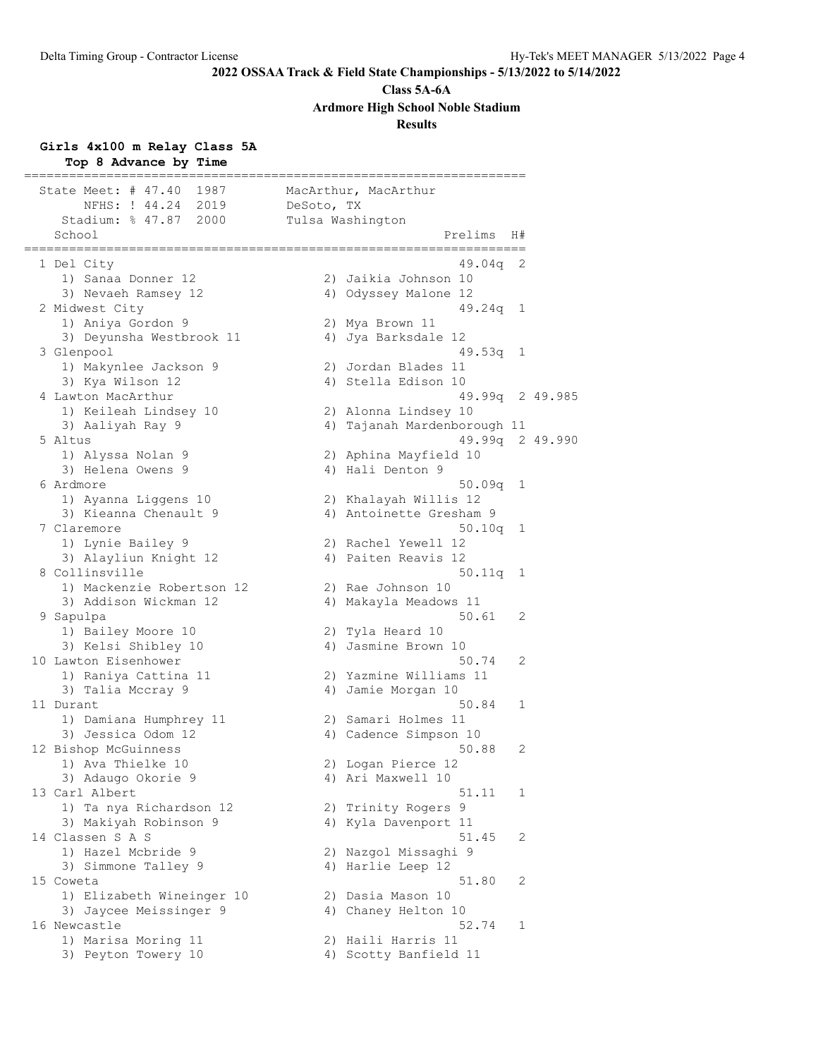**Class 5A-6A**

**Ardmore High School Noble Stadium**

**Results**

#### **Girls 4x100 m Relay Class 5A**

**Top 8 Advance by Time** =================================================================== State Meet: # 47.40 1987 MacArthur, MacArthur NFHS: ! 44.24 2019 DeSoto, TX Stadium: % 47.87 2000 Tulsa Washington School Prelims H# =================================================================== 1 Del City 49.04q 2 1) Sanaa Donner 12 2) Jaikia Johnson 10 3) Nevaeh Ramsey 12  $\hskip1cm$  4) Odyssey Malone 12 2 Midwest City 49.24q 1 1) Aniya Gordon 9 2) Mya Brown 11 3) Deyunsha Westbrook 11  $\hskip1cm 4)$  Jya Barksdale 12 3 Glenpool 49.53q 1 1) Makynlee Jackson 9 2) Jordan Blades 11 3) Kya Wilson 12 4) Stella Edison 10 4 Lawton MacArthur 49.99q 2 49.985 1) Keileah Lindsey 10 2) Alonna Lindsey 10 3) Aaliyah Ray 9 4) Tajanah Mardenborough 11 5 Altus 49.99q 2 49.990 1) Alyssa Nolan 9 2) Aphina Mayfield 10 3) Helena Owens 9 (4) Hali Denton 9 6 Ardmore 50.09q 1 1) Ayanna Liggens 10 2) Khalayah Willis 12 3) Kieanna Chenault 9 4) Antoinette Gresham 9 7 Claremore 50.10q 1 1) Lynie Bailey 9 2) Rachel Yewell 12 3) Alayliun Knight 12 4) Paiten Reavis 12 8 Collinsville 50.11q 1 1) Mackenzie Robertson 12 2) Rae Johnson 10 3) Addison Wickman 12 4) Makayla Meadows 11 9 Sapulpa 50.61 2 1) Bailey Moore 10 2) Tyla Heard 10 3) Kelsi Shibley 10 4) Jasmine Brown 10 10 Lawton Eisenhower 50.74 2 1) Raniya Cattina 11 2) Yazmine Williams 11 3) Talia Mccray 9 1920 12:00 Mamie Morgan 10 11 Durant 50.84 1 1) Damiana Humphrey 11 2) Samari Holmes 11 3) Jessica Odom 12 4) Cadence Simpson 10 12 Bishop McGuinness 50.88 2 1) Ava Thielke 10 2) Logan Pierce 12 3) Adaugo Okorie 9 1988 - 40 Ari Maxwell 10 13 Carl Albert 51.11 1 1) Ta nya Richardson 12 2) Trinity Rogers 9 3) Makiyah Robinson 9 4) Kyla Davenport 11 14 Classen S A S 51.45 2 1) Hazel Mcbride 9 2) Nazgol Missaghi 9 3) Simmone Talley 9 4) Harlie Leep 12 15 Coweta 51.80 2 1) Elizabeth Wineinger 10 2) Dasia Mason 10 3) Jaycee Meissinger 9 4) Chaney Helton 10 16 Newcastle 52.74 1 1) Marisa Moring 11 2) Haili Harris 11 3) Peyton Towery 10 4) Scotty Banfield 11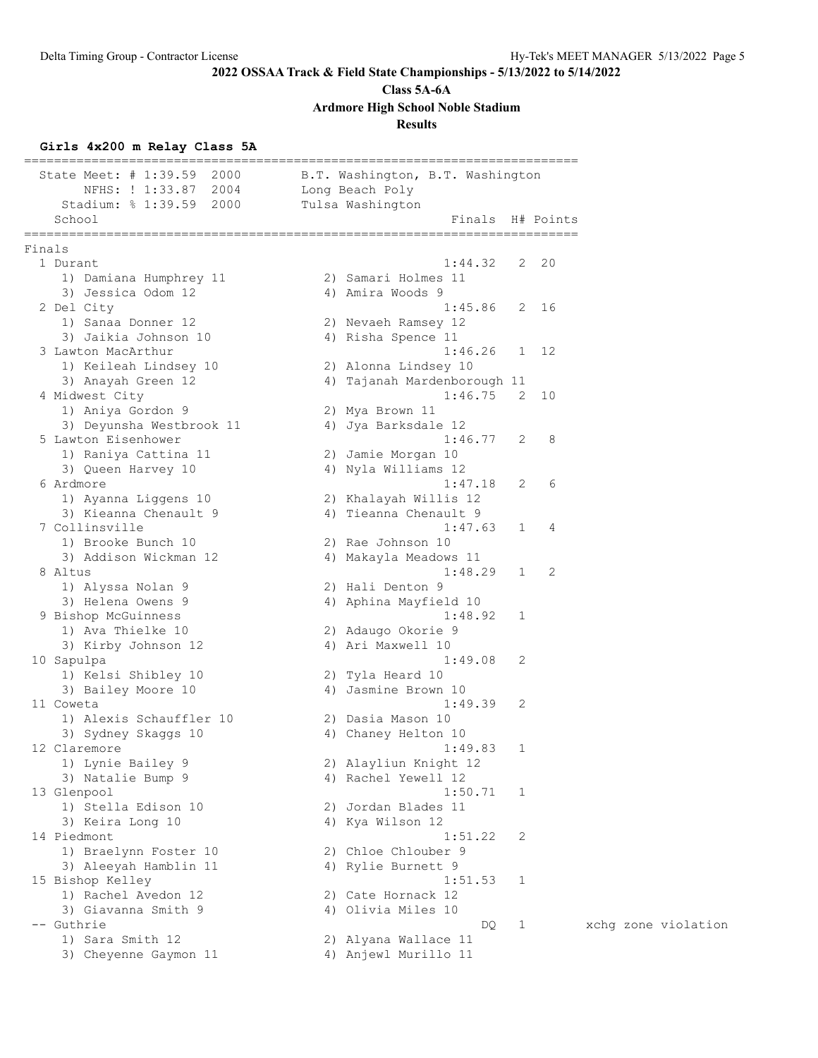**Class 5A-6A**

**Ardmore High School Noble Stadium**

# **Results**

# **Girls 4x200 m Relay Class 5A**

| State Meet: $\#$ 1:39.59<br>2000<br>2004<br>NFHS: ! 1:33.87 | B.T. Washington, B.T. Washington<br>Long Beach Poly             |
|-------------------------------------------------------------|-----------------------------------------------------------------|
| Stadium: % 1:39.59 2000<br>School                           | Tulsa Washington<br>Finals H# Points<br>----------------------- |
| Finals                                                      |                                                                 |
| 1 Durant                                                    | 1:44.32<br>2 20                                                 |
| 1) Damiana Humphrey 11                                      | 2) Samari Holmes 11                                             |
| 3) Jessica Odom 12                                          | 4) Amira Woods 9<br>2 16                                        |
| 2 Del City<br>1) Sanaa Donner 12                            | 1:45.86                                                         |
| 3) Jaikia Johnson 10                                        | 2) Nevaeh Ramsey 12<br>4) Risha Spence 11                       |
| 3 Lawton MacArthur                                          | 1:46.26<br>1 12                                                 |
| 1) Keileah Lindsey 10                                       | 2) Alonna Lindsey 10                                            |
| 3) Anayah Green 12                                          | 4) Tajanah Mardenborough 11                                     |
| 4 Midwest City                                              | 1:46.75<br>2 10                                                 |
| 1) Aniya Gordon 9                                           | 2) Mya Brown 11                                                 |
| 3) Deyunsha Westbrook 11                                    | 4) Jya Barksdale 12                                             |
| 5 Lawton Eisenhower                                         | 8<br>1:46.77<br>2                                               |
| 1) Raniya Cattina 11                                        | 2) Jamie Morgan 10                                              |
| 3) Queen Harvey 10                                          | 4) Nyla Williams 12                                             |
| 6 Ardmore                                                   | 1:47.18<br>6<br>2                                               |
| 1) Ayanna Liggens 10                                        | 2) Khalayah Willis 12                                           |
| 3) Kieanna Chenault 9<br>7 Collinsville                     | 4) Tieanna Chenault 9<br>1:47.63<br>4<br>1                      |
| 1) Brooke Bunch 10                                          | 2) Rae Johnson 10                                               |
| 3) Addison Wickman 12                                       | 4) Makayla Meadows 11                                           |
| 8 Altus                                                     | 1:48.29<br>2<br>1                                               |
| 1) Alyssa Nolan 9                                           | 2) Hali Denton 9                                                |
| 3) Helena Owens 9                                           | 4) Aphina Mayfield 10                                           |
| 9 Bishop McGuinness                                         | 1:48.92<br>1                                                    |
| 1) Ava Thielke 10                                           | 2) Adaugo Okorie 9                                              |
| 3) Kirby Johnson 12                                         | 4) Ari Maxwell 10                                               |
| 10 Sapulpa                                                  | 1:49.08<br>2                                                    |
| 1) Kelsi Shibley 10                                         | 2) Tyla Heard 10                                                |
| 3) Bailey Moore 10                                          | 4) Jasmine Brown 10                                             |
| 11 Coweta                                                   | 1:49.39<br>2                                                    |
| 1) Alexis Schauffler 10                                     | 2) Dasia Mason 10                                               |
| 3) Sydney Skaggs 10<br>12 Claremore                         | 4) Chaney Helton 10<br>1:49.83<br>1                             |
| 1) Lynie Bailey 9                                           | 2) Alayliun Knight 12                                           |
| 3) Natalie Bump 9                                           | 4) Rachel Yewell 12                                             |
| 13 Glenpool                                                 | 1:50.71<br>1                                                    |
| 1) Stella Edison 10                                         | 2) Jordan Blades 11                                             |
| 3) Keira Long 10                                            | 4) Kya Wilson 12                                                |
| 14 Piedmont                                                 | 1:51.22<br>2                                                    |
| 1) Braelynn Foster 10                                       | 2) Chloe Chlouber 9                                             |
| 3) Aleeyah Hamblin 11                                       | 4) Rylie Burnett 9                                              |
| 15 Bishop Kelley                                            | 1:51.53<br>1                                                    |
| 1) Rachel Avedon 12                                         | 2) Cate Hornack 12                                              |
| 3) Giavanna Smith 9                                         | 4) Olivia Miles 10                                              |
| -- Guthrie                                                  | xchg zone violation<br>$\mathbf{1}$<br>DQ.                      |
| 1) Sara Smith 12                                            | 2) Alyana Wallace 11                                            |
| 3) Cheyenne Gaymon 11                                       | 4) Anjewl Murillo 11                                            |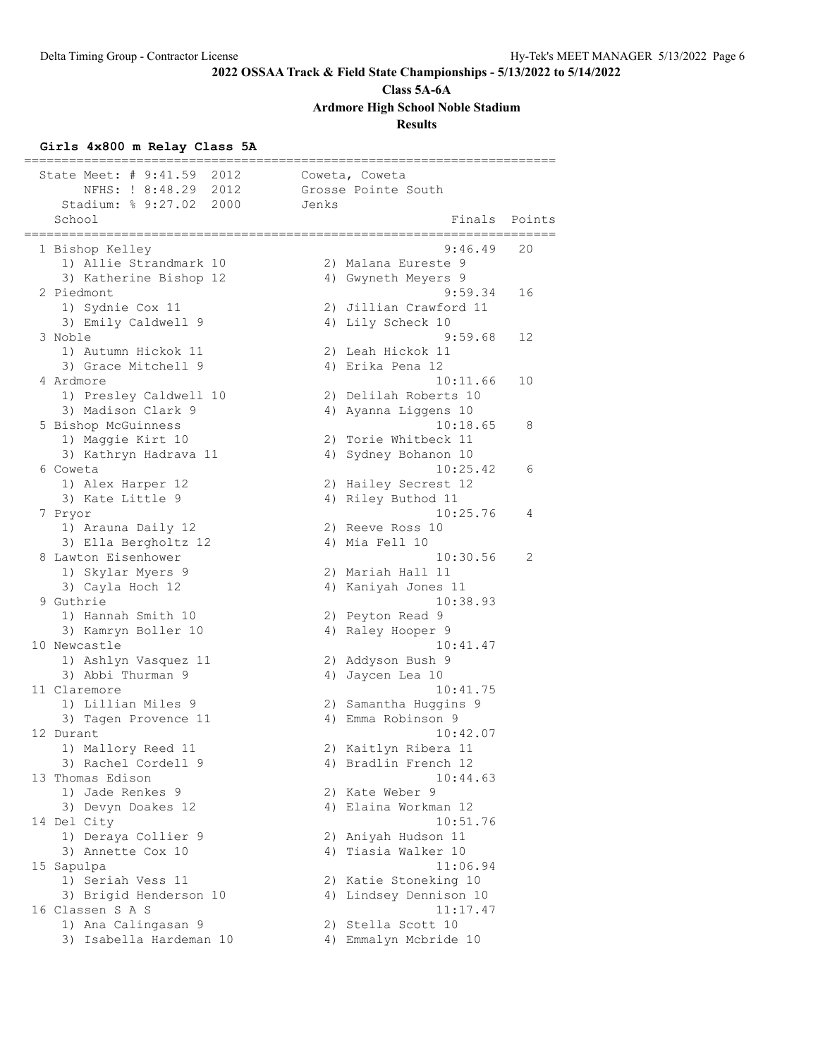# **Class 5A-6A**

**Ardmore High School Noble Stadium**

# **Results**

# **Girls 4x800 m Relay Class 5A**

| State Meet: # 9:41.59<br>2012               | Coweta, Coweta                           |
|---------------------------------------------|------------------------------------------|
| NFHS: ! 8:48.29<br>2012                     | Grosse Pointe South                      |
| Stadium: % 9:27.02 2000                     | Jenks                                    |
| School<br>=====================             | Finals<br>Points<br>-------------------- |
| 1 Bishop Kelley                             | 9:46.49<br>20                            |
| 1) Allie Strandmark 10                      | 2) Malana Eureste 9                      |
| 3) Katherine Bishop 12                      | 4) Gwyneth Meyers 9                      |
| 2 Piedmont                                  | 9:59.34<br>16                            |
| 1) Sydnie Cox 11                            | 2) Jillian Crawford 11                   |
| 3) Emily Caldwell 9                         | 4) Lily Scheck 10                        |
| 3 Noble                                     | 9:59.68<br>12                            |
| 1) Autumn Hickok 11                         | 2) Leah Hickok 11                        |
| 3) Grace Mitchell 9                         | 4) Erika Pena 12                         |
| 4 Ardmore                                   | 10:11.66<br>10                           |
| 1) Presley Caldwell 10                      | 2) Delilah Roberts 10                    |
| 3) Madison Clark 9                          | 4) Ayanna Liggens 10                     |
| 5 Bishop McGuinness                         | 10:18.65<br>8                            |
| 1) Maggie Kirt 10                           | 2) Torie Whitbeck 11                     |
| 3) Kathryn Hadrava 11                       | 4) Sydney Bohanon 10                     |
| 6 Coweta                                    | 10:25.42<br>6                            |
| 1) Alex Harper 12                           | 2) Hailey Secrest 12                     |
| 3) Kate Little 9                            | 4) Riley Buthod 11                       |
| 7 Pryor                                     | 10:25.76<br>4<br>2) Reeve Ross 10        |
| 1) Arauna Daily 12                          |                                          |
| 3) Ella Bergholtz 12<br>8 Lawton Eisenhower | 4) Mia Fell 10<br>10:30.56<br>2          |
| 1) Skylar Myers 9                           | 2) Mariah Hall 11                        |
| 3) Cayla Hoch 12                            | 4) Kaniyah Jones 11                      |
| 9 Guthrie                                   | 10:38.93                                 |
| 1) Hannah Smith 10                          | 2) Peyton Read 9                         |
| 3) Kamryn Boller 10                         | 4) Raley Hooper 9                        |
| 10 Newcastle                                | 10:41.47                                 |
| 1) Ashlyn Vasquez 11                        | 2) Addyson Bush 9                        |
| 3) Abbi Thurman 9                           | 4) Jaycen Lea 10                         |
| 11 Claremore                                | 10:41.75                                 |
| 1) Lillian Miles 9                          | 2) Samantha Huggins 9                    |
| 3) Tagen Provence 11                        | 4) Emma Robinson 9                       |
| 12 Durant                                   | 10:42.07                                 |
| 1) Mallory Reed 11                          | 2) Kaitlyn Ribera 11                     |
| 3) Rachel Cordell 9                         | 4) Bradlin French 12                     |
| 13 Thomas Edison                            | 10:44.63                                 |
| 1) Jade Renkes 9                            | 2) Kate Weber 9                          |
| 3) Devyn Doakes 12                          | 4) Elaina Workman 12                     |
| 14 Del City                                 | 10:51.76                                 |
| 1) Deraya Collier 9                         | 2) Aniyah Hudson 11                      |
| 3) Annette Cox 10                           | 4) Tiasia Walker 10                      |
| 15 Sapulpa                                  | 11:06.94                                 |
| 1) Seriah Vess 11                           | 2) Katie Stoneking 10                    |
| 3) Brigid Henderson 10                      | 4) Lindsey Dennison 10                   |
| 16 Classen S A S                            | 11:17.47                                 |
| 1) Ana Calingasan 9                         | 2) Stella Scott 10                       |
| 3) Isabella Hardeman 10                     | 4) Emmalyn Mcbride 10                    |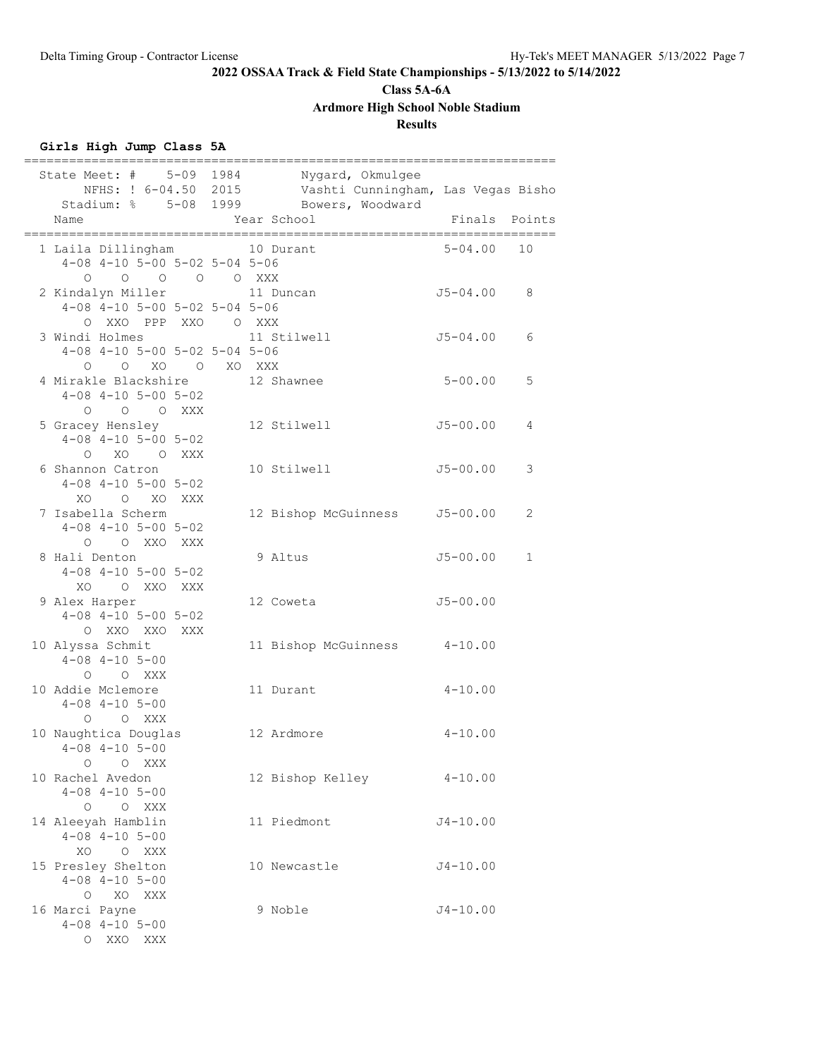# **Class 5A-6A**

**Ardmore High School Noble Stadium**

# **Results**

# **Girls High Jump Class 5A**

| State Meet: # 5-09 1984 Nygard, Okmulgee<br>Name                                                                                                 |  | NFHS: ! 6-04.50 2015 Vashti Cunningham, Las Vegas Bisho<br>Stadium: % 5-08 1999 Bowers, Woodward<br>Year School |              |             | Finals Points |
|--------------------------------------------------------------------------------------------------------------------------------------------------|--|-----------------------------------------------------------------------------------------------------------------|--------------|-------------|---------------|
| 1 Laila Dillingham 10 Durant<br>$4-08$ $4-10$ $5-00$ $5-02$ $5-04$ $5-06$<br>$\begin{matrix} 0 & 0 & 0 & 0 & \text{XXX} \end{matrix}$<br>$\circ$ |  |                                                                                                                 |              | $5 - 04.00$ | 10            |
| 2 Kindalyn Miller<br>$4-08$ $4-10$ $5-00$ $5-02$ $5-04$ $5-06$<br>O XXO PPP XXO O XXX                                                            |  | 11 Duncan                                                                                                       | J5-04.00     |             | 8             |
| 3 Windi Holmes<br>$4-08$ $4-10$ $5-00$ $5-02$ $5-04$ $5-06$<br>O O XO O XO XXX                                                                   |  | 11 Stilwell                                                                                                     | $J5 - 04.00$ |             | 6             |
| 4 Mirakle Blackshire<br>$4-08$ $4-10$ $5-00$ $5-02$<br>O O O XXX                                                                                 |  | 12 Shawnee                                                                                                      | $5 - 00.00$  |             | 5             |
| 5 Gracey Hensley<br>$4-08$ $4-10$ $5-00$ $5-02$<br>O XO O XXX                                                                                    |  | 12 Stilwell                                                                                                     | $J5 - 00.00$ |             | 4             |
| 6 Shannon Catron<br>$4 - 08$ $4 - 10$ $5 - 00$ $5 - 02$<br>XO O XO XXX                                                                           |  | 10 Stilwell                                                                                                     | $J5 - 00.00$ |             | 3             |
| 7 Isabella Scherm<br>$4 - 08$ $4 - 10$ $5 - 00$ $5 - 02$<br>O O XXO XXX                                                                          |  | 12 Bishop McGuinness                                                                                            | $J5 - 00.00$ |             | 2             |
| 8 Hali Denton<br>$4-08$ $4-10$ $5-00$ $5-02$<br>XO O XXO XXX                                                                                     |  | 9 Altus                                                                                                         | $J5 - 00.00$ |             | 1             |
| 9 Alex Harper<br>$4 - 08$ $4 - 10$ $5 - 00$ $5 - 02$<br>O XXO XXO<br>XXX                                                                         |  | 12 Coweta                                                                                                       | $J5 - 00.00$ |             |               |
| 10 Alyssa Schmit<br>$4 - 08$ $4 - 10$ $5 - 00$<br>$O$ $O$ XXX                                                                                    |  | 11 Bishop McGuinness 4-10.00                                                                                    |              |             |               |
| 10 Addie Mclemore<br>$4 - 08$ $4 - 10$ $5 - 00$<br>O XXX<br>$\circ$                                                                              |  | 11 Durant                                                                                                       | $4 - 10.00$  |             |               |
| 10 Naughtica Douglas<br>$4 - 08$ $4 - 10$ $5 - 00$<br>$\circ$<br>O XXX                                                                           |  | 12 Ardmore                                                                                                      |              | $4 - 10.00$ |               |
| 10 Rachel Avedon<br>$4 - 08$ $4 - 10$ $5 - 00$<br>O XXX<br>$\circ$                                                                               |  | 12 Bishop Kelley                                                                                                | $4 - 10.00$  |             |               |
| 14 Aleeyah Hamblin<br>$4 - 08$ $4 - 10$ $5 - 00$<br>XO O XXX                                                                                     |  | 11 Piedmont                                                                                                     | $J4 - 10.00$ |             |               |
| 15 Presley Shelton<br>$4 - 08$ $4 - 10$ $5 - 00$<br>O XO XXX                                                                                     |  | 10 Newcastle                                                                                                    | $J4 - 10.00$ |             |               |
| 16 Marci Payne<br>$4 - 08$ $4 - 10$ $5 - 00$<br>O XXO<br>XXX                                                                                     |  | 9 Noble                                                                                                         | $J4 - 10.00$ |             |               |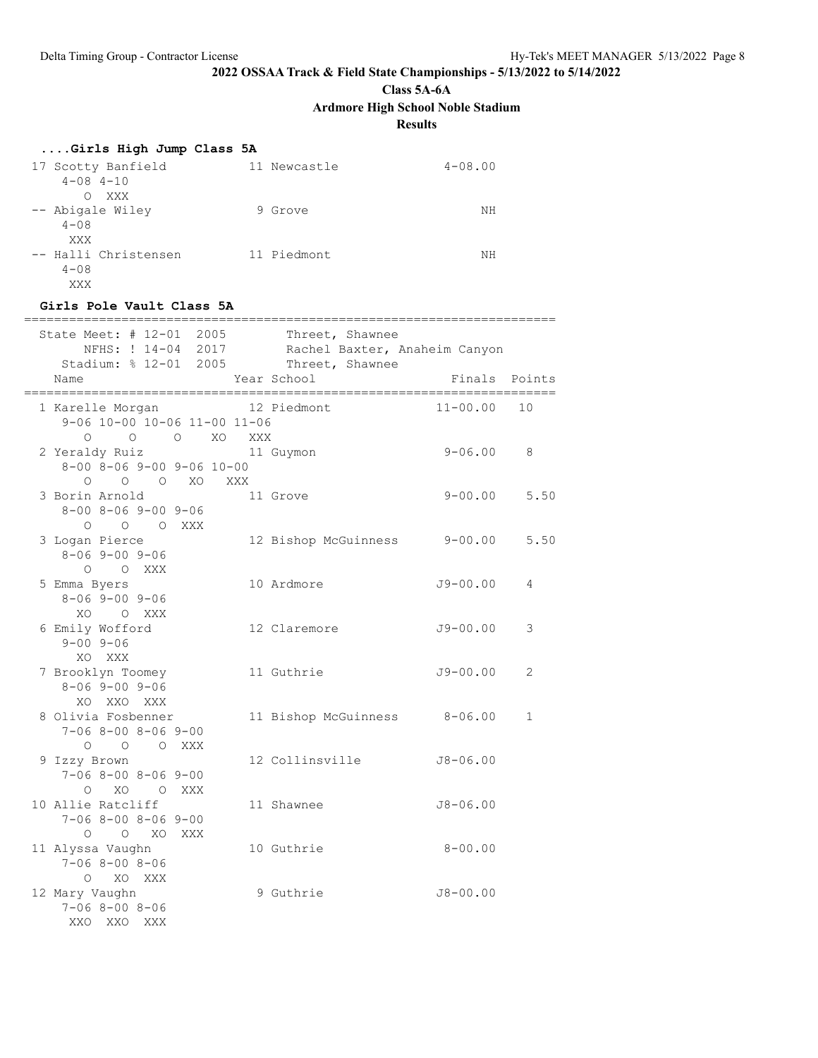**Class 5A-6A**

**Ardmore High School Noble Stadium**

**Results**

| Girls High Jump Class 5A |  |  |  |  |
|--------------------------|--|--|--|--|
|--------------------------|--|--|--|--|

| 17 Scotty Banfield<br>$4 - 08$ $4 - 10$ | 11 Newcastle | $4 - 08.00$ |
|-----------------------------------------|--------------|-------------|
| XXX<br>$\Omega$                         |              |             |
| -- Abigale Wiley                        | 9 Grove      | ΝH          |
| $4 - 0.8$                               |              |             |
| XXX                                     |              |             |
| -- Halli Christensen                    | 11 Piedmont  | NΗ          |
| $4 - 0.8$                               |              |             |
| XXX                                     |              |             |

#### **Girls Pole Vault Class 5A**

| State Meet: # 12-01 2005<br>Stadium: % 12-01 2005                          |     |                                |     | Threet, Shawnee<br>NFHS: ! 14-04 2017 Rachel Baxter, Anaheim Canyon<br>Threet, Shawnee |                        |                |
|----------------------------------------------------------------------------|-----|--------------------------------|-----|----------------------------------------------------------------------------------------|------------------------|----------------|
| Name                                                                       |     |                                |     | Year School                                                                            | Finals Points<br>===== |                |
| 1 Karelle Morgan<br>9-06 10-00 10-06 11-00 11-06                           |     |                                |     | 12 Piedmont                                                                            | $11 - 00.00$           | 10             |
| 2 Yeraldy Ruiz<br>$8 - 00$ $8 - 06$ $9 - 00$ $9 - 06$ $10 - 00$<br>$\circ$ |     | $O$ $O$ $O$ $XO$<br>O O XO XXX | XXX | 11 Guymon                                                                              | $9 - 06.00$            | 8              |
| 3 Borin Arnold<br>$8 - 00$ $8 - 06$ $9 - 00$ $9 - 06$<br>O O O XXX         |     |                                |     | 11 Grove                                                                               | $9 - 00.00$            | 5.50           |
| 3 Logan Pierce<br>$8 - 069 - 009 - 06$<br>$O$ $O$ XXX                      |     |                                |     | 12 Bishop McGuinness 9-00.00                                                           |                        | 5.50           |
| 5 Emma Byers<br>$8 - 069 - 009 - 06$<br>XO OXXX                            |     |                                |     | 10 Ardmore                                                                             | $J9 - 00.00$           | 4              |
| 6 Emily Wofford<br>$9 - 00$ $9 - 06$<br>XO XXX                             |     |                                |     | 12 Claremore                                                                           | $J9 - 00.00$           | 3              |
| 7 Brooklyn Toomey<br>$8 - 069 - 009 - 06$<br>XO XXO XXX                    |     |                                |     | 11 Guthrie                                                                             | $J9 - 00.00$           | $\mathfrak{D}$ |
| 8 Olivia Fosbenner<br>$7 - 068 - 008 - 069 - 00$<br>O O O XXX              |     |                                |     | 11 Bishop McGuinness 8-06.00                                                           |                        | $\mathbf{1}$   |
| 9 Izzy Brown<br>$7 - 068 - 008 - 069 - 00$<br>O XO O XXX                   |     |                                |     | 12 Collinsville                                                                        | $J8 - 06.00$           |                |
| 10 Allie Ratcliff<br>$7 - 068 - 008 - 069 - 00$<br>O O XO XXX              |     |                                |     | 11 Shawnee                                                                             | $J8 - 06.00$           |                |
| 11 Alyssa Vaughn<br>$7 - 068 - 008 - 06$<br>O XO XXX                       |     |                                |     | 10 Guthrie                                                                             | $8 - 00.00$            |                |
| 12 Mary Vaughn<br>$7 - 068 - 008 - 06$<br>XXO<br>XXO                       | XXX |                                |     | 9 Guthrie                                                                              | $J8 - 00.00$           |                |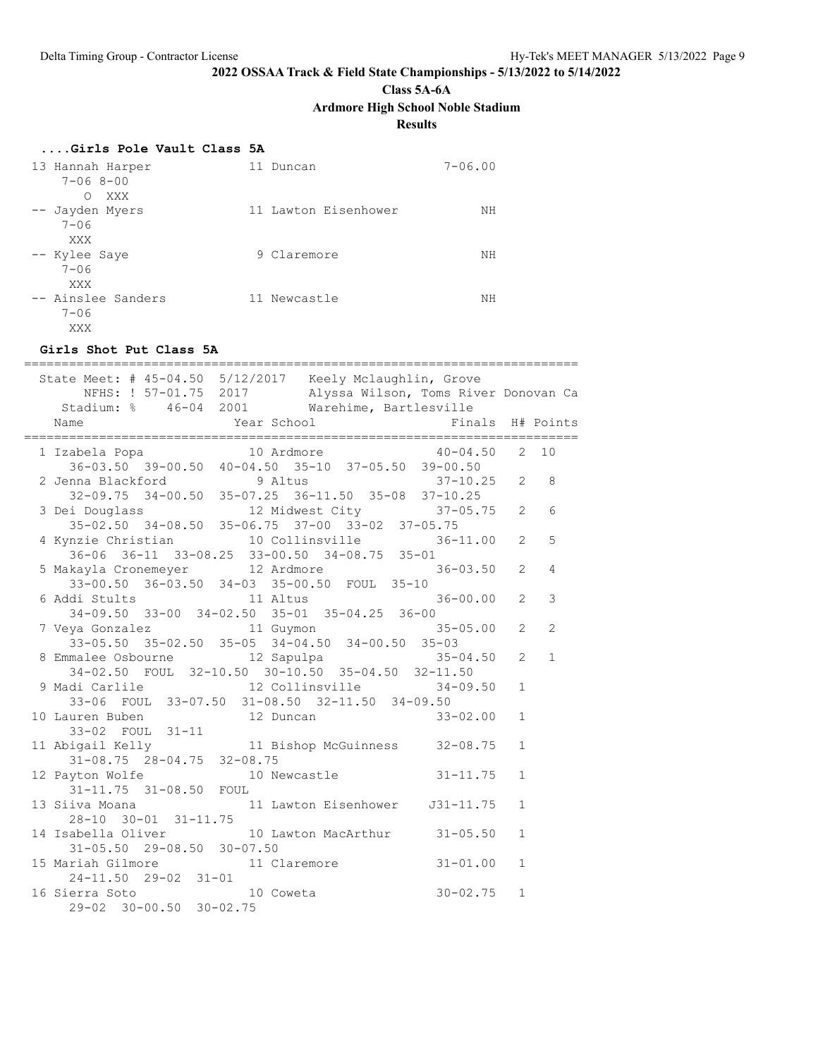**Class 5A-6A**

**Ardmore High School Noble Stadium**

**Results**

| Girls Pole Vault Class 5A |  |  |
|---------------------------|--|--|
|                           |  |  |

| 13 Hannah Harper<br>$7 - 068 - 00$           | Duncan               | $7 - 06.00$ |
|----------------------------------------------|----------------------|-------------|
| XXX<br>O<br>-- Jayden Myers<br>$7 - 06$      | 11 Lawton Eisenhower | ΝH          |
| XXX<br>-- Kylee Saye<br>$7 - 06$             | 9 Claremore          | NΗ          |
| XXX<br>-- Ainslee Sanders<br>$7 - 06$<br>XXX | 11 Newcastle         | NΗ          |

### **Girls Shot Put Class 5A**

| State Meet: # 45-04.50 5/12/2017 Keely Mclaughlin, Grove<br>NFHS: ! 57-01.75 2017 Alyssa Wilson, Toms River Donovan Ca |                |                |
|------------------------------------------------------------------------------------------------------------------------|----------------|----------------|
| Stadium: % 46-04 2001 Warehime, Bartlesville<br>Finals H# Points<br>Name                                               |                |                |
| 1 Izabela Popa 10 Ardmore 40-04.50<br>36-03.50 39-00.50 40-04.50 35-10 37-05.50 39-00.50                               |                | 2, 10          |
|                                                                                                                        |                |                |
| 2 Jenna Blackford 9 Altus 37-10.25<br>32-09.75 34-00.50 35-07.25 36-11.50 35-08 37-10.25                               | 2              | 8              |
|                                                                                                                        |                |                |
| 3 Dei Douglass 12 Midwest City 37-05.75<br>35-02.50 34-08.50 35-06.75 37-00 33-02 37-05.75                             | 2              | 6              |
|                                                                                                                        |                |                |
| 4 Kynzie Christian 10 Collinsville 36-11.00                                                                            | 2              | 5              |
| 36-06 36-11 33-08.25 33-00.50 34-08.75 35-01                                                                           |                |                |
| 5 Makayla Cronemeyer 12 Ardmore<br>$36 - 03.50$                                                                        | 2              | $\overline{4}$ |
| 33-00.50 36-03.50 34-03 35-00.50 FOUL 35-10                                                                            |                |                |
| 6 Addi Stults 11 Altus<br>$36 - 00.00$                                                                                 | $\overline{2}$ | 3              |
| 34-09.50 33-00 34-02.50 35-01 35-04.25 36-00                                                                           |                |                |
| 7 Veya Gonzalez                       11 Guymon                               35-05.00                                 | $\overline{2}$ | $\overline{2}$ |
| 33-05.50 35-02.50 35-05 34-04.50 34-00.50 35-03                                                                        |                |                |
| 8 Emmalee Osbourne 12 Sapulpa 12 35-04.50                                                                              | $\overline{2}$ | $\mathbf{1}$   |
| 34-02.50 FOUL 32-10.50 30-10.50 35-04.50 32-11.50                                                                      |                |                |
| 9 Madi Carlile 12 Collinsville 34-09.50                                                                                | $\mathbf{1}$   |                |
| 33-06 FOUL 33-07.50 31-08.50 32-11.50 34-09.50                                                                         |                |                |
| 10 Lauren Buben 12 Duncan<br>$33 - 02.00$                                                                              | $\mathbf{1}$   |                |
| 33-02 FOUL 31-11                                                                                                       |                |                |
| 11 Abigail Kelly 11 Bishop McGuinness 32-08.75                                                                         | $\mathbf{1}$   |                |
| $31 - 08.75$ $28 - 04.75$ $32 - 08.75$                                                                                 |                |                |
| 12 Payton Wolfe 10 Newcastle<br>$31 - 11.75$                                                                           | $\mathbf{1}$   |                |
| 31-11.75 31-08.50 FOUL                                                                                                 |                |                |
| 13 Siiva Moana 11 Lawton Eisenhower 31-11.75<br>28-10 30-01 31-11.75                                                   | $\mathbf{1}$   |                |
|                                                                                                                        |                |                |
| 14 Isabella Oliver 10 Lawton MacArthur 31-05.50<br>31-05.50 29-08.50 30-07.50                                          | $\mathbf{1}$   |                |
|                                                                                                                        |                |                |
| 15 Mariah Gilmore<br>24-11.50 29-02 31-01<br>16 Sierra Soto<br>29-02 30-00.50 30-02.75<br>$31 - 01.00$                 | $\mathbf{1}$   |                |
|                                                                                                                        |                |                |
| $30 - 02.75$                                                                                                           | $\mathbf{1}$   |                |
|                                                                                                                        |                |                |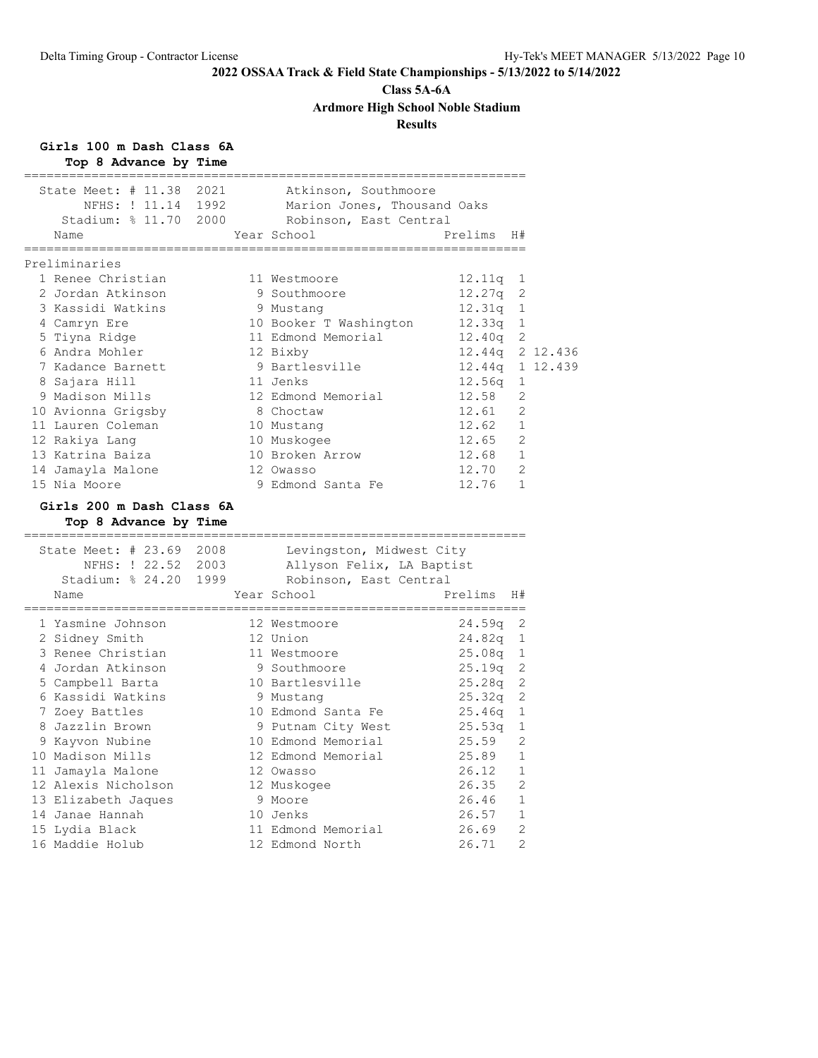### **Class 5A-6A**

**Ardmore High School Noble Stadium**

# **Results**

**Girls 100 m Dash Class 6A**

| Top 8 Advance by Time                                                                                         |  |                                                                                              |            |                |                 |
|---------------------------------------------------------------------------------------------------------------|--|----------------------------------------------------------------------------------------------|------------|----------------|-----------------|
| State Meet: # 11.38 2021<br>NFHS: ! 11.14 1992<br>Stadium: % 11.70 2000<br>Name                               |  | Atkinson, Southmoore<br>Marion Jones, Thousand Oaks<br>Robinson, East Central<br>Year School | Prelims    | H#             |                 |
|                                                                                                               |  |                                                                                              |            |                |                 |
| Preliminaries                                                                                                 |  |                                                                                              |            |                |                 |
| 1 Renee Christian                                                                                             |  | 11 Westmoore                                                                                 | 12.11q     | 1              |                 |
| 2 Jordan Atkinson                                                                                             |  | 9 Southmoore                                                                                 | 12.27q     | 2              |                 |
| 3 Kassidi Watkins                                                                                             |  | 9 Mustang                                                                                    | $12.31q$ 1 |                |                 |
| 4 Camryn Ere                                                                                                  |  | 10 Booker T Washington                                                                       | 12.33q 1   |                |                 |
| 5 Tiyna Ridge                                                                                                 |  | 11 Edmond Memorial                                                                           | 12.40q 2   |                |                 |
| 6 Andra Mohler                                                                                                |  | 12 Bixby                                                                                     |            |                | 12.44g 2 12.436 |
| 7 Kadance Barnett                                                                                             |  | 9 Bartlesville                                                                               |            |                | 12.44q 1 12.439 |
| 8 Sajara Hill                                                                                                 |  | 11 Jenks                                                                                     | 12.56q     | 1              |                 |
| 9 Madison Mills                                                                                               |  | 12 Edmond Memorial                                                                           | 12.58      | 2              |                 |
| 10 Avionna Grigsby                                                                                            |  | 8 Choctaw                                                                                    | 12.61      | 2              |                 |
| 11 Lauren Coleman                                                                                             |  | 10 Mustang                                                                                   | 12.62      | $\mathbf{1}$   |                 |
| 12 Rakiya Lang                                                                                                |  | 10 Muskogee                                                                                  | 12.65      | $\mathfrak{D}$ |                 |
| 13 Katrina Baiza                                                                                              |  | 10 Broken Arrow                                                                              | 12.68      | $\mathbf{1}$   |                 |
| 14 Jamayla Malone                                                                                             |  | 12 Owasso                                                                                    | 12.70      | $\overline{2}$ |                 |
| 15 Nia Moore                                                                                                  |  | 9 Edmond Santa Fe                                                                            | 12.76      | $\mathbf{1}$   |                 |
| Girls 200 m Dash Class 6A<br>Top 8 Advance by Time<br>===========================<br>State Meet: # 23.69 2008 |  |                                                                                              |            |                |                 |
| NFHS: ! 22.52 2003                                                                                            |  | Levingston, Midwest City                                                                     |            |                |                 |
| Stadium: % 24.20 1999                                                                                         |  | Allyson Felix, LA Baptist<br>Robinson, East Central                                          |            |                |                 |
| Name                                                                                                          |  | Year School                                                                                  | Prelims    | H#             |                 |
|                                                                                                               |  |                                                                                              |            |                |                 |
| 1 Yasmine Johnson                                                                                             |  | 12 Westmoore                                                                                 | 24.59q     | 2              |                 |
| 2 Sidney Smith                                                                                                |  | 12 Union                                                                                     | $24.82q$ 1 |                |                 |
| 3 Renee Christian                                                                                             |  | 11 Westmoore                                                                                 | 25.08q 1   |                |                 |
| 4 Jordan Atkinson                                                                                             |  | 9 Southmoore                                                                                 | 25.19q     | 2              |                 |
| 5 Campbell Barta                                                                                              |  | 10 Bartlesville                                                                              | 25.28q     | 2              |                 |
| 6 Kassidi Watkins                                                                                             |  | 9 Mustang                                                                                    | 25.32q     | 2              |                 |
| 7 Zoey Battles                                                                                                |  | 10 Edmond Santa Fe                                                                           | 25.46q     | 1              |                 |
| 8 Jazzlin Brown                                                                                               |  | 9 Putnam City West                                                                           | 25.53q     | $\mathbf 1$    |                 |
| 9 Kayvon Nubine                                                                                               |  | 10 Edmond Memorial                                                                           | 25.59      | 2              |                 |
| 10 Madison Mills                                                                                              |  | 12 Edmond Memorial                                                                           | 25.89      | 1              |                 |
| 11 Jamayla Malone                                                                                             |  | 12 Owasso                                                                                    | 26.12      | 1              |                 |
| 12 Alexis Nicholson                                                                                           |  | 12 Muskogee                                                                                  | 26.35      | 2              |                 |
| 13 Elizabeth Jaques                                                                                           |  | 9 Moore                                                                                      | 26.46      | $\mathbf{1}$   |                 |
| 14 Janae Hannah                                                                                               |  | 10 Jenks                                                                                     | 26.57      | $\mathbf{1}$   |                 |
| 15 Lydia Black                                                                                                |  | 11 Edmond Memorial                                                                           | 26.69      | 2              |                 |
| 16 Maddie Holub                                                                                               |  | 12 Edmond North                                                                              | 26.71      | $\mathfrak{D}$ |                 |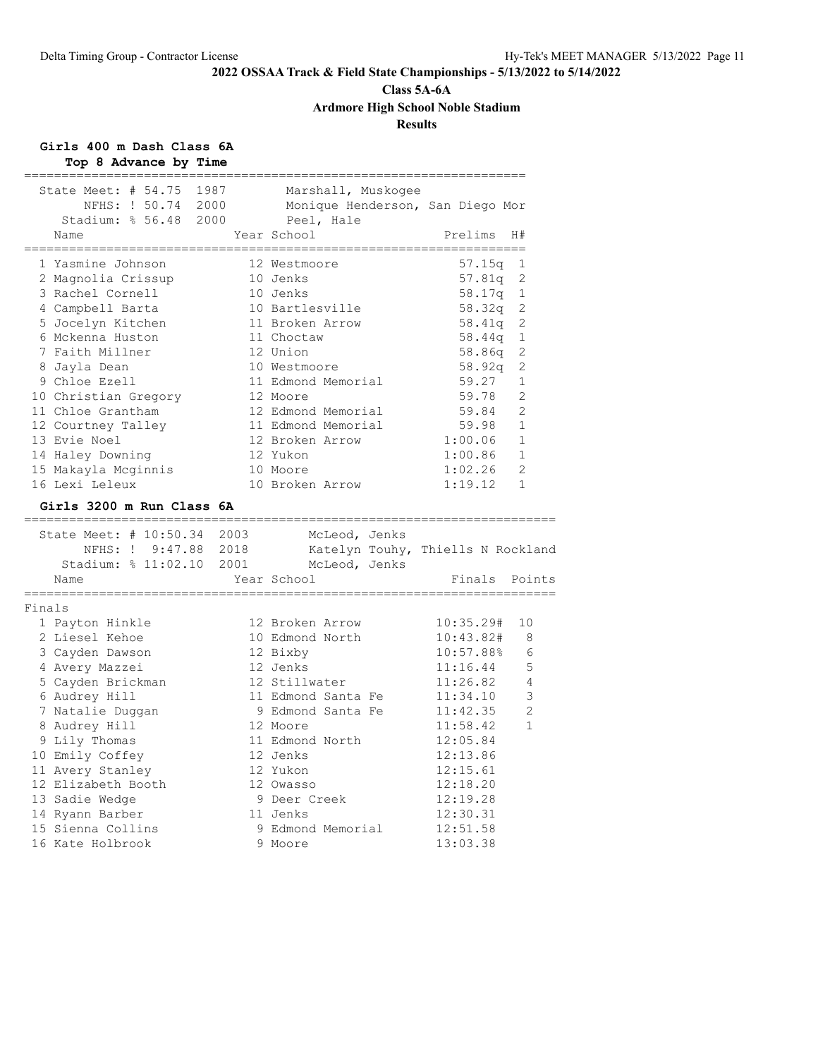# **Class 5A-6A**

**Ardmore High School Noble Stadium**

# **Results**

#### **Girls 400 m Dash Class 6A Top 8 Advance by Time**

|        | rop o Advance by Time                                                           |                                                                                     |                 |                |
|--------|---------------------------------------------------------------------------------|-------------------------------------------------------------------------------------|-----------------|----------------|
|        | State Meet: # 54.75 1987<br>NFHS: ! 50.74 2000<br>Stadium: % 56.48 2000<br>Name | Marshall, Muskogee<br>Monique Henderson, San Diego Mor<br>Peel, Hale<br>Year School | Prelims         | H#             |
|        |                                                                                 |                                                                                     |                 |                |
|        | 1 Yasmine Johnson                                                               | 12 Westmoore                                                                        | 57.15a          | 1              |
|        | 2 Magnolia Crissup                                                              | 10 Jenks                                                                            | 57.81q          | 2              |
|        | 3 Rachel Cornell                                                                | 10 Jenks                                                                            | 58.17q          | 1              |
|        | 4 Campbell Barta                                                                | 10 Bartlesville                                                                     | 58.32q          | 2              |
|        | 5 Jocelyn Kitchen                                                               | 11 Broken Arrow                                                                     | 58.41q          | 2              |
|        | 6 Mckenna Huston                                                                | 11 Choctaw                                                                          | 58.44q          | 1              |
|        | 7 Faith Millner                                                                 | 12 Union                                                                            | 58.86q          | 2              |
|        | 8 Jayla Dean                                                                    | 10 Westmoore                                                                        |                 | 2              |
|        | 9 Chloe Ezell                                                                   | 11 Edmond Memorial                                                                  | 58.92q<br>59.27 | $\mathbf 1$    |
|        |                                                                                 | 12 Moore                                                                            | 59.78           | 2              |
|        | 10 Christian Gregory                                                            |                                                                                     |                 | 2              |
|        | 11 Chloe Grantham                                                               | 12 Edmond Memorial                                                                  | 59.84           |                |
|        | 12 Courtney Talley                                                              | 11 Edmond Memorial                                                                  | 59.98           | $\mathbf{1}$   |
|        | 13 Evie Noel                                                                    | 12 Broken Arrow                                                                     | 1:00.06         | $\mathbf{1}$   |
|        | 14 Haley Downing                                                                | 12 Yukon                                                                            | 1:00.86         | $\mathbf 1$    |
|        | 15 Makayla Mcqinnis                                                             | 10 Moore                                                                            | 1:02.26         | 2              |
|        | 16 Lexi Leleux                                                                  | 10 Broken Arrow                                                                     | 1:19.12         | $\mathbf{1}$   |
|        | Girls 3200 m Run Class 6A                                                       |                                                                                     |                 |                |
|        |                                                                                 |                                                                                     |                 |                |
|        | State Meet: # 10:50.34 2003                                                     | McLeod, Jenks                                                                       |                 |                |
|        | NFHS: ! 9:47.88 2018                                                            | Katelyn Touhy, Thiells N Rockland                                                   |                 |                |
|        | Stadium: % 11:02.10 2001                                                        | McLeod, Jenks                                                                       |                 |                |
|        | Name                                                                            | Year School                                                                         | Finals Points   |                |
| Finals |                                                                                 |                                                                                     |                 |                |
|        | 1 Payton Hinkle                                                                 | 12 Broken Arrow                                                                     | 10:35.29#       | 10             |
|        | 2 Liesel Kehoe                                                                  | 10 Edmond North                                                                     | 10:43.82#       | 8              |
|        | 3 Cayden Dawson                                                                 | 12 Bixby                                                                            | 10:57.88%       | 6              |
|        | 4 Avery Mazzei                                                                  | 12 Jenks                                                                            | 11:16.44        | 5              |
|        | 5 Cayden Brickman                                                               | 12 Stillwater                                                                       | 11:26.82        | 4              |
|        | 6 Audrey Hill                                                                   | 11 Edmond Santa Fe                                                                  | 11:34.10        | $\mathsf 3$    |
|        | 7 Natalie Duggan                                                                | 9 Edmond Santa Fe                                                                   | 11:42.35        | $\overline{2}$ |
|        | 8 Audrey Hill                                                                   | 12 Moore                                                                            | 11:58.42        | $\mathbf{1}$   |
|        | 9 Lily Thomas                                                                   | 11 Edmond North                                                                     | 12:05.84        |                |
|        | 10 Emily Coffey                                                                 | 12 Jenks                                                                            | 12:13.86        |                |
|        | 11 Avery Stanley                                                                | 12 Yukon                                                                            | 12:15.61        |                |
|        | 12 Elizabeth Booth                                                              | 12 Owasso                                                                           | 12:18.20        |                |
|        | 13 Sadie Wedge                                                                  | 9 Deer Creek                                                                        | 12:19.28        |                |
|        | 14 Ryann Barber                                                                 | 11 Jenks                                                                            | 12:30.31        |                |
|        | 15 Sienna Collins                                                               | 9 Edmond Memorial                                                                   | 12:51.58        |                |
|        | 16 Kate Holbrook                                                                | 9 Moore                                                                             | 13:03.38        |                |
|        |                                                                                 |                                                                                     |                 |                |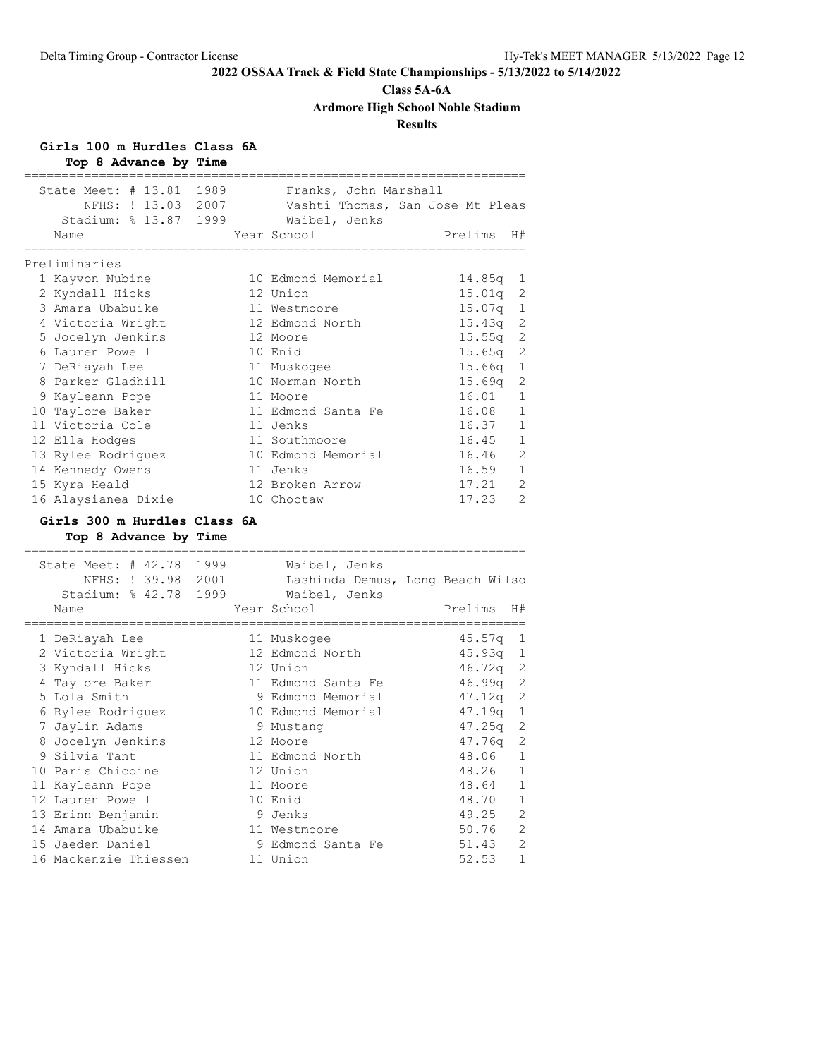# **Class 5A-6A**

**Ardmore High School Noble Stadium**

# **Results**

# **Girls 100 m Hurdles Class 6A**

| Top 8 Advance by Time                                                           |  |                                                                                           |               |                |
|---------------------------------------------------------------------------------|--|-------------------------------------------------------------------------------------------|---------------|----------------|
| State Meet: # 13.81 1989<br>NFHS: ! 13.03 2007<br>Stadium: % 13.87 1999<br>Name |  | Franks, John Marshall<br>Vashti Thomas, San Jose Mt Pleas<br>Waibel, Jenks<br>Year School | Prelims       | H#             |
| Preliminaries                                                                   |  |                                                                                           |               |                |
| 1 Kayvon Nubine                                                                 |  | 10 Edmond Memorial                                                                        | $14.85q$ 1    |                |
| 2 Kyndall Hicks                                                                 |  | 12 Union                                                                                  | $15.01q$ 2    |                |
| 3 Amara Ubabuike                                                                |  | 11 Westmoore                                                                              | 15.07a        | $\mathbf{1}$   |
| 4 Victoria Wright                                                               |  | 12 Edmond North                                                                           | $15.43q$ 2    |                |
| 5 Jocelyn Jenkins                                                               |  | 12 Moore                                                                                  | $15.55\sigma$ | 2              |
| 6 Lauren Powell                                                                 |  | 10 Enid                                                                                   | $15.65q$ 2    |                |
| 7 DeRiayah Lee                                                                  |  | 11 Muskogee                                                                               | 15.66q        | $\mathbf{1}$   |
| 8 Parker Gladhill                                                               |  | 10 Norman North                                                                           | 15.69q        | 2              |
| 9 Kayleann Pope                                                                 |  | 11 Moore                                                                                  | 16.01         | $\mathbf{1}$   |
| 10 Taylore Baker                                                                |  | 11 Edmond Santa Fe                                                                        | 16.08         | $\mathbf{1}$   |
| 11 Victoria Cole                                                                |  | 11 Jenks                                                                                  | 16.37         | $\mathbf{1}$   |
| 12 Ella Hodges                                                                  |  | 11 Southmoore                                                                             | 16.45         | $\mathbf{1}$   |
| 13 Rylee Rodriguez                                                              |  | 10 Edmond Memorial                                                                        | 16.46         | $\overline{2}$ |
| 14 Kennedy Owens                                                                |  | 11 Jenks                                                                                  | 16.59         | $\mathbf{1}$   |
| 15 Kyra Heald                                                                   |  | 12 Broken Arrow                                                                           | 17.21         | $\overline{2}$ |
| 16 Alaysianea Dixie                                                             |  | 10 Choctaw                                                                                | 17.23         | $\overline{2}$ |
| Girls 300 m Hurdles Class 6A<br>Top 8 Advance by Time                           |  |                                                                                           |               |                |

| State Meet: # 42.78 1999<br>NFHS: ! 39.98 2001<br>Stadium: % 42.78 1999<br>Name | Waibel, Jenks<br>Lashinda Demus, Long Beach Wilso<br>Waibel, Jenks<br>Year School | Prelims<br>H#           |
|---------------------------------------------------------------------------------|-----------------------------------------------------------------------------------|-------------------------|
|                                                                                 |                                                                                   |                         |
| 1 DeRiayah Lee                                                                  | 11 Muskogee                                                                       | 45.57q<br>1             |
| 2 Victoria Wright                                                               | 12 Edmond North                                                                   | $45.93q$ 1              |
| 3 Kyndall Hicks                                                                 | 12 Union                                                                          | $46.72q$ 2              |
| 4 Taylore Baker                                                                 | 11 Edmond Santa Fe                                                                | $46.99q$ 2              |
| 5 Lola Smith                                                                    | 9 Edmond Memorial                                                                 | $47.12q$ 2              |
| 6 Rylee Rodriguez                                                               | 10 Edmond Memorial                                                                | 47.19a<br>1             |
| 7 Jaylin Adams                                                                  | 9 Mustang                                                                         | $47.25q$ 2              |
| 8 Jocelyn Jenkins                                                               | 12 Moore                                                                          | -2<br>47.76q            |
| 9 Silvia Tant                                                                   | 11 Edmond North                                                                   | $\mathbf{1}$<br>48.06   |
| 10 Paris Chicoine                                                               | 12 Union                                                                          | $\mathbf{1}$<br>48.26   |
| 11 Kayleann Pope                                                                | 11 Moore                                                                          | $\mathbf{1}$<br>48.64   |
| 12 Lauren Powell                                                                | 10 Enid                                                                           | $\mathbf{1}$<br>48.70   |
| 13 Erinn Benjamin                                                               | 9 Jenks                                                                           | $\overline{2}$<br>49.25 |
| 14 Amara Ubabuike                                                               | 11 Westmoore                                                                      | $\overline{2}$<br>50.76 |
| 15 Jaeden Daniel                                                                | 9 Edmond Santa Fe                                                                 | $\overline{2}$<br>51.43 |
| 16 Mackenzie Thiessen                                                           | 11 Union                                                                          | $\mathbf{1}$<br>52.53   |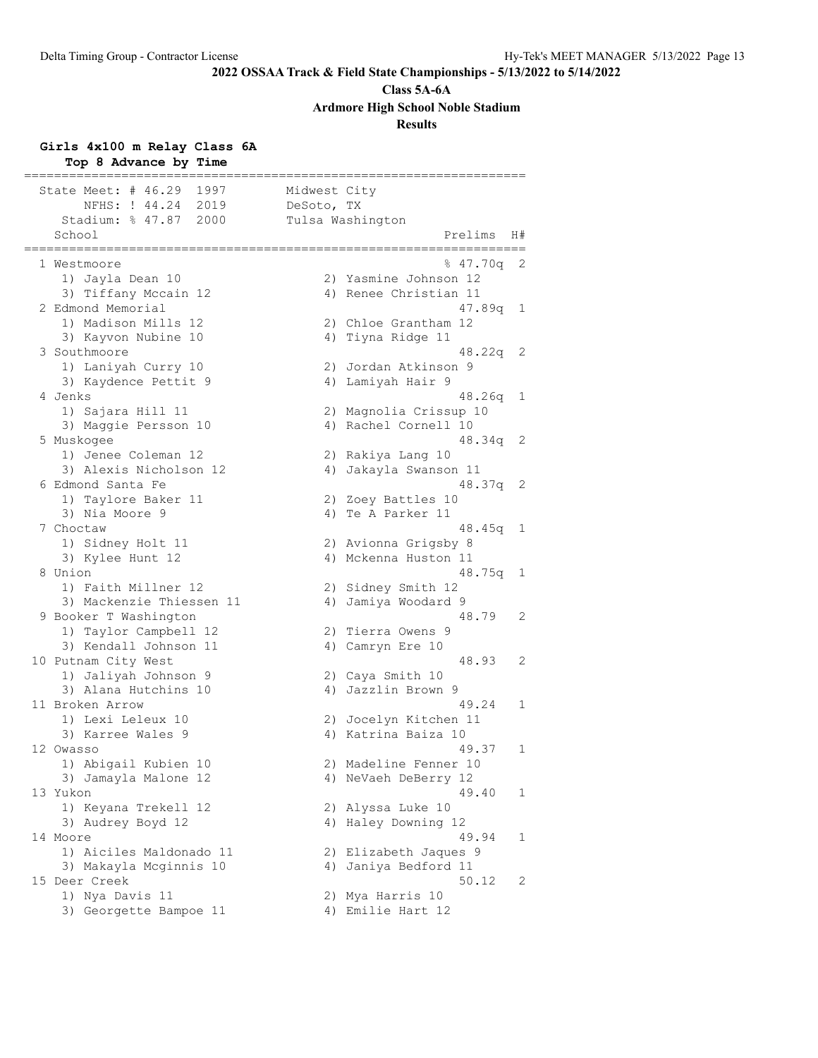**Class 5A-6A**

**Ardmore High School Noble Stadium**

**Results**

# **Girls 4x100 m Relay Class 6A**

| Top 8 Advance by Time                 |                  |                                         |    |
|---------------------------------------|------------------|-----------------------------------------|----|
| State Meet: # 46.29<br>1997           | Midwest City     |                                         |    |
| NFHS: ! 44.24<br>2019                 | DeSoto, TX       |                                         |    |
| Stadium: % 47.87<br>2000              | Tulsa Washington |                                         |    |
| School                                |                  | Prelims                                 | H# |
| 1 Westmoore                           |                  | 847.70q                                 | 2  |
| 1) Jayla Dean 10                      |                  | 2) Yasmine Johnson 12                   |    |
| 3) Tiffany Mccain 12                  |                  | 4) Renee Christian 11                   |    |
| 2 Edmond Memorial                     |                  | 47.89q                                  | 1  |
| 1) Madison Mills 12                   |                  | 2) Chloe Grantham 12                    |    |
| 3) Kayvon Nubine 10                   |                  | 4) Tiyna Ridge 11                       |    |
| 3 Southmoore                          |                  | 48.22q                                  | 2  |
| 1) Laniyah Curry 10                   |                  | 2) Jordan Atkinson 9                    |    |
| 3) Kaydence Pettit 9                  |                  | 4) Lamiyah Hair 9                       |    |
| 4 Jenks                               |                  | 48.26q                                  | 1  |
| 1) Sajara Hill 11                     |                  | 2) Magnolia Crissup 10                  |    |
| 3) Maggie Persson 10                  |                  | 4) Rachel Cornell 10                    |    |
| 5 Muskogee                            |                  | 48.34q                                  | 2  |
| 1) Jenee Coleman 12                   |                  | 2) Rakiya Lang 10                       |    |
| 3) Alexis Nicholson 12                | 4)               | Jakayla Swanson 11                      |    |
| 6 Edmond Santa Fe                     |                  | 48.37q                                  | 2  |
| 1) Taylore Baker 11<br>3) Nia Moore 9 |                  | 2) Zoey Battles 10<br>4) Te A Parker 11 |    |
| 7 Choctaw                             |                  | 48.45g                                  | 1  |
| 1) Sidney Holt 11                     |                  | 2) Avionna Grigsby 8                    |    |
| 3) Kylee Hunt 12                      |                  | 4) Mckenna Huston 11                    |    |
| 8 Union                               |                  | 48.75q                                  | 1  |
| 1) Faith Millner 12                   |                  | 2) Sidney Smith 12                      |    |
| 3) Mackenzie Thiessen 11              |                  | 4) Jamiya Woodard 9                     |    |
| 9 Booker T Washington                 |                  | 48.79                                   | 2  |
| 1) Taylor Campbell 12                 |                  | 2) Tierra Owens 9                       |    |
| 3) Kendall Johnson 11                 |                  | 4) Camryn Ere 10                        |    |
| 10 Putnam City West                   |                  | 48.93                                   | 2  |
| 1) Jaliyah Johnson 9                  |                  | 2) Caya Smith 10                        |    |
| 3) Alana Hutchins 10                  |                  | 4) Jazzlin Brown 9                      |    |
| 11 Broken Arrow                       |                  | 49.24                                   | 1  |
| 1) Lexi Leleux 10                     |                  | 2) Jocelyn Kitchen 11                   |    |
| 3) Karree Wales 9                     |                  | 4) Katrina Baiza 10                     |    |
| 12 Owasso                             |                  | 49.37                                   | 1  |
| 1) Abigail Kubien 10                  |                  | 2) Madeline Fenner 10                   |    |
| 3) Jamayla Malone 12                  |                  | 4) NeVaeh DeBerry 12                    |    |
| 13 Yukon                              |                  | 49.40                                   | 1  |
| 1) Keyana Trekell 12                  |                  | 2) Alyssa Luke 10                       |    |
| 3) Audrey Boyd 12<br>14 Moore         |                  | 4) Haley Downing 12                     |    |
| 1) Aiciles Maldonado 11               |                  | 49.94<br>2) Elizabeth Jaques 9          | 1  |
| 3) Makayla Mcginnis 10                |                  |                                         |    |
| 15 Deer Creek                         |                  | 4) Janiya Bedford 11<br>50.12           | 2  |
| 1) Nya Davis 11                       |                  | 2) Mya Harris 10                        |    |
| 3) Georgette Bampoe 11                |                  | 4) Emilie Hart 12                       |    |
|                                       |                  |                                         |    |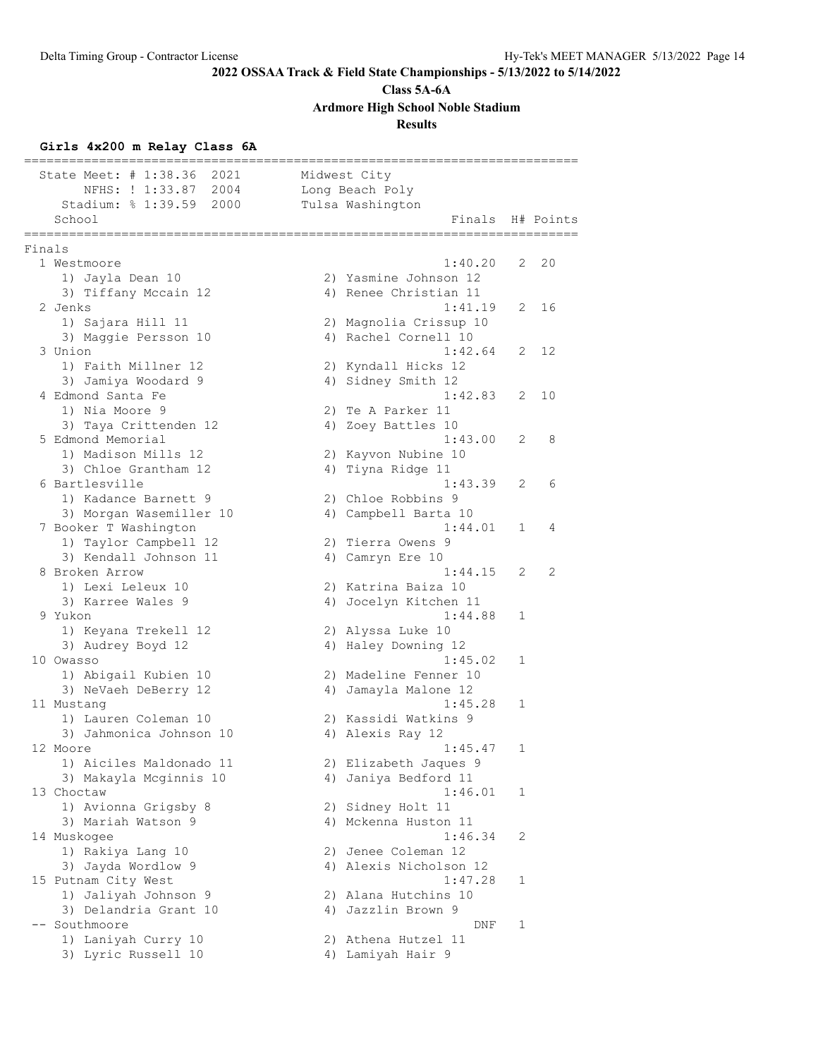**Class 5A-6A**

**Ardmore High School Noble Stadium**

**Results**

# **Girls 4x200 m Relay Class 6A**

|        | State Meet: # 1:38.36<br>2021<br>NFHS: ! 1:33.87<br>2004<br>Stadium: % 1:39.59<br>2000 | Midwest City<br>Long Beach Poly<br>Tulsa Washington |              |           |
|--------|----------------------------------------------------------------------------------------|-----------------------------------------------------|--------------|-----------|
|        | School<br>===========                                                                  | Finals                                              |              | H# Points |
| Finals |                                                                                        |                                                     |              |           |
|        | 1 Westmoore                                                                            | 1:40.20                                             | 2            | 20        |
|        | 1) Jayla Dean 10                                                                       | 2) Yasmine Johnson 12                               |              |           |
|        | 3) Tiffany Mccain 12                                                                   | 4) Renee Christian 11                               |              |           |
|        | 2 Jenks                                                                                | 1:41.19                                             | 2            | 16        |
|        | 1) Sajara Hill 11                                                                      | 2) Magnolia Crissup 10                              |              |           |
|        | 3) Maggie Persson 10                                                                   | 4) Rachel Cornell 10                                |              | 12        |
|        | 3 Union                                                                                | 1:42.64                                             | 2            |           |
|        | 1) Faith Millner 12<br>3) Jamiya Woodard 9                                             | 2) Kyndall Hicks 12<br>4) Sidney Smith 12           |              |           |
|        | 4 Edmond Santa Fe                                                                      | 1:42.83                                             | 2            | 10        |
|        | 1) Nia Moore 9                                                                         | 2) Te A Parker 11                                   |              |           |
|        | 3) Taya Crittenden 12                                                                  | 4) Zoey Battles 10                                  |              |           |
|        | 5 Edmond Memorial                                                                      | 1:43.00                                             | 2            | 8         |
|        | 1) Madison Mills 12                                                                    | 2) Kayvon Nubine 10                                 |              |           |
|        | 3) Chloe Grantham 12                                                                   | 4) Tiyna Ridge 11                                   |              |           |
|        | 6 Bartlesville                                                                         | 1:43.39                                             | 2            | 6         |
|        | 1) Kadance Barnett 9                                                                   | 2) Chloe Robbins 9                                  |              |           |
|        | 3) Morgan Wasemiller 10                                                                | 4) Campbell Barta 10                                |              |           |
|        | 7 Booker T Washington                                                                  | 1:44.01                                             | 1            | 4         |
|        | 1) Taylor Campbell 12                                                                  | 2) Tierra Owens 9                                   |              |           |
|        | 3) Kendall Johnson 11                                                                  | 4) Camryn Ere 10                                    |              |           |
|        | 8 Broken Arrow                                                                         | 1:44.15                                             | 2            | 2         |
|        | 1) Lexi Leleux 10                                                                      | 2) Katrina Baiza 10                                 |              |           |
|        | 3) Karree Wales 9                                                                      | 4) Jocelyn Kitchen 11                               |              |           |
|        | 9 Yukon                                                                                | 1:44.88                                             | 1            |           |
|        | 1) Keyana Trekell 12                                                                   | 2) Alyssa Luke 10                                   |              |           |
|        | 3) Audrey Boyd 12<br>10 Owasso                                                         | 4) Haley Downing 12<br>1:45.02                      | $\mathbf{1}$ |           |
|        | 1) Abigail Kubien 10                                                                   | 2) Madeline Fenner 10                               |              |           |
|        | 3) NeVaeh DeBerry 12                                                                   | 4) Jamayla Malone 12                                |              |           |
|        | 11 Mustang                                                                             | 1:45.28                                             | 1            |           |
|        | 1) Lauren Coleman 10                                                                   | 2) Kassidi Watkins 9                                |              |           |
|        | 3) Jahmonica Johnson 10                                                                | 4) Alexis Ray 12                                    |              |           |
|        | 12 Moore                                                                               | 1:45.47                                             | 1            |           |
|        | 1) Aiciles Maldonado 11                                                                | 2) Elizabeth Jaques 9                               |              |           |
|        | 3) Makayla Mcginnis 10                                                                 | 4) Janiya Bedford 11                                |              |           |
|        | 13 Choctaw                                                                             | 1:46.01                                             | 1            |           |
|        | 1) Avionna Grigsby 8                                                                   | 2) Sidney Holt 11                                   |              |           |
|        | 3) Mariah Watson 9                                                                     | 4) Mckenna Huston 11                                |              |           |
|        | 14 Muskogee                                                                            | 1:46.34                                             | 2            |           |
|        | 1) Rakiya Lang 10                                                                      | 2) Jenee Coleman 12                                 |              |           |
|        | 3) Jayda Wordlow 9                                                                     | 4) Alexis Nicholson 12                              |              |           |
|        | 15 Putnam City West                                                                    | 1:47.28                                             | 1            |           |
|        | 1) Jaliyah Johnson 9                                                                   | 2) Alana Hutchins 10                                |              |           |
|        | 3) Delandria Grant 10<br>-- Southmoore                                                 | 4) Jazzlin Brown 9<br>DNF                           | 1            |           |
|        | 1) Laniyah Curry 10                                                                    | 2) Athena Hutzel 11                                 |              |           |
|        | 3) Lyric Russell 10                                                                    | 4) Lamiyah Hair 9                                   |              |           |
|        |                                                                                        |                                                     |              |           |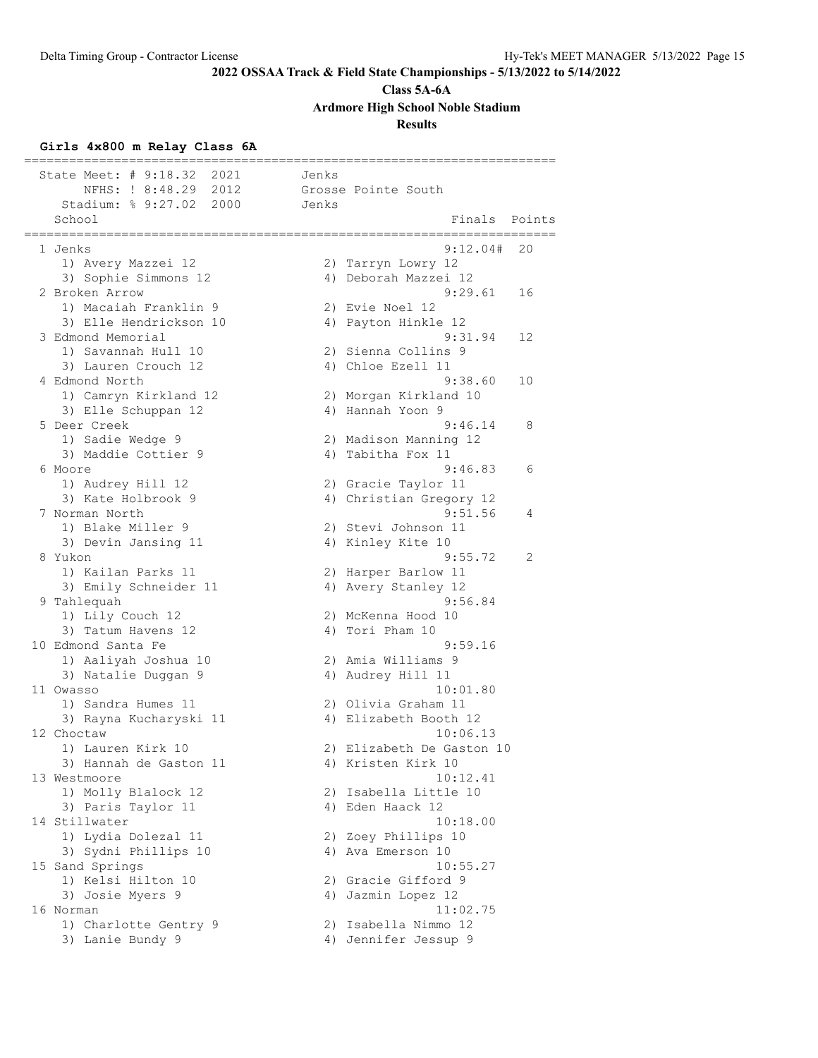**Class 5A-6A**

**Ardmore High School Noble Stadium**

# **Results**

# **Girls 4x800 m Relay Class 6A**

| State Meet: # 9:18.32<br>2021                          | Jenks |                                        |
|--------------------------------------------------------|-------|----------------------------------------|
| NFHS: ! 8:48.29 2012                                   |       | Grosse Pointe South                    |
| Stadium: % 9:27.02<br>2000                             | Jenks |                                        |
| School<br>====================<br>==================== |       | Finals Points<br>===================== |
| 1 Jenks                                                |       | 9:12.04#<br>20                         |
| 1) Avery Mazzei 12                                     |       | 2) Tarryn Lowry 12                     |
| 3) Sophie Simmons 12                                   |       | 4) Deborah Mazzei 12                   |
| 2 Broken Arrow                                         |       | 9:29.61<br>16                          |
| 1) Macaiah Franklin 9                                  |       | 2) Evie Noel 12                        |
| 3) Elle Hendrickson 10                                 |       | 4) Payton Hinkle 12                    |
| 3 Edmond Memorial                                      |       | 9:31.94<br>12                          |
| 1) Savannah Hull 10                                    |       | 2) Sienna Collins 9                    |
| 3) Lauren Crouch 12                                    |       | 4) Chloe Ezell 11                      |
| 4 Edmond North                                         |       | 9:38.60<br>10                          |
| 1) Camryn Kirkland 12                                  |       | 2) Morgan Kirkland 10                  |
| 3) Elle Schuppan 12                                    |       | 4) Hannah Yoon 9                       |
| 5 Deer Creek                                           |       | 9:46.14<br>8                           |
| 1) Sadie Wedge 9                                       |       | 2) Madison Manning 12                  |
| 3) Maddie Cottier 9                                    |       | 4) Tabitha Fox 11                      |
| 6 Moore                                                |       | 9:46.83<br>6                           |
| 1) Audrey Hill 12                                      |       | 2) Gracie Taylor 11                    |
| 3) Kate Holbrook 9                                     |       | 4) Christian Gregory 12                |
| 7 Norman North                                         |       | 9:51.56<br>4                           |
| 1) Blake Miller 9                                      |       | 2) Stevi Johnson 11                    |
| 3) Devin Jansing 11                                    |       | 4) Kinley Kite 10                      |
| 8 Yukon                                                |       | 9:55.72<br>2                           |
| 1) Kailan Parks 11                                     |       | 2) Harper Barlow 11                    |
| 3) Emily Schneider 11                                  |       | 4) Avery Stanley 12                    |
| 9 Tahlequah                                            |       | 9:56.84                                |
| 1) Lily Couch 12                                       |       | 2) McKenna Hood 10                     |
| 3) Tatum Havens 12                                     |       | 4) Tori Pham 10                        |
| 10 Edmond Santa Fe                                     |       | 9:59.16                                |
| 1) Aaliyah Joshua 10                                   |       | 2) Amia Williams 9                     |
| 3) Natalie Duggan 9                                    |       | 4) Audrey Hill 11                      |
| 11 Owasso                                              |       | 10:01.80                               |
| 1) Sandra Humes 11                                     |       | 2) Olivia Graham 11                    |
| 3) Rayna Kucharyski 11                                 |       | 4) Elizabeth Booth 12                  |
| 12 Choctaw                                             |       | 10:06.13                               |
| 1) Lauren Kirk 10                                      |       | 2) Elizabeth De Gaston 10              |
| 3) Hannah de Gaston 11                                 |       | 4) Kristen Kirk 10                     |
| 13 Westmoore                                           |       | 10:12.41                               |
| 1) Molly Blalock 12                                    |       | 2) Isabella Little 10                  |
| 3) Paris Taylor 11                                     |       | 4) Eden Haack 12                       |
| 14 Stillwater                                          |       | 10:18.00                               |
| 1) Lydia Dolezal 11                                    |       | 2) Zoey Phillips 10                    |
| 3) Sydni Phillips 10                                   |       | 4) Ava Emerson 10                      |
| 15 Sand Springs                                        |       | 10:55.27                               |
| 1) Kelsi Hilton 10                                     |       | 2) Gracie Gifford 9                    |
| 3) Josie Myers 9                                       |       | 4) Jazmin Lopez 12                     |
| 16 Norman                                              |       | 11:02.75                               |
| 1) Charlotte Gentry 9                                  |       | 2) Isabella Nimmo 12                   |
| 3) Lanie Bundy 9                                       |       | 4) Jennifer Jessup 9                   |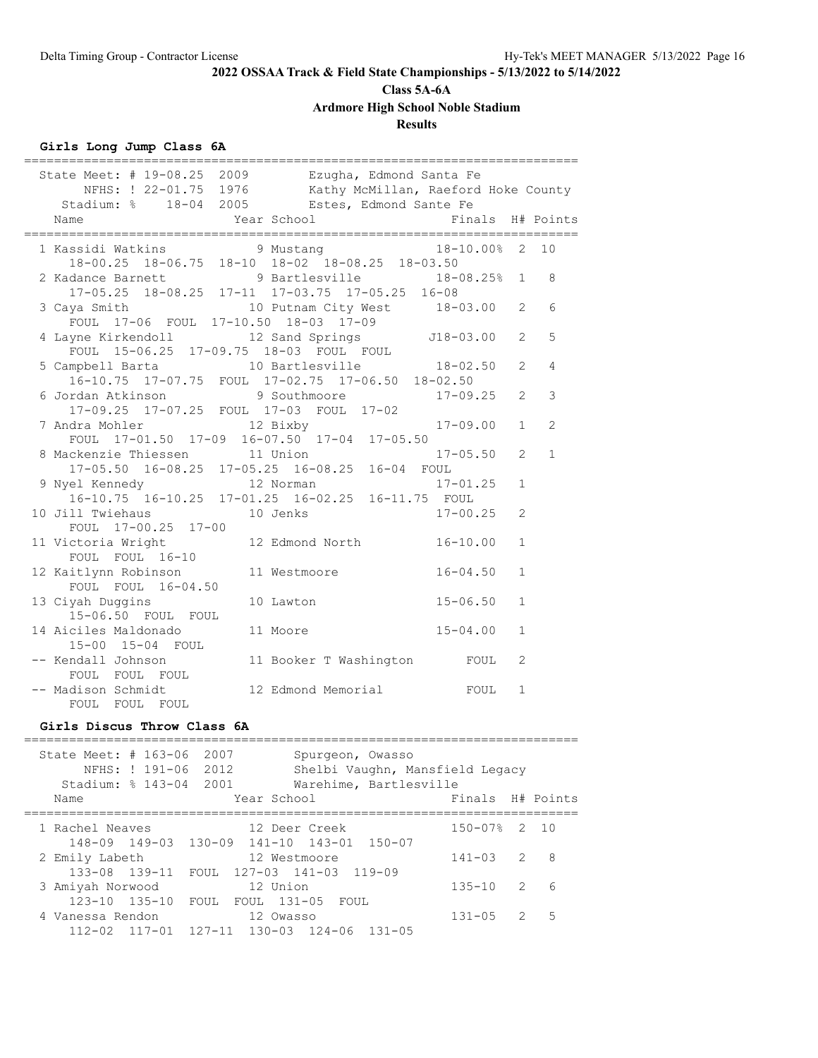# **Class 5A-6A**

**Ardmore High School Noble Stadium**

# **Results**

# **Girls Long Jump Class 6A**

| State Meet: # 19-08.25 2009 Ezugha, Edmond Santa Fe<br>NFHS: ! 22-01.75 1976 Kathy McMillan, Raeford Hoke County<br>Stadium: % 18-04 2005 Estes, Edmond Sante Fe |                             |              |                |                |
|------------------------------------------------------------------------------------------------------------------------------------------------------------------|-----------------------------|--------------|----------------|----------------|
| Year School The Finals H# Points<br>Name                                                                                                                         |                             |              |                |                |
| 1 Kassidi Watkins 9 Mustang 18-10.00% 2 10<br>18-00.25 18-06.75 18-10 18-02 18-08.25 18-03.50                                                                    |                             |              |                |                |
| 2 Kadance Barnett 9 Bartlesville 18-08.25% 1<br>17-05.25 18-08.25 17-11 17-03.75 17-05.25 16-08                                                                  |                             |              |                | 8              |
| 3 Caya Smith 10 Putnam City West 18-03.00<br>FOUL 17-06 FOUL 17-10.50 18-03 17-09                                                                                |                             |              | 2              | 6              |
| 4 Layne Kirkendoll 12 Sand Springs 518-03.00<br>FOUL 15-06.25 17-09.75 18-03 FOUL FOUL                                                                           |                             |              | $\overline{2}$ | 5              |
| 16-10.75 17-07.75 FOUL 17-02.75 17-06.50 18-02.50                                                                                                                |                             |              | $\overline{2}$ | 4              |
| 6 Jordan Atkinson 5 9 Southmoore<br>17-09.25 17-07.25 FOUL 17-03 FOUL 17-02                                                                                      |                             | $17 - 09.25$ | $\overline{2}$ | 3              |
| 7 Andra Mohler 12 Bixby<br>FOUL 17-01.50 17-09 16-07.50 17-04 17-05.50                                                                                           |                             | $17 - 09.00$ | $\mathbf{1}$   | $\overline{2}$ |
| 8 Mackenzie Thiessen 11 Union<br>17-05.50 16-08.25 17-05.25 16-08.25 16-04 FOUL                                                                                  |                             | $17 - 05.50$ | $\overline{2}$ | $\mathbf{1}$   |
| 9 Nyel Kennedy 12 Norman<br>16-10.75 16-10.25 17-01.25 16-02.25 16-11.75 FOUL                                                                                    |                             | $17 - 01.25$ | $\mathbf{1}$   |                |
| 10 Jill Twiehaus 10 Jenks<br>FOUL 17-00.25 17-00                                                                                                                 |                             | $17 - 00.25$ | $\overline{c}$ |                |
| 11 Victoria Wright 12 Edmond North<br>FOUL FOUL 16-10                                                                                                            |                             | $16 - 10.00$ | $\mathbf{1}$   |                |
| 12 Kaitlynn Robinson<br>11 Westmoore<br>FOUL FOUL 16-04.50                                                                                                       |                             | $16 - 04.50$ | $\mathbf{1}$   |                |
| 13 Ciyah Duggins<br>10 Lawton<br>15-06.50 FOUL FOUL                                                                                                              |                             | $15 - 06.50$ | $\mathbf{1}$   |                |
| 14 Aiciles Maldonado<br>11 Moore<br>15-00 15-04 FOUL                                                                                                             |                             | $15 - 04.00$ | $\mathbf{1}$   |                |
| -- Kendall Johnson<br>FOUL FOUL FOUL                                                                                                                             | 11 Booker T Washington FOUL |              | 2              |                |
| -- Madison Schmidt<br>FOUL FOUL FOUL                                                                                                                             | 12 Edmond Memorial          | FOUL         | $\mathbf{1}$   |                |

#### **Girls Discus Throw Class 6A**

| State Meet: $\#$ 163-06<br>Stadium: $% 143-04$<br>Name | NFHS: ! 191-06       | 2007<br>2012<br>2001 | Spurgeon, Owasso<br>Year School | Shelbi Vaughn, Mansfield Legacy<br>Warehime, Bartlesville | Finals      |               | H# Points |
|--------------------------------------------------------|----------------------|----------------------|---------------------------------|-----------------------------------------------------------|-------------|---------------|-----------|
| 1 Rachel Neaves                                        |                      |                      | 12 Deer Creek                   |                                                           | $150 - 07%$ | $\mathcal{P}$ | - 1 O     |
|                                                        | 148-09 149-03 130-09 |                      | $141 - 10$ $143 - 01$           | $150 - 07$                                                |             |               |           |
| 2 Emily Labeth                                         |                      |                      | 12 Westmoore                    |                                                           | $141 - 03$  | $\mathcal{L}$ | 8         |
| $133 - 08$ $139 - 11$                                  |                      | FOUL                 | 127-03 141-03 119-09            |                                                           |             |               |           |
| 3 Amiyah Norwood                                       |                      |                      | 12 Union                        |                                                           | $135 - 10$  | $\mathcal{L}$ | 6         |
| $123 - 10$ $135 - 10$                                  |                      | FOUL                 | FOUL 131-05<br>FOUL             |                                                           |             |               |           |
| 4 Vanessa Rendon                                       |                      |                      | 12 Owasso                       |                                                           | $131 - 05$  | $\mathcal{P}$ | 5         |
| $112 - 02$                                             | $117 - 01$           | $127 - 11$           | $130 - 03$<br>$124 - 06$        | $131 - 05$                                                |             |               |           |

==========================================================================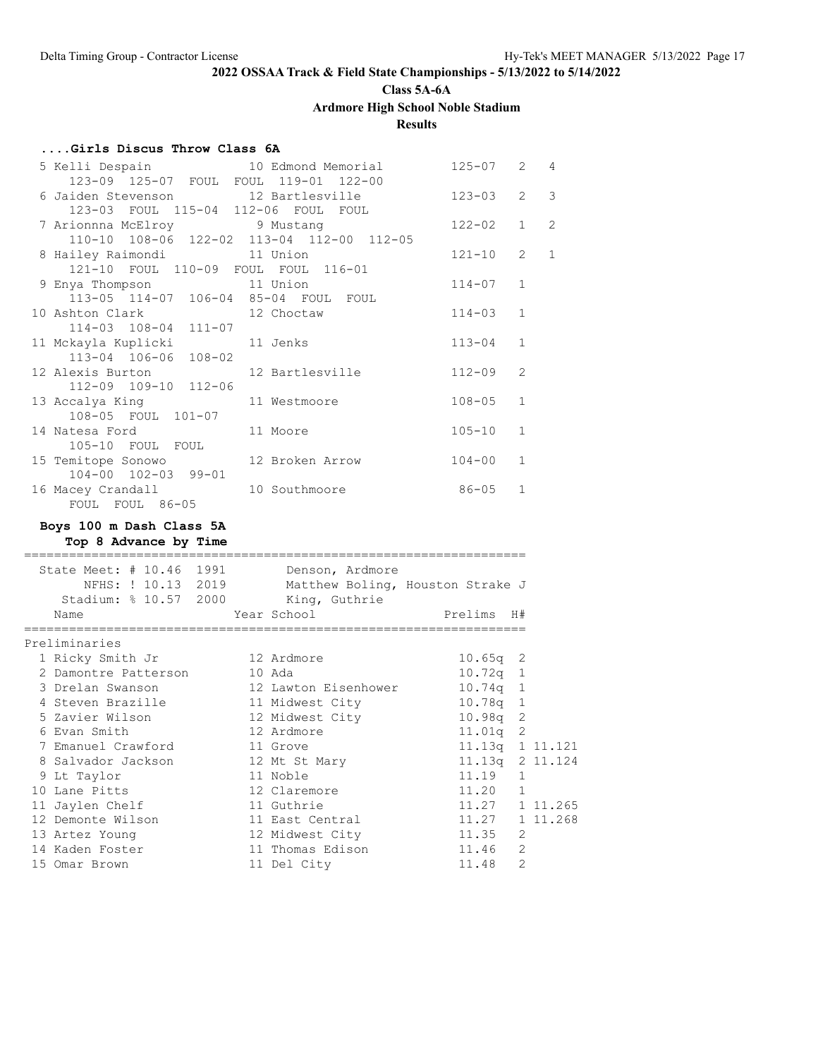**Class 5A-6A**

**Ardmore High School Noble Stadium**

**Results**

### **....Girls Discus Throw Class 6A**

| 5 Kelli Despain and 10 Edmond Memorial             |                 | 125-07     | 2              | $\overline{4}$ |
|----------------------------------------------------|-----------------|------------|----------------|----------------|
| 123-09 125-07 FOUL FOUL 119-01 122-00              |                 |            |                |                |
| 6 Jaiden Stevenson 12 Bartlesville                 |                 | $123 - 03$ | 2              | $\mathcal{E}$  |
| 123-03 FOUL 115-04 112-06 FOUL FOUL                |                 |            |                |                |
| 7 Arionnna McElroy 19 Mustang                      |                 | $122 - 02$ | $\mathbf{1}$   | $\overline{c}$ |
| 110-10 108-06 122-02 113-04 112-00 112-05          |                 |            |                |                |
| 8 Hailey Raimondi 11 Union                         |                 | $121 - 10$ | $\overline{2}$ | $\mathbf{1}$   |
| 121-10 FOUL 110-09 FOUL FOUL 116-01                |                 |            |                |                |
| 9 Enya Thompson 11 Union                           |                 | $114 - 07$ | $\mathbf{1}$   |                |
| 113-05 114-07 106-04 85-04 FOUL FOUL               |                 |            | $\mathbf{1}$   |                |
| 10 Ashton Clark 12 Choctaw<br>114-03 108-04 111-07 |                 | $114 - 03$ |                |                |
| 11 Mckayla Kuplicki               11 Jenks         |                 | $113 - 04$ | $\mathbf{1}$   |                |
| 113-04 106-06 108-02                               |                 |            |                |                |
| 12 Alexis Burton                                   | 12 Bartlesville | $112 - 09$ | $\overline{2}$ |                |
| 112-09 109-10 112-06                               |                 |            |                |                |
| 13 Accalya King                                    | 11 Westmoore    | $108 - 05$ | $\mathbf{1}$   |                |
| 108-05 FOUL 101-07                                 |                 |            |                |                |
| 14 Natesa Ford                                     | 11 Moore        | $105 - 10$ | $\mathbf{1}$   |                |
| 105-10 FOUL FOUL                                   |                 |            |                |                |
| 15 Temitope Sonowo 12 Broken Arrow                 |                 | $104 - 00$ | $\mathbf{1}$   |                |
| 104-00 102-03 99-01                                |                 |            |                |                |
| 16 Macey Crandall                                  | 10 Southmoore   | $86 - 05$  | $\mathbf{1}$   |                |
| FOUL FOUL 86-05                                    |                 |            |                |                |

### **Boys 100 m Dash Class 5A**

**Top 8 Advance by Time**

| State Meet: # 10.46 1991 Denson, Ardmore<br>NFHS: ! 10.13 2019<br>Stadium: % 10.57 2000 King, Guthrie<br>Name<br>====================== | Matthew Boling, Houston Strake J<br>Year School in the School and the School and School | Prelims H#<br>=========================== |                |  |
|-----------------------------------------------------------------------------------------------------------------------------------------|-----------------------------------------------------------------------------------------|-------------------------------------------|----------------|--|
| Preliminaries                                                                                                                           |                                                                                         |                                           |                |  |
| 1 Ricky Smith Jr 12 Ardmore                                                                                                             |                                                                                         | $10.65q$ 2                                |                |  |
| 2 Damontre Patterson                                                                                                                    | 10 Ada                                                                                  | $10.72q$ 1                                |                |  |
| 3 Drelan Swanson                                                                                                                        | 12 Lawton Eisenhower 10.74g 1                                                           |                                           |                |  |
| 4 Steven Brazille                                                                                                                       | 11 Midwest City 10.78q 1                                                                |                                           |                |  |
| 5 Zavier Wilson                                                                                                                         | 12 Midwest City 10.98q 2                                                                |                                           |                |  |
| 6 Evan Smith                                                                                                                            | 12 Ardmore                                                                              | $11.01q$ 2                                |                |  |
| 7 Emanuel Crawford                                                                                                                      | 11 Grove                                                                                | $11.13q$ 1 $11.121$                       |                |  |
| 8 Salvador Jackson                                                                                                                      | 12 Mt St Mary                                                                           | $11.13q$ 2 11.124                         |                |  |
| 9 Lt Taylor                                                                                                                             | 11 Noble                                                                                | 11.19                                     | $\mathbf{1}$   |  |
| 10 Lane Pitts                                                                                                                           | 12 Claremore                                                                            | $11.20$ 1                                 |                |  |
| 11 Jaylen Chelf                                                                                                                         | 11 Guthrie                                                                              | 11.27 1 11.265                            |                |  |
| 12 Demonte Wilson                                                                                                                       | 11 East Central                                                                         | 11.27 1 11.268                            |                |  |
| 13 Artez Young                                                                                                                          | 12 Midwest City                                                                         | 11.35                                     | 2              |  |
| 14 Kaden Foster                                                                                                                         | 11 Thomas Edison                                                                        | 11.46 2                                   |                |  |
| 15 Omar Brown                                                                                                                           | 11 Del City                                                                             | 11.48                                     | $\overline{2}$ |  |
|                                                                                                                                         |                                                                                         |                                           |                |  |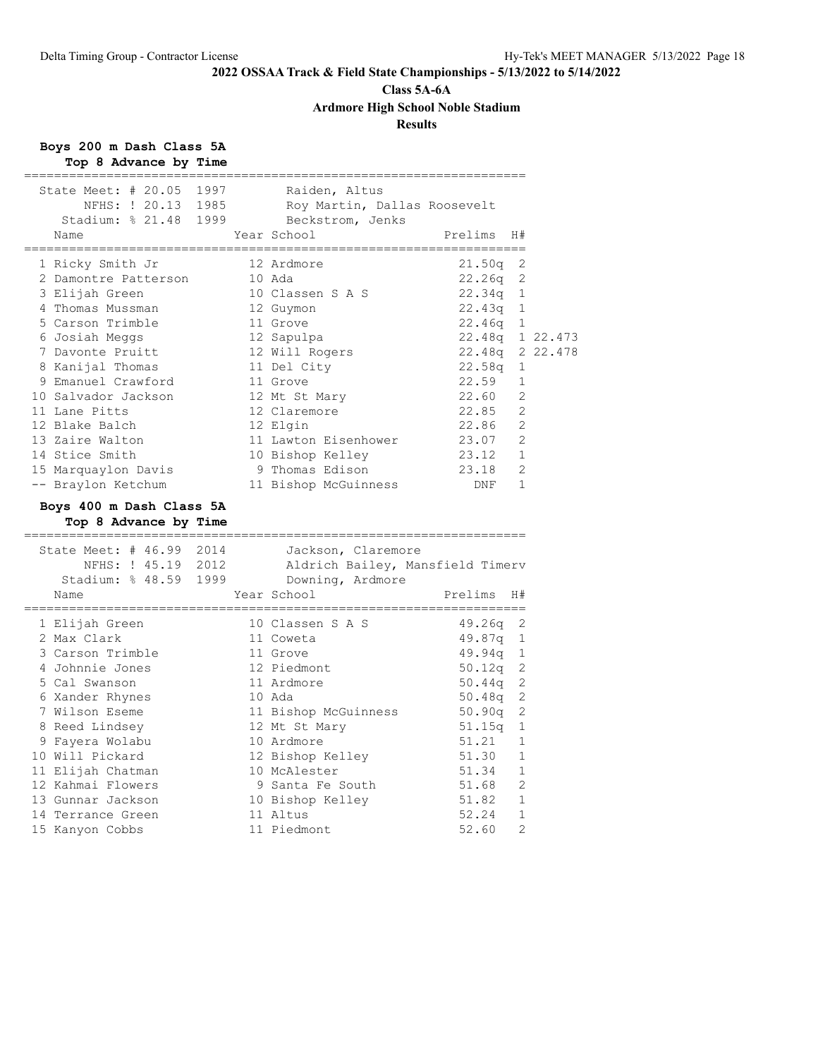# **Class 5A-6A**

**Ardmore High School Noble Stadium**

# **Results**

# **Boys 200 m Dash Class 5A**

| Top 8 Advance by Time                                                     |      |                                                                            |                                     |                |  |
|---------------------------------------------------------------------------|------|----------------------------------------------------------------------------|-------------------------------------|----------------|--|
| State Meet: $\#$ 20.05<br>NFHS: ! 20.13 1985<br>Stadium: % 21.48 1999     | 1997 | Raiden, Altus<br>Roy Martin, Dallas Roosevelt<br>Beckstrom, Jenks          |                                     |                |  |
| Name                                                                      |      | Year School                                                                | Prelims<br>________________________ | H#             |  |
| 1 Ricky Smith Jr                                                          |      | 12 Ardmore                                                                 | 21.50q                              | 2              |  |
| 2 Damontre Patterson                                                      |      | 10 Ada                                                                     | 22.26q                              | 2              |  |
| 3 Elijah Green                                                            |      | 10 Classen S A S                                                           | 22.34q                              | 1              |  |
| 4 Thomas Mussman                                                          |      | 12 Guymon                                                                  | $22.43q$ 1                          |                |  |
| 5 Carson Trimble                                                          |      | 11 Grove                                                                   | $22.46q$ 1                          |                |  |
| 6 Josiah Meggs                                                            |      | 12 Sapulpa                                                                 | 22.48q 1 22.473                     |                |  |
| 7 Davonte Pruitt                                                          |      | 12 Will Rogers                                                             | 22.48q 2 22.478                     |                |  |
| 8 Kanijal Thomas                                                          |      | 11 Del City                                                                | 22.58q                              | 1              |  |
| 9 Emanuel Crawford                                                        |      | 11 Grove                                                                   | 22.59                               | 1              |  |
| 10 Salvador Jackson                                                       |      | 12 Mt St Mary                                                              | 22.60                               | 2              |  |
| 11 Lane Pitts                                                             |      | 12 Claremore                                                               | 22.85                               | 2              |  |
| 12 Blake Balch                                                            |      | 12 Elgin                                                                   | 22.86                               | $\overline{2}$ |  |
| 13 Zaire Walton                                                           |      | 11 Lawton Eisenhower                                                       | 23.07                               | $\overline{2}$ |  |
| 14 Stice Smith                                                            |      | 10 Bishop Kelley                                                           | 23.12                               | $\mathbf{1}$   |  |
| 15 Marquaylon Davis                                                       |      | 9 Thomas Edison                                                            | 23.18                               | 2              |  |
| -- Braylon Ketchum                                                        |      | 11 Bishop McGuinness                                                       | DNF                                 | 1              |  |
| Boys 400 m Dash Class 5A<br>Top 8 Advance by Time<br>==================== |      | =================================                                          |                                     |                |  |
| State Meet: # 46.99 2014<br>NFHS: ! 45.19 2012<br>Stadium: % 48.59 1999   |      | Jackson, Claremore<br>Aldrich Bailey, Mansfield Timerv<br>Downing, Ardmore |                                     |                |  |
| Name                                                                      |      | Year School<br>================                                            | Prelims                             | H#             |  |
| 1 Elijah Green                                                            |      | 10 Classen S A S                                                           | 49.26q                              | 2              |  |
| 2 Max Clark                                                               |      | 11 Coweta                                                                  | $49.87q$ 1                          |                |  |
| 3 Carson Trimble                                                          |      | 11 Grove                                                                   | $49.94q$ 1                          |                |  |
| 4 Johnnie Jones                                                           |      | 12 Piedmont                                                                | 50.12q                              | 2              |  |
| 5 Cal Swanson                                                             |      | 11 Ardmore                                                                 | 50.44q                              | 2              |  |
| 6 Xander Rhynes                                                           |      | 10 Ada                                                                     | 50.48q                              | 2              |  |
|                                                                           |      |                                                                            |                                     |                |  |
| 7 Wilson Eseme                                                            |      | 11 Bishop McGuinness                                                       | 50.90q                              | $\mathbf{2}$   |  |
| 8 Reed Lindsey                                                            |      | 12 Mt St Mary                                                              | 51.15q                              | 1              |  |
| 9 Fayera Wolabu                                                           |      | 10 Ardmore                                                                 | 51.21                               | 1              |  |
| 10 Will Pickard                                                           |      | 12 Bishop Kelley                                                           | 51.30                               | 1              |  |
| 11 Elijah Chatman                                                         |      | 10 McAlester                                                               | 51.34                               | $\mathbf{1}$   |  |
| 12 Kahmai Flowers                                                         |      | 9 Santa Fe South                                                           | 51.68                               | 2              |  |
| 13 Gunnar Jackson                                                         |      | 10 Bishop Kelley                                                           | 51.82 1                             |                |  |
| 14 Terrance Green                                                         |      | 11 Altus                                                                   | 52.24                               | $\mathbf{1}$   |  |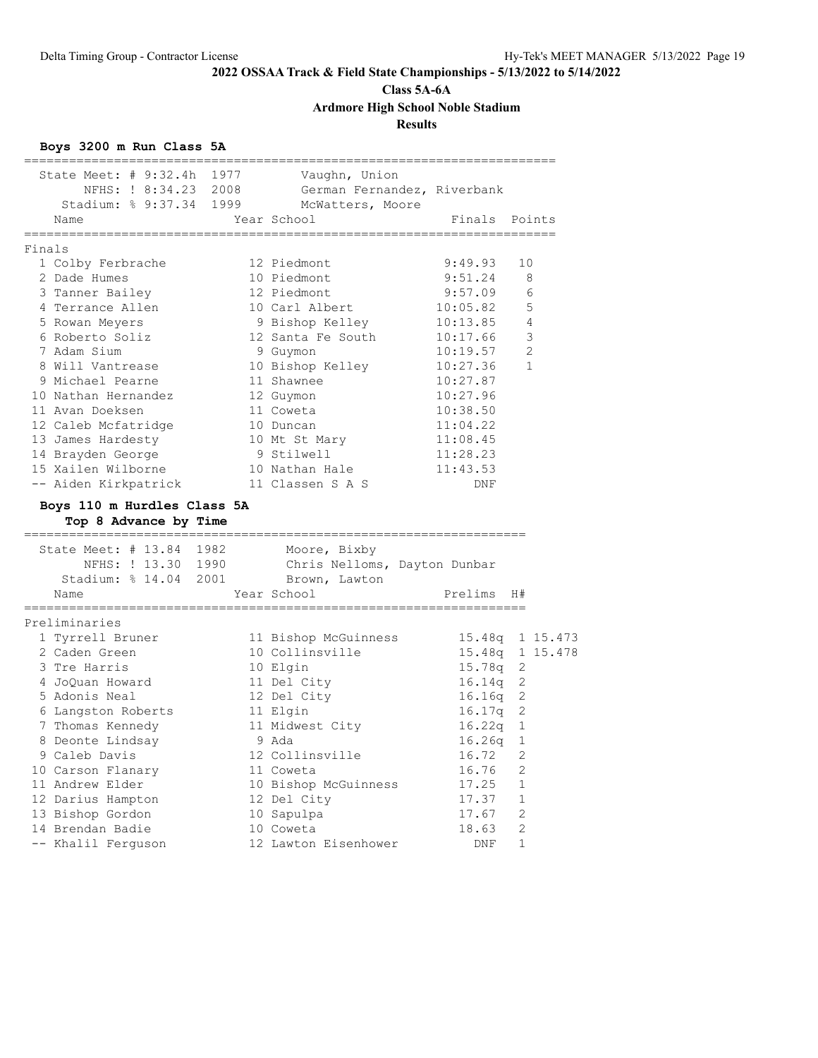# **Class 5A-6A**

**Ardmore High School Noble Stadium**

# **Results**

# **Boys 3200 m Run Class 5A**

| State Meet: # 9:32.4h 1977<br>NFHS: ! 8:34.23 2008                                                                               | Vaugnn, Union<br>German Fernandez, Riverbank |               |                 |
|----------------------------------------------------------------------------------------------------------------------------------|----------------------------------------------|---------------|-----------------|
| Stadium: % 9:37.34 1999                                                                                                          | McWatters, Moore                             |               |                 |
| Name                                                                                                                             | Year School                                  | Finals Points |                 |
| Finals                                                                                                                           |                                              |               |                 |
| 1 Colby Ferbrache                                                                                                                | 12 Piedmont                                  | 9:49.93       | 10              |
| 2 Dade Humes                                                                                                                     | 10 Piedmont                                  | 9:51.24       | 8               |
| 3 Tanner Bailey                                                                                                                  | 12 Piedmont                                  | 9:57.09       | 6               |
| 4 Terrance Allen                                                                                                                 | 10 Carl Albert                               | 10:05.82      | 5               |
| 5 Rowan Meyers                                                                                                                   | 9 Bishop Kelley                              | 10:13.85      | $\overline{4}$  |
| 6 Roberto Soliz                                                                                                                  | 12 Santa Fe South                            | 10:17.66      | 3               |
| 7 Adam Sium                                                                                                                      | 9 Guymon                                     | 10:19.57      | 2               |
| 8 Will Vantrease                                                                                                                 | 10 Bishop Kelley                             | 10:27.36      | 1               |
| 9 Michael Pearne                                                                                                                 | 11 Shawnee                                   | 10:27.87      |                 |
| 10 Nathan Hernandez                                                                                                              | 12 Guymon                                    | 10:27.96      |                 |
| 11 Avan Doeksen                                                                                                                  | 11 Coweta                                    | 10:38.50      |                 |
| 12 Caleb Mcfatridge                                                                                                              | 10 Duncan                                    | 11:04.22      |                 |
| 13 James Hardesty                                                                                                                | 10 Mt St Mary                                | 11:08.45      |                 |
| 14 Brayden George                                                                                                                |                                              | 11:28.23      |                 |
| 15 Xailen Wilborne                                                                                                               | 9 Stilwell<br>10 Nathan Hale                 | 11:43.53      |                 |
| -- Aiden Kirkpatrick 11 Classen S A S                                                                                            |                                              | DNF           |                 |
| --------------------------<br>State Meet: # 13.84 1982 Moore, Bixby<br>NFHS: ! 13.30 1990<br>Stadium: % 14.04 2001 Brown, Lawton | Chris Nelloms, Dayton Dunbar                 |               |                 |
| Name                                                                                                                             | Year School                                  | Prelims       | H#              |
|                                                                                                                                  |                                              |               |                 |
| Preliminaries                                                                                                                    |                                              |               |                 |
| 1 Tyrrell Bruner                                                                                                                 | 11 Bishop McGuinness                         |               | 15.48q 1 15.473 |
| 2 Caden Green                                                                                                                    | 10 Collinsville                              |               | 15.48q 1 15.478 |
| 3 Tre Harris                                                                                                                     | 10 Elgin                                     | $15.78q$ 2    |                 |
| 4 JoQuan Howard                                                                                                                  | 11 Del City                                  | 16.14q 2      |                 |
| 5 Adonis Neal                                                                                                                    | 12 Del City                                  | 16.16q        | 2               |
| 6 Langston Roberts                                                                                                               | 11 Elgin                                     | 16.17q        | 2               |
| 7 Thomas Kennedy                                                                                                                 | 11 Midwest City                              | 16.22q        | 1               |
| 8 Deonte Lindsay                                                                                                                 | 9 Ada                                        | 16.26q        | $\mathbf{1}$    |
| 9 Caleb Davis                                                                                                                    | 12 Collinsville                              | 16.72         | 2               |
| 10 Carson Flanary                                                                                                                | 11 Coweta                                    | 16.76         | 2               |
| 11 Andrew Elder                                                                                                                  | 10 Bishop McGuinness                         | 17.25         | $\overline{1}$  |
| 12 Darius Hampton                                                                                                                | 12 Del City                                  | $17.37$ 1     |                 |
| 13 Bishop Gordon                                                                                                                 | 10 Sapulpa                                   | 17.67         | $\overline{2}$  |
| 14 Brendan Badie                                                                                                                 | 10 Coweta                                    | 18.63         | 2               |
|                                                                                                                                  | 12 Lawton Eisenhower                         | DNF           | $\mathbf{1}$    |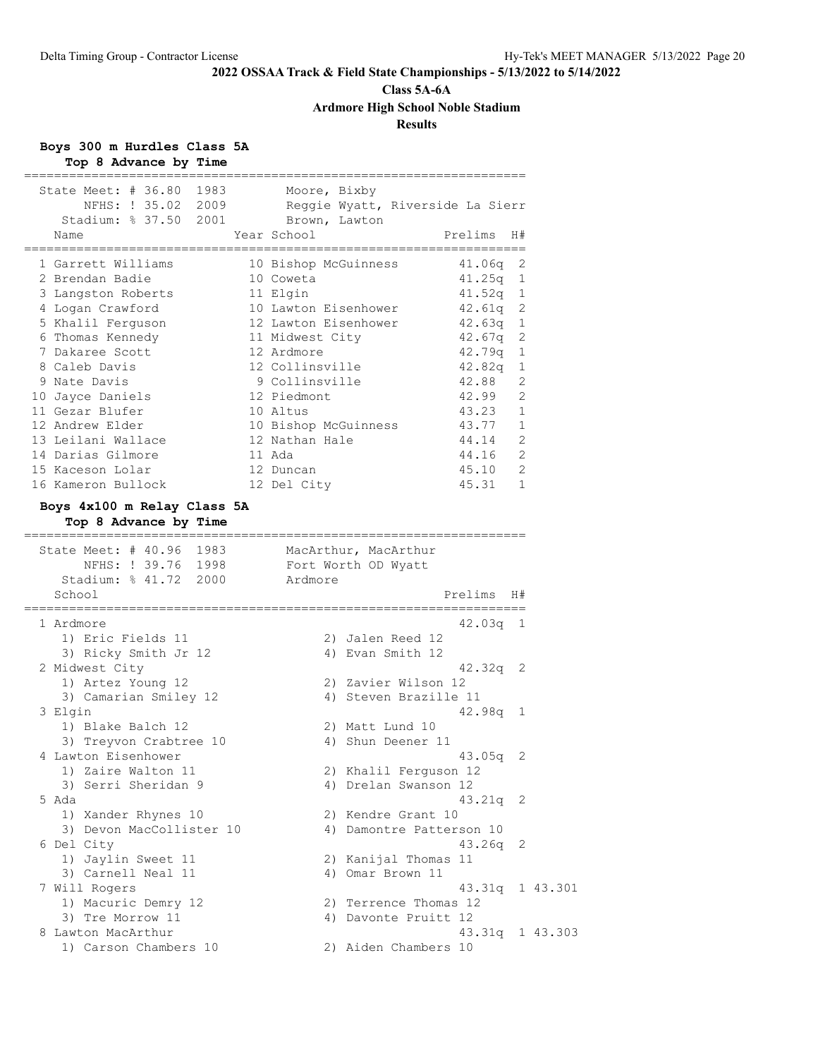# **Class 5A-6A Ardmore High School Noble Stadium**

# **Results**

|  |  |                       | Boys 300 m Hurdles Class 5A |  |
|--|--|-----------------------|-----------------------------|--|
|  |  | Top 8 Advance by Time |                             |  |

| NFHS: ! 35.02 2009<br>Stadium: % 37.50 2001<br>Name | Moore, Bixby<br>Reggie Wyatt, Riverside La Sierr<br>Brown, Lawton<br>Year School | Prelims         | H#       |  |
|-----------------------------------------------------|----------------------------------------------------------------------------------|-----------------|----------|--|
| 1 Garrett Williams                                  | 10 Bishop McGuinness                                                             | 41.06q          | 2        |  |
| 2 Brendan Badie                                     | 10 Coweta                                                                        | $41.25q$ 1      |          |  |
| 3 Langston Roberts                                  | 11 Elgin                                                                         | 41.52q          | 1        |  |
| 4 Logan Crawford                                    | 10 Lawton Eisenhower                                                             | 42.61q 2        |          |  |
| 5 Khalil Ferquson                                   | 12 Lawton Eisenhower                                                             | $42.63q$ 1      |          |  |
| 6 Thomas Kennedy                                    | 11 Midwest City                                                                  | 42.67q          | 2        |  |
| 7 Dakaree Scott                                     | 12 Ardmore                                                                       | 42.79q 1        |          |  |
| 8 Caleb Davis                                       | 12 Collinsville                                                                  | 42.82q          | 1        |  |
| 9 Nate Davis                                        | 9 Collinsville                                                                   | 42.88           | 2        |  |
| 10 Jayce Daniels                                    | 12 Piedmont                                                                      | 42.99           | 2        |  |
| 11 Gezar Blufer                                     | 10 Altus                                                                         | 43.23           | 1        |  |
| 12 Andrew Elder                                     | 10 Bishop McGuinness                                                             | 43.77           | - 1      |  |
| 13 Leilani Wallace                                  | 12 Nathan Hale                                                                   | 44.14           | 2        |  |
| 14 Darias Gilmore                                   | 11 Ada                                                                           | 44.16           | 2        |  |
| 15 Kaceson Lolar                                    | 12 Duncan                                                                        | 45.10           | 2        |  |
| 16 Kameron Bullock                                  | 12 Del City                                                                      | 45.31           | 1        |  |
| Boys 4x100 m Relay Class 5A                         |                                                                                  |                 |          |  |
| Top 8 Advance by Time                               |                                                                                  |                 |          |  |
| Stadium: % 41.72 2000<br>School                     | NFHS: ! 39.76 1998 Fort Worth OD Wyatt<br>Ardmore<br>===============             | Prelims         | H#       |  |
| 1 Ardmore                                           |                                                                                  | 42.03q 1        |          |  |
|                                                     |                                                                                  |                 |          |  |
| 1) Eric Fields 11                                   | 2) Jalen Reed 12                                                                 |                 |          |  |
| 3) Ricky Smith Jr 12                                | 4) Evan Smith 12                                                                 |                 |          |  |
| 2 Midwest City                                      |                                                                                  | $42.32q$ 2      |          |  |
|                                                     | 2) Zavier Wilson 12                                                              |                 |          |  |
| 1) Artez Young 12<br>3) Camarian Smiley 12          | 4) Steven Brazille 11                                                            |                 |          |  |
| 3 Elgin                                             |                                                                                  | $42.98q$ 1      |          |  |
| 1) Blake Balch 12                                   | 2) Matt Lund 10                                                                  |                 |          |  |
| 3) Treyvon Crabtree 10                              | 4) Shun Deener 11                                                                |                 |          |  |
| 4 Lawton Eisenhower                                 |                                                                                  | 43.05q          | 2        |  |
| 1) Zaire Walton 11                                  |                                                                                  |                 |          |  |
| 3) Serri Sheridan 9                                 | 2) Khalil Ferguson 12<br>4) Drelan Swanson 12                                    |                 |          |  |
| 5 Ada                                               |                                                                                  | 43.21q 2        |          |  |
|                                                     | 2) Kendre Grant 10                                                               |                 |          |  |
| 1) Xander Rhynes 10<br>3) Devon MacCollister 10     | 4) Damontre Patterson 10                                                         |                 |          |  |
| 6 Del City                                          |                                                                                  | 43.26q          | 2        |  |
|                                                     |                                                                                  |                 |          |  |
| 1) Jaylin Sweet 11<br>3) Carnell Neal 11            | 2) Kanijal Thomas 11<br>4) Omar Brown 11                                         |                 |          |  |
|                                                     |                                                                                  |                 |          |  |
| 7 Will Rogers                                       |                                                                                  | 43.31q          | 1 43.301 |  |
| 1) Macuric Demry 12                                 | 2) Terrence Thomas 12                                                            |                 |          |  |
| 3) Tre Morrow 11<br>8 Lawton MacArthur              | 4) Davonte Pruitt 12                                                             | 43.31q 1 43.303 |          |  |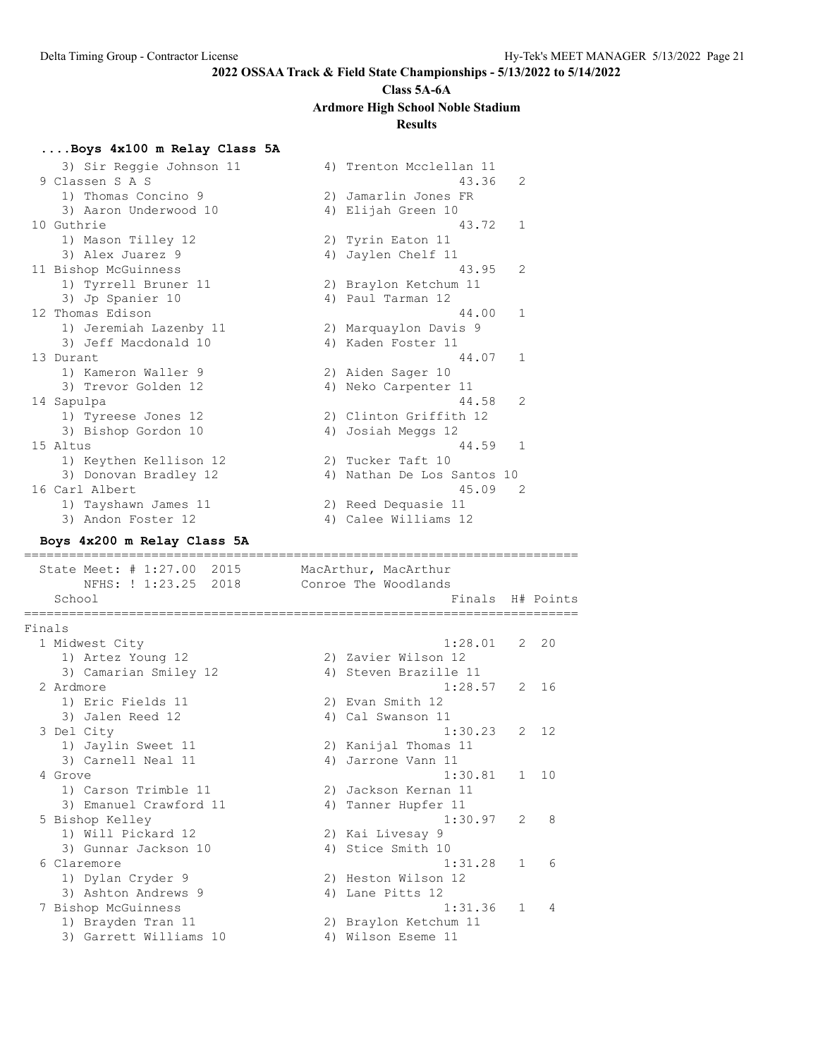# **Class 5A-6A Ardmore High School Noble Stadium**

# **Results**

# **....Boys 4x100 m Relay Class 5A**

| 3) Sir Reggie Johnson 11<br>9 Classen S A S<br>1) Thomas Concino 9 | 4) Trenton Mcclellan 11<br>43.36<br>2) Jamarlin Jones FR | 2 |    |
|--------------------------------------------------------------------|----------------------------------------------------------|---|----|
| 3) Aaron Underwood 10                                              | 4) Elijah Green 10                                       |   |    |
| 10 Guthrie                                                         | 43.72                                                    | 1 |    |
| 1) Mason Tilley 12                                                 | 2) Tyrin Eaton 11                                        |   |    |
| 3) Alex Juarez 9                                                   | 4) Jaylen Chelf 11                                       |   |    |
| 11 Bishop McGuinness                                               | 43.95                                                    | 2 |    |
| 1) Tyrrell Bruner 11                                               | 2) Braylon Ketchum 11                                    |   |    |
| 3) Jp Spanier 10                                                   | 4) Paul Tarman 12                                        |   |    |
| 12 Thomas Edison                                                   | 44.00                                                    | 1 |    |
| 1) Jeremiah Lazenby 11                                             | 2) Marquaylon Davis 9                                    |   |    |
| 3) Jeff Macdonald 10                                               | 4) Kaden Foster 11                                       |   |    |
| 13 Durant                                                          | 44.07                                                    | 1 |    |
| 1) Kameron Waller 9                                                | 2) Aiden Sager 10                                        |   |    |
| 3) Trevor Golden 12                                                | 4) Neko Carpenter 11                                     |   |    |
|                                                                    | 44.58                                                    | 2 |    |
| 14 Sapulpa                                                         |                                                          |   |    |
| 1) Tyreese Jones 12                                                | 2) Clinton Griffith 12                                   |   |    |
| 3) Bishop Gordon 10                                                | 4) Josiah Meggs 12                                       |   |    |
| 15 Altus                                                           | 44.59                                                    | 1 |    |
| 1) Keythen Kellison 12                                             | 2) Tucker Taft 10                                        |   |    |
| 3) Donovan Bradley 12                                              | 4) Nathan De Los Santos 10                               |   |    |
| 16 Carl Albert                                                     | 45.09                                                    | 2 |    |
| 1) Tayshawn James 11                                               | 2) Reed Dequasie 11                                      |   |    |
| 3) Andon Foster 12                                                 | 4) Calee Williams 12                                     |   |    |
| Boys 4x200 m Relay Class 5A                                        |                                                          |   |    |
|                                                                    |                                                          |   |    |
|                                                                    |                                                          |   |    |
| State Meet: # 1:27.00 2015                                         | MacArthur, MacArthur                                     |   |    |
| NFHS: ! 1:23.25 2018<br>School                                     | Conroe The Woodlands<br>Finals H# Points                 |   |    |
|                                                                    |                                                          |   |    |
| Finals                                                             |                                                          |   |    |
| 1 Midwest City                                                     | 1:28.01                                                  | 2 | 20 |
| 1) Artez Young 12                                                  | 2) Zavier Wilson 12                                      |   |    |
| 3) Camarian Smiley 12                                              | 4) Steven Brazille 11                                    |   |    |
| 2 Ardmore                                                          | 1:28.57                                                  | 2 | 16 |
| 1) Eric Fields 11                                                  | 2) Evan Smith 12                                         |   |    |
| 3) Jalen Reed 12                                                   | 4) Cal Swanson 11                                        |   |    |
| 3 Del City                                                         | 1:30.23                                                  | 2 | 12 |
| 1) Jaylin Sweet 11                                                 | 2) Kanijal Thomas 11                                     |   |    |
| 3) Carnell Neal 11                                                 | 4) Jarrone Vann 11                                       |   |    |
| 4 Grove                                                            | 1:30.81                                                  | 1 | 10 |
| 1) Carson Trimble 11                                               | 2) Jackson Kernan 11                                     |   |    |
|                                                                    |                                                          |   |    |
| 3) Emanuel Crawford 11                                             | 4) Tanner Hupfer 11                                      | 2 | 8  |
| 5 Bishop Kelley                                                    | 1:30.97                                                  |   |    |
| 1) Will Pickard 12                                                 | 2) Kai Livesay 9                                         |   |    |
| 3) Gunnar Jackson 10                                               | 4) Stice Smith 10                                        |   |    |
| 6 Claremore                                                        | 1:31.28                                                  | 1 | 6  |
| 1) Dylan Cryder 9                                                  | 2) Heston Wilson 12                                      |   |    |
| 3) Ashton Andrews 9                                                | 4) Lane Pitts 12                                         |   |    |
| 7 Bishop McGuinness                                                | 1:31.36                                                  | 1 | 4  |
| 1) Brayden Tran 11<br>3) Garrett Williams 10                       | 2) Braylon Ketchum 11<br>4) Wilson Eseme 11              |   |    |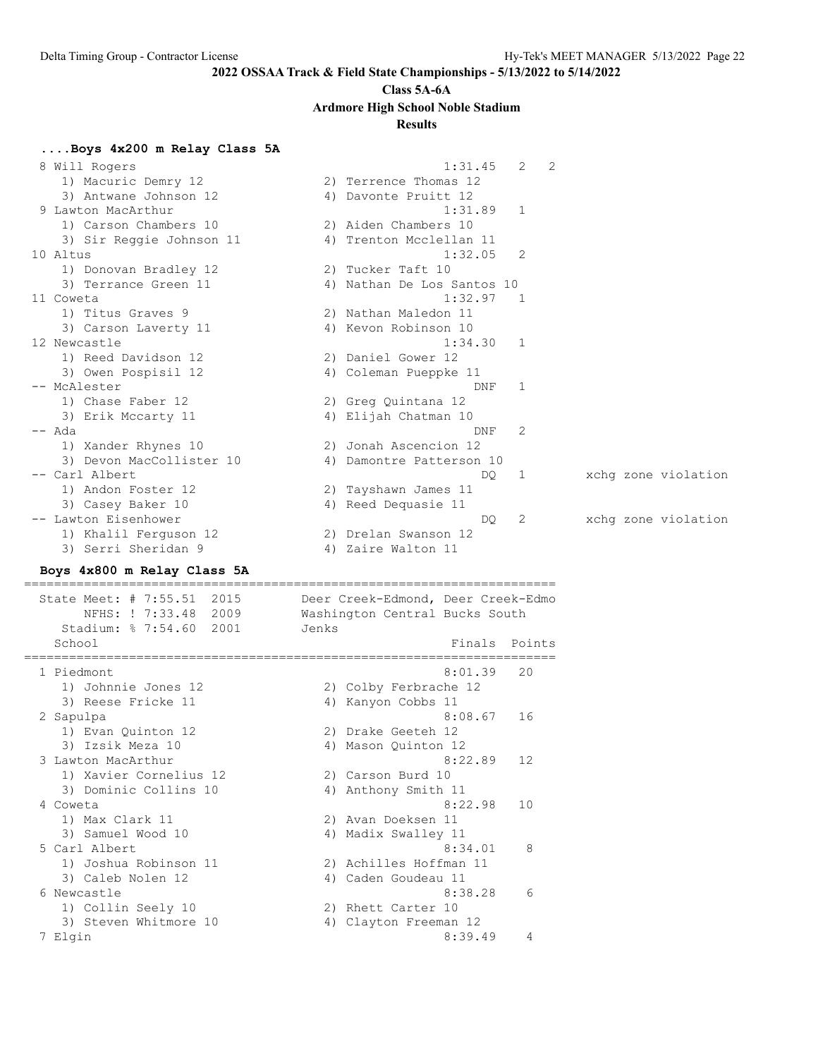#### **Class 5A-6A**

**Ardmore High School Noble Stadium**

# **Results**

**....Boys 4x200 m Relay Class 5A** 8 Will Rogers 1:31.45 2 2 1) Macuric Demry 12 2) Terrence Thomas 12 3) Antwane Johnson 12 (4) Davonte Pruitt 12 9 Lawton MacArthur 1:31.89 1 1) Carson Chambers 10 2) Aiden Chambers 10 3) Sir Reggie Johnson 11 4) Trenton Mcclellan 11 10 Altus 1:32.05 2 1) Donovan Bradley 12 2) Tucker Taft 10 3) Terrance Green 11 4) Nathan De Los Santos 10 11 Coweta 1:32.97 1 1) Titus Graves 9 2) Nathan Maledon 11 3) Carson Laverty 11 (4) Kevon Robinson 10 12 Newcastle 1:34.30 1 1) Reed Davidson 12 2) Daniel Gower 12 3) Owen Pospisil 12 4) Coleman Pueppke 11 -- McAlester DNF 1 1) Chase Faber 12 2) Greg Quintana 12 3) Erik Mccarty 11 1988 (4) Elijah Chatman 10 -- Ada DNF 2 1) Xander Rhynes 10 2) Jonah Ascencion 12 3) Devon MacCollister 10 4) Damontre Patterson 10 -- Carl Albert DQ 1 xchg zone violation 1) Andon Foster 12 2) Tayshawn James 11 3) Casey Baker 10 4) Reed Dequasie 11 -- Lawton Eisenhower DQ 2 xchg zone violation 1) Khalil Ferguson 12 2) Drelan Swanson 12 3) Serri Sheridan 9 1988 1999 12 4) Zaire Walton 11 **Boys 4x800 m Relay Class 5A** ======================================================================= State Meet: # 7:55.51 2015 Deer Creek-Edmond, Deer Creek-Edmo NFHS: ! 7:33.48 2009 Washington Central Bucks South Stadium: % 7:54.60 2001 Jenks School **Finals** Points **Points** ======================================================================= 1 Piedmont 8:01.39 20 1) Johnnie Jones 12 2) Colby Ferbrache 12 3) Reese Fricke 11 (4) Kanyon Cobbs 11 2 Sapulpa 8:08.67 16 1) Evan Quinton 12 2) Drake Geeteh 12 3) Izsik Meza 10 4) Mason Quinton 12 3 Lawton MacArthur 8:22.89 12 1) Xavier Cornelius 12 2) Carson Burd 10 3) Dominic Collins 10 4) Anthony Smith 11 4 Coweta 8:22.98 10 1) Max Clark 11 2) Avan Doeksen 11 3) Samuel Wood 10 4) Madix Swalley 11 5 Carl Albert 8:34.01 8 1) Joshua Robinson 11 2) Achilles Hoffman 11 3) Caleb Nolen 12 (a) 4) Caden Goudeau 11 6 Newcastle 8:38.28 6 1) Collin Seely 10 2) Rhett Carter 10 3) Steven Whitmore 10 4) Clayton Freeman 12 7 Elgin 8:39.49 4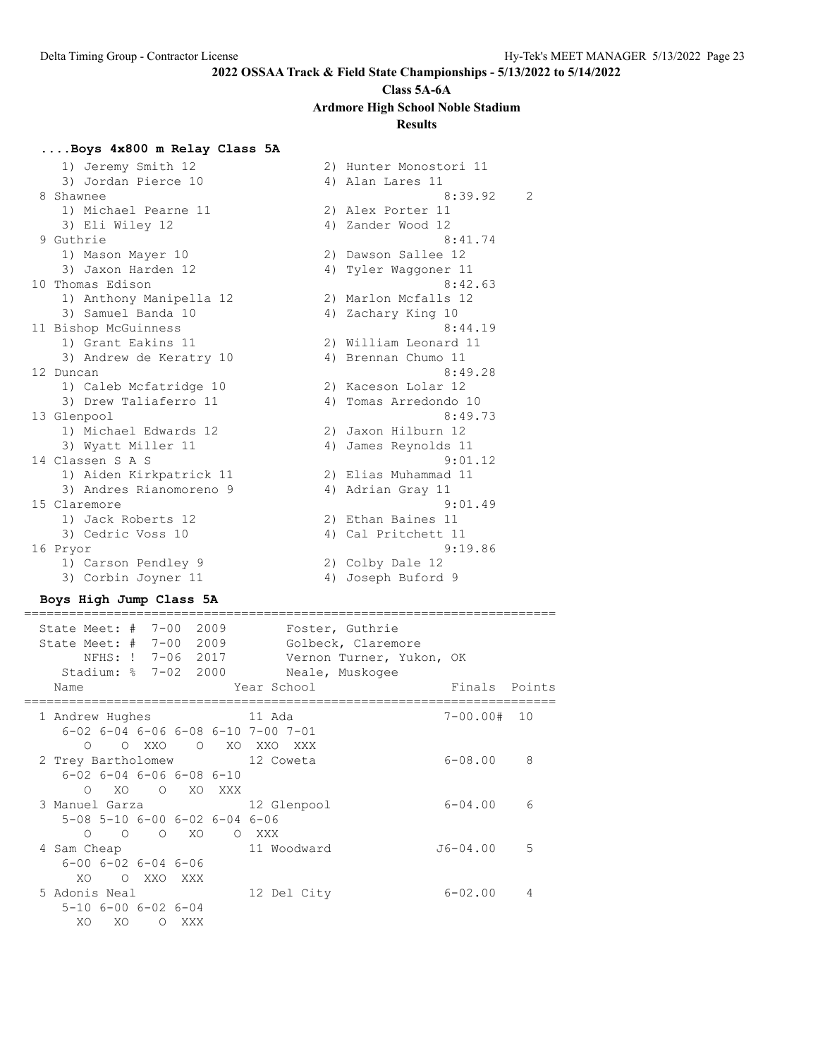# **Class 5A-6A**

# **Ardmore High School Noble Stadium**

# **Results**

### **....Boys 4x800 m Relay Class 5A**

| 1) Jeremy Smith 12      |    | 2) Hunter Monostori 11 |                |
|-------------------------|----|------------------------|----------------|
| 3) Jordan Pierce 10     |    | 4) Alan Lares 11       |                |
| 8 Shawnee               |    | 8:39.92                | $\overline{2}$ |
| 1) Michael Pearne 11    |    | 2) Alex Porter 11      |                |
| 3) Eli Wiley 12         |    | 4) Zander Wood 12      |                |
| 9 Guthrie               |    | 8:41.74                |                |
| 1) Mason Mayer 10       |    | 2) Dawson Sallee 12    |                |
| 3) Jaxon Harden 12      | 4) | Tyler Waqqoner 11      |                |
| 10 Thomas Edison        |    | 8:42.63                |                |
| 1) Anthony Manipella 12 |    | 2) Marlon Mcfalls 12   |                |
| 3) Samuel Banda 10      |    | 4) Zachary King 10     |                |
| 11 Bishop McGuinness    |    | 8:44.19                |                |
| 1) Grant Eakins 11      |    | 2) William Leonard 11  |                |
| 3) Andrew de Keratry 10 |    | 4) Brennan Chumo 11    |                |
| 12 Duncan               |    | 8:49.28                |                |
| 1) Caleb Mcfatridge 10  |    | 2) Kaceson Lolar 12    |                |
| 3) Drew Taliaferro 11   | 4) | Tomas Arredondo 10     |                |
| 13 Glenpool             |    | 8:49.73                |                |
| 1) Michael Edwards 12   |    | 2) Jaxon Hilburn 12    |                |
| 3) Wyatt Miller 11      | 4) | James Reynolds 11      |                |
| 14 Classen S A S        |    | 9:01.12                |                |
| 1) Aiden Kirkpatrick 11 |    | 2) Elias Muhammad 11   |                |
| 3) Andres Rianomoreno 9 |    | 4) Adrian Gray 11      |                |
| 15 Claremore            |    | 9:01.49                |                |
| 1) Jack Roberts 12      |    | 2) Ethan Baines 11     |                |
| 3) Cedric Voss 10       |    | 4) Cal Pritchett 11    |                |
| 16 Pryor                |    | 9:19.86                |                |
| 1) Carson Pendley 9     |    | 2) Colby Dale 12       |                |
| 3) Corbin Joyner 11     |    | 4) Joseph Buford 9     |                |

### **Boys High Jump Class 5A**

======================================================================= State Meet: # 7-00 2009 Foster, Guthrie State Meet: # 7-00 2009 Golbeck, Claremore NFHS: ! 7-06 2017 Vernon Turner, Yukon, OK Stadium: % 7-02 2000 Neale, Muskogee Name Year School Finals Points ======================================================================= 1 Andrew Hughes 11 Ada 7-00.00# 10 6-02 6-04 6-06 6-08 6-10 7-00 7-01 O O XXO O XO XXO XXX 2 Trey Bartholomew 12 Coweta 6-08.00 8 6-02 6-04 6-06 6-08 6-10 O XO O XO XXX 3 Manuel Garza 12 Glenpool 6-04.00 6 5-08 5-10 6-00 6-02 6-04 6-06 O O O XO O XXX 4 Sam Cheap 11 Woodward J6-04.00 5 6-00 6-02 6-04 6-06 XO O XXO XXX 5 Adonis Neal 12 Del City 6-02.00 4 5-10 6-00 6-02 6-04 XO XO O XXX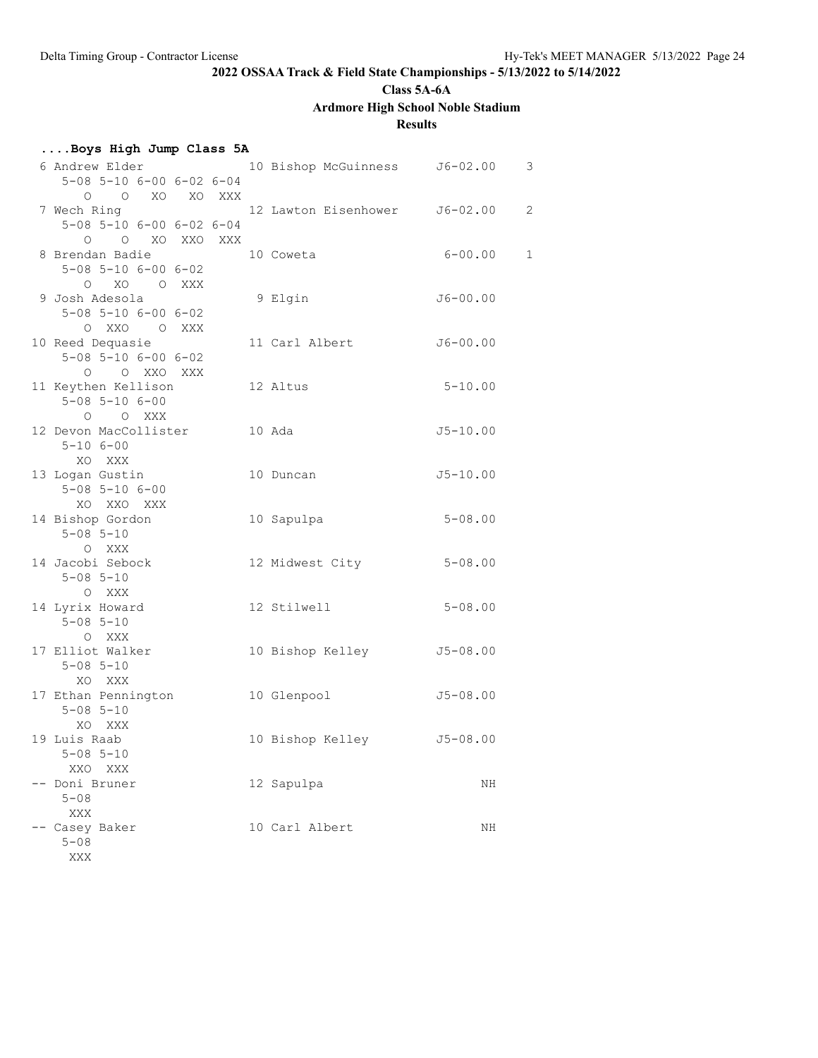**Class 5A-6A**

# **Ardmore High School Noble Stadium**

# **Results**

| Boys High Jump Class 5A |  |  |  |  |  |
|-------------------------|--|--|--|--|--|
|-------------------------|--|--|--|--|--|

| 6 Andrew Elder                      | 10 Bishop McGuinness J6-02.00 |              | 3            |
|-------------------------------------|-------------------------------|--------------|--------------|
| $5-08$ $5-10$ $6-00$ $6-02$ $6-04$  |                               |              |              |
| O O XO XO XXX                       |                               |              |              |
| 7 Wech Ring                         | 12 Lawton Eisenhower J6-02.00 |              | 2            |
| $5-08$ $5-10$ $6-00$ $6-02$ $6-04$  |                               |              |              |
| O O XO XXO XXX                      |                               |              |              |
| 8 Brendan Badie                     | 10 Coweta                     | $6 - 00.00$  | $\mathbf{1}$ |
| $5 - 08$ $5 - 10$ $6 - 00$ $6 - 02$ |                               |              |              |
| O XO O XXX                          |                               |              |              |
| 9 Josh Adesola                      | 9 Elgin                       | $J6 - 00.00$ |              |
| $5 - 08$ $5 - 10$ $6 - 00$ $6 - 02$ |                               |              |              |
| O XXO O XXX                         |                               |              |              |
| 10 Reed Dequasie                    | 11 Carl Albert                | $J6 - 00.00$ |              |
| $5 - 08$ $5 - 10$ $6 - 00$ $6 - 02$ |                               |              |              |
| O O XXO XXX                         |                               |              |              |
| 11 Keythen Kellison                 | 12 Altus                      | $5 - 10.00$  |              |
| $5 - 08$ $5 - 10$ $6 - 00$          |                               |              |              |
| O O XXX                             |                               |              |              |
| 12 Devon MacCollister               | 10 Ada                        | $J5 - 10.00$ |              |
| $5 - 106 - 00$                      |                               |              |              |
| XO XXX                              |                               |              |              |
| 13 Logan Gustin                     | 10 Duncan                     | $J5 - 10.00$ |              |
| $5 - 08$ $5 - 10$ $6 - 00$          |                               |              |              |
| XO XXO XXX                          |                               |              |              |
| 14 Bishop Gordon                    | 10 Sapulpa                    | $5 - 08.00$  |              |
| $5 - 08$ $5 - 10$                   |                               |              |              |
|                                     |                               |              |              |
| O XXX                               |                               |              |              |
| 14 Jacobi Sebock                    | 12 Midwest City               | $5 - 08.00$  |              |
| $5 - 08$ $5 - 10$                   |                               |              |              |
| O XXX                               |                               |              |              |
| 14 Lyrix Howard                     | 12 Stilwell                   | $5 - 08.00$  |              |
| $5 - 08$ $5 - 10$                   |                               |              |              |
| O XXX                               |                               |              |              |
| 17 Elliot Walker                    | 10 Bishop Kelley              | $J5 - 08.00$ |              |
| $5 - 08$ $5 - 10$                   |                               |              |              |
| XO XXX                              |                               |              |              |
| 17 Ethan Pennington                 | 10 Glenpool                   | $J5 - 08.00$ |              |
| $5 - 08$ $5 - 10$                   |                               |              |              |
| XO XXX                              |                               |              |              |
| 19 Luis Raab                        | 10 Bishop Kelley J5-08.00     |              |              |
| $5 - 08$ $5 - 10$                   |                               |              |              |
| XXO<br>XXX                          |                               |              |              |
| Doni Bruner                         | 12 Sapulpa                    | ΝH           |              |
| 5-08                                |                               |              |              |
| XXX                                 |                               |              |              |
| Casey Baker                         | 10 Carl Albert                | ΝH           |              |
| $5 - 08$                            |                               |              |              |
| XXX                                 |                               |              |              |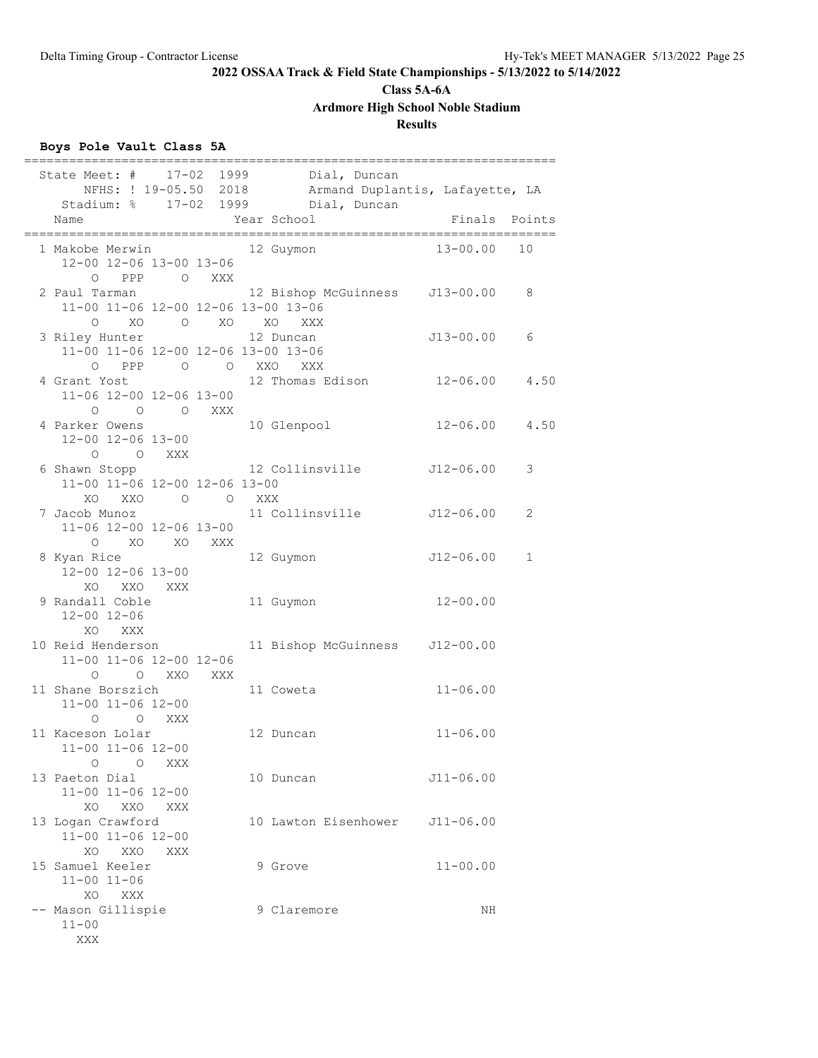**Class 5A-6A**

**Ardmore High School Noble Stadium**

# **Results**

# **Boys Pole Vault Class 5A**

|                                                                                                | =====================                                                                                                                               |                   |             |
|------------------------------------------------------------------------------------------------|-----------------------------------------------------------------------------------------------------------------------------------------------------|-------------------|-------------|
| Name                                                                                           | State Meet: # 17-02 1999 Dial, Duncan<br>NFHS: ! 19-05.50 2018 Armand Duplantis, Lafayette, LA<br>Stadium: % 17-02 1999 Dial, Duncan<br>Year School | Finals Points     |             |
| 1 Makobe Merwin 12 Guymon<br>12-00 12-06 13-00 13-06                                           |                                                                                                                                                     | 13-00.00          | 10          |
| O PPP O XXX<br>2 Paul Tarman<br>11-00 11-06 12-00 12-06 13-00 13-06                            | 12 Bishop McGuinness J13-00.00 8                                                                                                                    |                   |             |
| O XO O XO XO XXX<br>3 Riley Hunter<br>11-00 11-06 12-00 12-06 13-00 13-06<br>O PPP O O XXO XXX | 12 Duncan                                                                                                                                           | J13-00.00         | 6           |
| 11-06 12-00 12-06 13-00<br>0 0 0 XXX                                                           | 4 Grant Yost 12 Thomas Edison 12-06.00 4.50                                                                                                         |                   |             |
| 4 Parker Owens<br>12-00 12-06 13-00<br>$O$ $O$ $XXX$                                           | 10 Glenpool                                                                                                                                         | $12 - 06.00$ 4.50 |             |
| 6 Shawn Stopp<br>11-00 11-06 12-00 12-06 13-00<br>XO XXO O O XXX                               | 12 Collinsville 512-06.00                                                                                                                           |                   | 3           |
| 7 Jacob Munoz<br>11-06 12-00 12-06 13-00<br>O XO XO XXX                                        | 11 Collinsville J12-06.00                                                                                                                           |                   | 2           |
| 8 Kyan Rice<br>12-00 12-06 13-00<br>XO XXO XXX                                                 | 12 Guymon                                                                                                                                           | $J12-06.00$       | $\mathbf 1$ |
| 9 Randall Coble<br>$12 - 00$ $12 - 06$<br>XO XXX                                               | 11 Guymon                                                                                                                                           | $12 - 00.00$      |             |
| 10 Reid Henderson<br>11-00 11-06 12-00 12-06<br>O O XXO XXX                                    | 11 Bishop McGuinness J12-00.00                                                                                                                      |                   |             |
| 11 Shane Borszich<br>$11 - 00$ $11 - 06$ $12 - 00$<br>$O$ $O$ XXX                              | 11 Coweta                                                                                                                                           | $11 - 06.00$      |             |
| 11 Kaceson Lolar<br>11-00 11-06 12-00<br>$\circ$<br>XXX<br>$\circ$                             | 12 Duncan                                                                                                                                           | $11 - 06.00$      |             |
| 13 Paeton Dial<br>11-00 11-06 12-00<br>XO<br>XXO<br>XXX                                        | 10 Duncan                                                                                                                                           | $J11 - 06.00$     |             |
| 13 Logan Crawford<br>11-00 11-06 12-00<br>XXO<br>XO.<br>XXX                                    | 10 Lawton Eisenhower                                                                                                                                | $J11 - 06.00$     |             |
| 15 Samuel Keeler<br>$11 - 00$ $11 - 06$<br>XO.<br>XXX                                          | 9 Grove                                                                                                                                             | $11 - 00.00$      |             |
| -- Mason Gillispie<br>$11 - 00$<br>XXX                                                         | 9 Claremore                                                                                                                                         | ΝH                |             |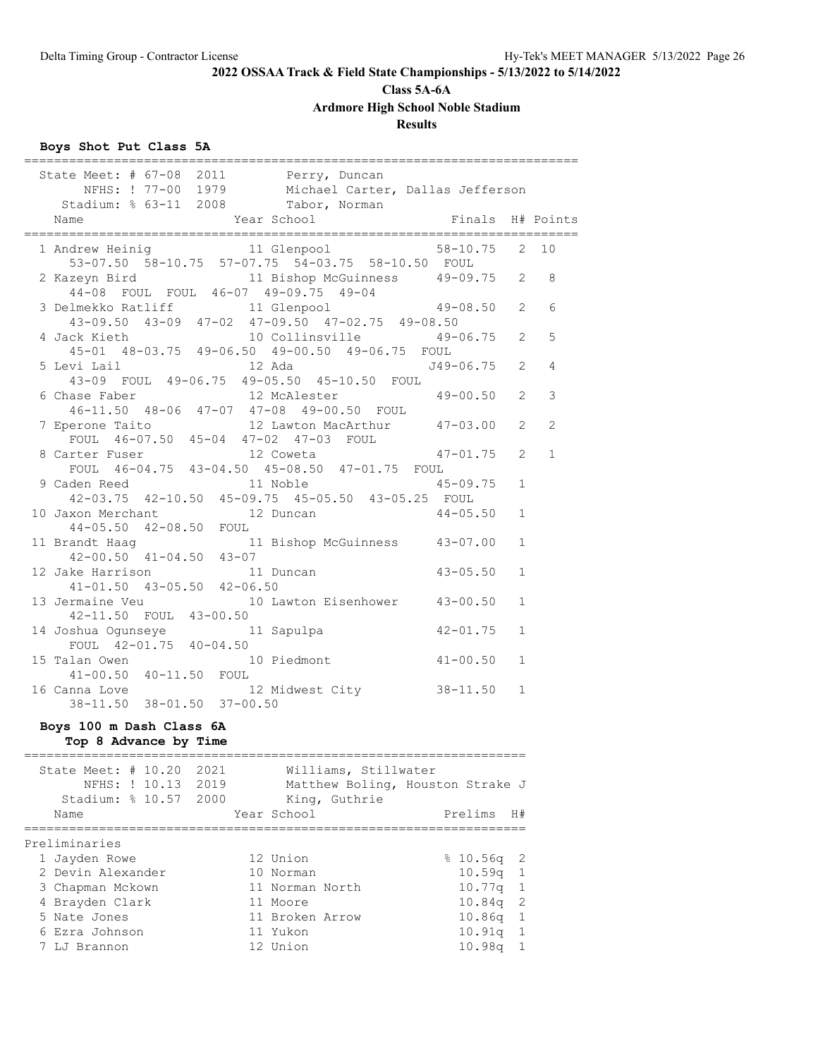# **Class 5A-6A**

**Ardmore High School Noble Stadium**

# **Results**

# **Boys Shot Put Class 5A**

| State Meet: # 67-08 2011 Perry, Duncan                |            |                                                                                   |                  |              |              |
|-------------------------------------------------------|------------|-----------------------------------------------------------------------------------|------------------|--------------|--------------|
|                                                       |            | NFHS: ! 77-00 1979 Michael Carter, Dallas Jefferson                               |                  |              |              |
| Stadium: % 63-11 2008 Tabor, Norman                   |            |                                                                                   |                  |              |              |
| Name                                                  |            | Year School                                                                       | Finals H# Points |              |              |
|                                                       |            | 1 Andrew Heinig 11 Glenpool 58-10.75 2 10                                         |                  |              |              |
|                                                       |            | 53-07.50 58-10.75 57-07.75 54-03.75 58-10.50 FOUL                                 |                  |              |              |
| 2 Kazeyn Bird                                         |            | 11 Bishop McGuinness  49-09.75  2  8                                              |                  |              |              |
|                                                       |            |                                                                                   |                  |              |              |
|                                                       |            | 44-08 FOUL FOUL 46-07 49-09.75 49-04<br>3 Delmekko Ratliff 11 Glenpool 49-08.50 2 |                  |              | 6            |
|                                                       |            | $43-09.50$ $43-09$ $47-02$ $47-09.50$ $47-02.75$ $49-08.50$                       |                  |              |              |
| 4 Jack Kieth                                          |            | 10 Collinsville 49-06.75 2                                                        |                  |              | 5            |
|                                                       |            | 45-01 48-03.75 49-06.50 49-00.50 49-06.75 FOUL                                    |                  |              |              |
|                                                       |            |                                                                                   |                  |              | 4            |
|                                                       |            | 43-09 FOUL 49-06.75 49-05.50 45-10.50 FOUL                                        |                  |              |              |
| 6 Chase Faber                                         |            | 12 McAlester                                                                      | $49 - 00.50$ 2   |              | 3            |
|                                                       |            | 46-11.50 48-06 47-07 47-08 49-00.50 FOUL                                          |                  |              |              |
|                                                       |            | 12 Lawton MacArthur 47-03.00 2                                                    |                  |              | 2            |
|                                                       |            | 7 Eperone Taito 12 Lawton MacArthur<br>FOUL 46-07.50 45-04 47-02 47-03 FOUL       |                  |              |              |
| 8 Carter Fuser                                        |            | 12 Coweta                                                                         | $47 - 01.75$ 2   |              | $\mathbf{1}$ |
|                                                       |            | FOUL $46-04.75$ $43-04.50$ $45-08.50$ $47-01.75$ FOUL                             |                  |              |              |
| 9 Caden Reed                                          |            | 11 Noble                                                                          | $45 - 09.75$     | 1            |              |
|                                                       |            | 42-03.75 42-10.50 45-09.75 45-05.50 43-05.25 FOUL                                 |                  |              |              |
| 10 Jaxon Merchant 12 Duncan<br>44-05.50 42-08.50 FOUL |            |                                                                                   | $44 - 05.50$     | 1            |              |
|                                                       |            |                                                                                   |                  |              |              |
|                                                       |            | 11 Brandt Haag 11 Bishop McGuinness 43-07.00<br>42-00.50 41-04.50 43-07           |                  | $\mathbf{1}$ |              |
|                                                       |            |                                                                                   |                  |              |              |
| 12 Jake Harrison 11 Du<br>41-01.50 43-05.50 42-06.50  |            | 11 Duncan                                                                         | $43 - 05.50$     | 1            |              |
|                                                       |            |                                                                                   |                  | 1            |              |
|                                                       |            | 13 Jermaine Veu 10 Lawton Eisenhower 43-00.50<br>42-11.50 FOUL 43-00.50           |                  |              |              |
| 14 Joshua Ogunseye                                    | 11 Sapulpa |                                                                                   | $42 - 01.75$     | $\mathbf{1}$ |              |
| FOUL 42-01.75 40-04.50                                |            |                                                                                   |                  |              |              |
| 15 Talan Owen                                         |            | 10 Piedmont                                                                       | $41 - 00.50$     | $\mathbf{1}$ |              |
| 41-00.50 40-11.50 FOUL                                |            |                                                                                   |                  |              |              |
| 16 Canna Love                                         |            | 12 Midwest City 38-11.50 1                                                        |                  |              |              |
| 38-11.50 38-01.50 37-00.50                            |            |                                                                                   |                  |              |              |
|                                                       |            |                                                                                   |                  |              |              |
| Boys 100 m Dash Class 6A                              |            |                                                                                   |                  |              |              |
| Top 8 Advance by Time<br>-------------------          |            |                                                                                   |                  |              |              |
| State Meet: # 10.20 2021                              |            | Williams, Stillwater                                                              |                  |              |              |
| NFHS: ! 10.13 2019                                    |            | Matthew Boling, Houston Strake J                                                  |                  |              |              |
| Stadium: % 10.57 2000                                 |            | King, Guthrie                                                                     |                  |              |              |
| Name                                                  |            | Year School                                                                       | Prelims          | H#           |              |
| =========                                             |            | ============================                                                      |                  |              |              |
| Preliminaries                                         |            |                                                                                   |                  |              |              |
| 1 Jayden Rowe                                         |            | 12 Union                                                                          | \$10.56q         | 2            |              |
| 2 Devin Alexander                                     |            | 10 Norman                                                                         | 10.59q           | $\mathbf 1$  |              |
| 3 Chapman Mckown                                      |            | 11 Norman North                                                                   | 10.77q           | 1            |              |
| 4 Brayden Clark                                       |            | 11 Moore                                                                          | 10.84q           | 2            |              |
| 5 Nate Jones                                          |            | 11 Broken Arrow                                                                   | 10.86q           | 1            |              |
| 6 Ezra Johnson                                        |            | 11 Yukon                                                                          | 10.91q           | 1            |              |
| 7 LJ Brannon                                          |            | 12 Union                                                                          | 10.98q           | $\mathbf{1}$ |              |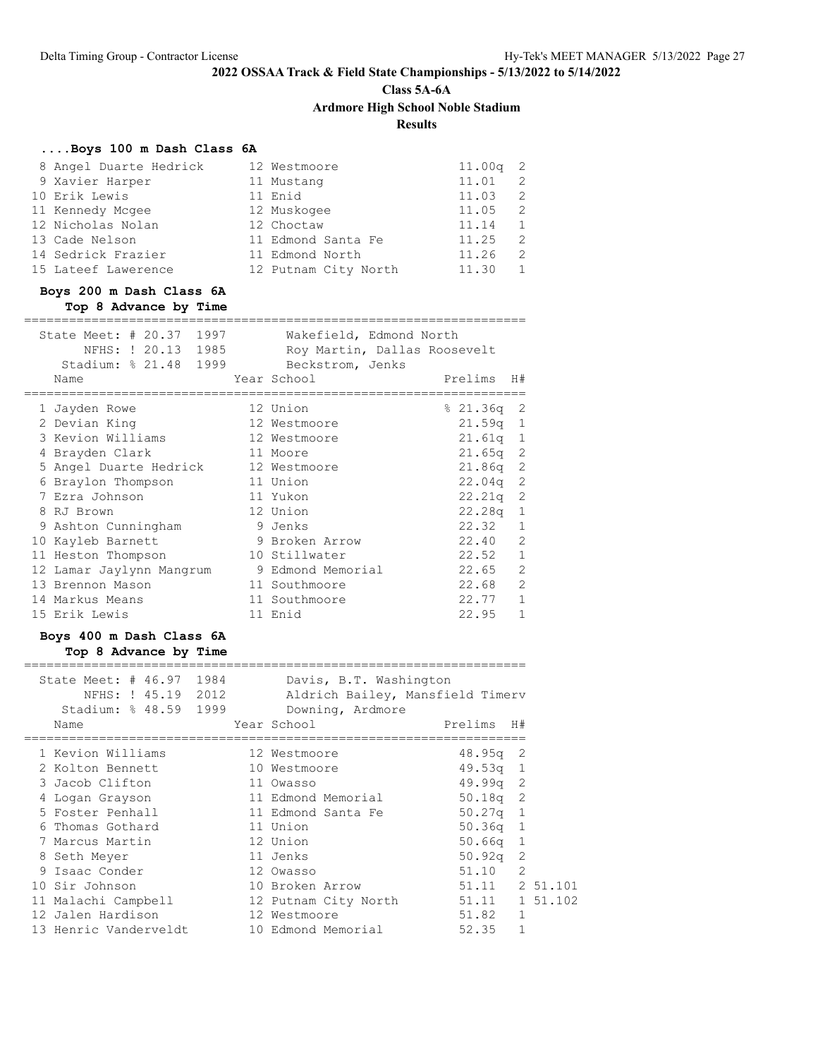**Class 5A-6A**

**Ardmore High School Noble Stadium**

**Results**

===================================================================

# **....Boys 100 m Dash Class 6A**

| 8 Angel Duarte Hedrick | 12 Westmoore         | $11.00q$ 2 |              |
|------------------------|----------------------|------------|--------------|
| 9 Xavier Harper        | 11 Mustang           | 11.01      | 2            |
| 10 Erik Lewis          | 11 Enid              | 11.03      | -2.          |
| 11 Kennedy Mcgee       | 12 Muskogee          | 11.05      | -2.          |
| 12 Nicholas Nolan      | 12 Choctaw           | 11.14      | 1            |
| 13 Cade Nelson         | 11 Edmond Santa Fe   | 11.25      | 2            |
| 14 Sedrick Frazier     | 11 Edmond North      | 11.26      | 2            |
| 15 Lateef Lawerence    | 12 Putnam City North | 11.30      | $\mathbf{1}$ |

### **Boys 200 m Dash Class 6A Top 8 Advance by Time**

| State Meet: # 20.37 1997<br>NFHS: ! 20.13 1985<br>Stadium: % 21.48 1999 | Wakefield, Edmond North<br>Roy Martin, Dallas Roosevelt<br>Beckstrom, Jenks |             |                |
|-------------------------------------------------------------------------|-----------------------------------------------------------------------------|-------------|----------------|
| Name                                                                    | Year School                                                                 | Prelims     | H#             |
| 1 Jayden Rowe                                                           | 12 Union                                                                    | $821.36q$ 2 |                |
| 2 Devian King                                                           | 12 Westmoore                                                                | $21.59q$ 1  |                |
| 3 Kevion Williams                                                       | 12 Westmoore                                                                | $21.61q$ 1  |                |
| Brayden Clark                                                           | 11 Moore                                                                    | $21.65q$ 2  |                |
| 5 Angel Duarte Hedrick 12 Westmoore                                     |                                                                             | $21.86q$ 2  |                |
| Braylon Thompson                                                        | 11 Union                                                                    | $22.04q$ 2  |                |
| 7 Ezra Johnson                                                          | 11 Yukon                                                                    | $22.21q$ 2  |                |
| 8 RJ Brown                                                              | 12 Union                                                                    | $22.28q$ 1  |                |
| 9 Ashton Cunningham                                                     | 9 Jenks                                                                     | 22.32       | $\mathbf{1}$   |
| 10 Kayleb Barnett                                                       | 9 Broken Arrow                                                              | 22.40       | 2              |
| 11 Heston Thompson                                                      | 10 Stillwater                                                               | 22.52       | $\mathbf{1}$   |
| 12 Lamar Jaylynn Mangrum                                                | 9 Edmond Memorial                                                           | 22.65       | $\overline{2}$ |
| 13 Brennon Mason                                                        | 11 Southmoore                                                               | 22.68       | $\overline{c}$ |
| 14 Markus Means                                                         | 11 Southmoore                                                               | 22.77       | $\mathbf{1}$   |
| 15 Erik Lewis                                                           | 11 Enid                                                                     | 22.95       | $\mathbf{1}$   |

# **Boys 400 m Dash Class 6A Top 8 Advance by Time**

| State Meet: # 46.97 1984<br>NFHS: ! 45.19 2012<br>Stadium: % 48.59 1999 |  | Davis, B.T. Washington<br>Aldrich Bailey, Mansfield Timerv<br>Downing, Ardmore |                |                |
|-------------------------------------------------------------------------|--|--------------------------------------------------------------------------------|----------------|----------------|
| Name                                                                    |  | Year School                                                                    | Prelims H#     |                |
| 1 Kevion Williams                                                       |  | 12 Westmoore                                                                   | $48.95q$ 2     |                |
| 2 Kolton Bennett                                                        |  | 10 Westmoore                                                                   | $49.53q$ 1     |                |
| 3 Jacob Clifton                                                         |  | 11 Owasso                                                                      | $49.99q$ 2     |                |
| 4 Logan Grayson                                                         |  | 11 Edmond Memorial                                                             | $50.18q$ 2     |                |
| 5 Foster Penhall                                                        |  | 11 Edmond Santa Fe                                                             | $50.27q$ 1     |                |
| 6 Thomas Gothard                                                        |  | 11 Union                                                                       | $50.36q$ 1     |                |
| 7 Marcus Martin                                                         |  | 12 Union                                                                       | $50.66q$ 1     |                |
| 8 Seth Meyer                                                            |  | 11 Jenks                                                                       | 50.92q         | -2             |
| 9 Isaac Conder                                                          |  | 12 Owasso                                                                      | 51.10          | $\overline{2}$ |
| 10 Sir Johnson                                                          |  | 10 Broken Arrow                                                                | 51.11 2 51.101 |                |
| 11 Malachi Campbell                                                     |  | 12 Putnam City North                                                           | 51.11          | 1 51.102       |
| 12 Jalen Hardison                                                       |  | 12 Westmoore                                                                   | 51.82          | 1              |
| 13 Henric Vanderveldt                                                   |  | 10 Edmond Memorial                                                             | 52.35          |                |
|                                                                         |  |                                                                                |                |                |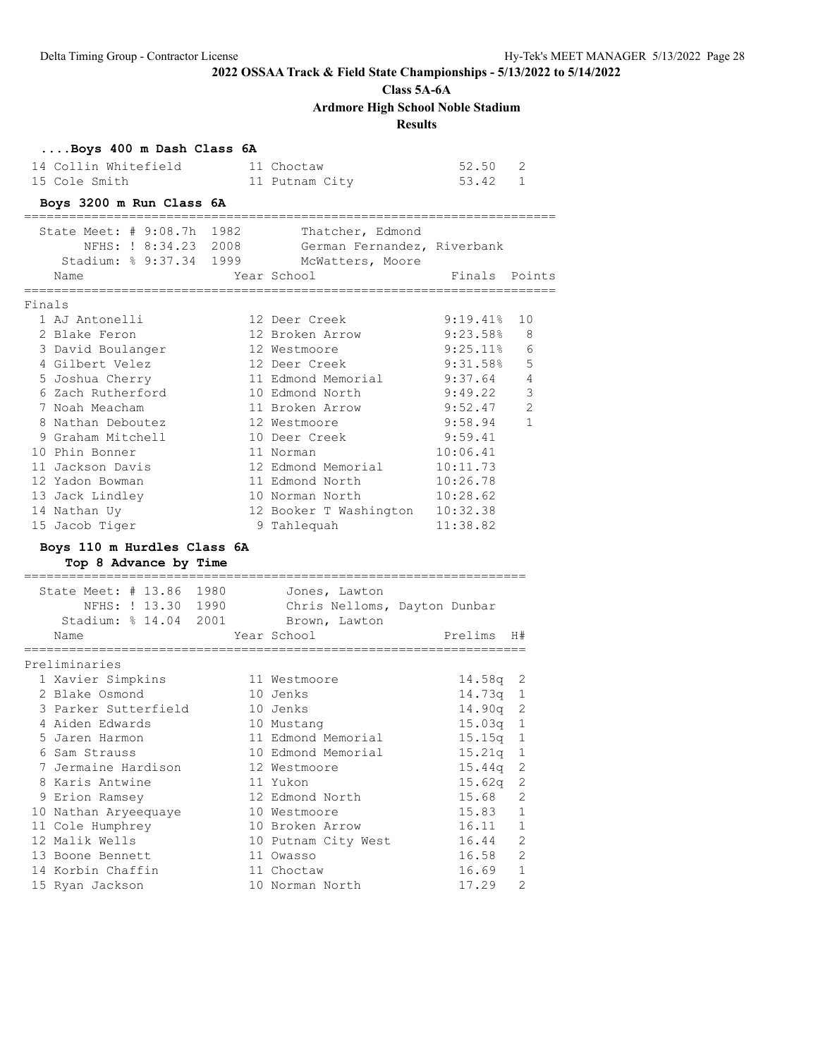**Class 5A-6A**

**Ardmore High School Noble Stadium**

**Results**

|        | Boys 400 m Dash Class 6A            |  |                                                         |             |              |
|--------|-------------------------------------|--|---------------------------------------------------------|-------------|--------------|
|        | 14 Collin Whitefield                |  | 11 Choctaw                                              | 52.50       | 2            |
|        | 15 Cole Smith                       |  | 11 Putnam City                                          | 53.42 1     |              |
|        | Boys 3200 m Run Class 6A            |  |                                                         |             |              |
|        |                                     |  |                                                         |             |              |
|        | State Meet: # 9:08.7h 1982          |  | Thatcher, Edmond                                        |             |              |
|        | NFHS: ! 8:34.23 2008                |  | German Fernandez, Riverbank                             |             |              |
|        |                                     |  | Stadium: % 9:37.34 1999 McWatters, Moore                |             |              |
|        | Name                                |  | Year School                                             | Finals      | Points       |
| Finals |                                     |  |                                                         |             |              |
|        | 1 AJ Antonelli                      |  | 12 Deer Creek                                           | 9:19.418    | 10           |
|        | 2 Blake Feron                       |  | 12 Broken Arrow                                         | 9:23.58%    | 8            |
|        | 3 David Boulanger                   |  | 12 Westmoore                                            | $9:25.11\%$ | 6            |
|        | 4 Gilbert Velez                     |  | 12 Deer Creek                                           | $9:31.58\%$ | 5            |
|        | 5 Joshua Cherry                     |  | 11 Edmond Memorial                                      | 9:37.64     | 4            |
|        | 6 Zach Rutherford                   |  | 10 Edmond North                                         | 9:49.22     | 3            |
|        | 7 Noah Meacham                      |  | 11 Broken Arrow                                         | 9:52.47     | 2            |
|        | 8 Nathan Deboutez                   |  | 12 Westmoore                                            | 9:58.94     | $\mathbf{1}$ |
|        | 9 Graham Mitchell                   |  | 10 Deer Creek                                           | 9:59.41     |              |
|        | 10 Phin Bonner                      |  | 11 Norman                                               | 10:06.41    |              |
|        | 11 Jackson Davis                    |  | 12 Edmond Memorial                                      | 10:11.73    |              |
|        | 12 Yadon Bowman                     |  | 11 Edmond North                                         | 10:26.78    |              |
|        | 13 Jack Lindley                     |  | 10 Norman North                                         | 10:28.62    |              |
|        | 14 Nathan Uy                        |  | 12 Booker T Washington 10:32.38<br>9 Tahlequah 11:38.82 |             |              |
|        | 15 Jacob Tiger                      |  | 9 Tahlequah                                             | 11:38.82    |              |
|        | Boys 110 m Hurdles Class 6A         |  |                                                         |             |              |
|        | Top 8 Advance by Time               |  |                                                         |             |              |
|        |                                     |  |                                                         |             |              |
|        | State Meet: # 13.86 1980            |  | Jones, Lawton                                           |             |              |
|        | NFHS: ! 13.30 1990                  |  | Chris Nelloms, Dayton Dunbar                            |             |              |
|        | Stadium: % 14.04 2001 Brown, Lawton |  |                                                         |             |              |
|        | Name                                |  | Year School                                             | Prelims     | H#           |
|        | Preliminaries                       |  |                                                         |             |              |
|        | 1 Xavier Simpkins                   |  | 11 Westmoore                                            | 14.58q      | 2            |
|        | 2 Blake Osmond                      |  | 10 Jenks                                                | $14.73q$ 1  |              |
|        | 3 Parker Sutterfield                |  | 10 Jenks                                                | 14.90q      | 2            |
|        | 4 Aiden Edwards                     |  | 10 Mustang                                              | 15.03q      | 1            |
|        | 5 Jaren Harmon                      |  | 11 Edmond Memorial                                      | 15.15q      | 1            |
|        | 6 Sam Strauss                       |  | 10 Edmond Memorial                                      | 15.21q      | 1            |
|        | 7 Jermaine Hardison                 |  | 12 Westmoore                                            | 15.44q      | 2            |
|        | 8 Karis Antwine                     |  | 11 Yukon                                                | 15.62q      | 2            |
|        | 9 Erion Ramsey                      |  | 12 Edmond North                                         | 15.68       | 2            |
|        | 10 Nathan Aryeequaye                |  | 10 Westmoore                                            | 15.83       | 1            |
|        | 11 Cole Humphrey                    |  | 10 Broken Arrow                                         | 16.11       | $\mathbf{1}$ |
|        | 12 Malik Wells                      |  | 10 Putnam City West                                     | 16.44       | 2            |
|        | 13 Boone Bennett                    |  | 11 Owasso                                               | 16.58       | 2            |
|        | 14 Korbin Chaffin                   |  | 11 Choctaw                                              | 16.69       | 1            |
|        | 15 Ryan Jackson                     |  | 10 Norman North                                         | 17.29       | 2            |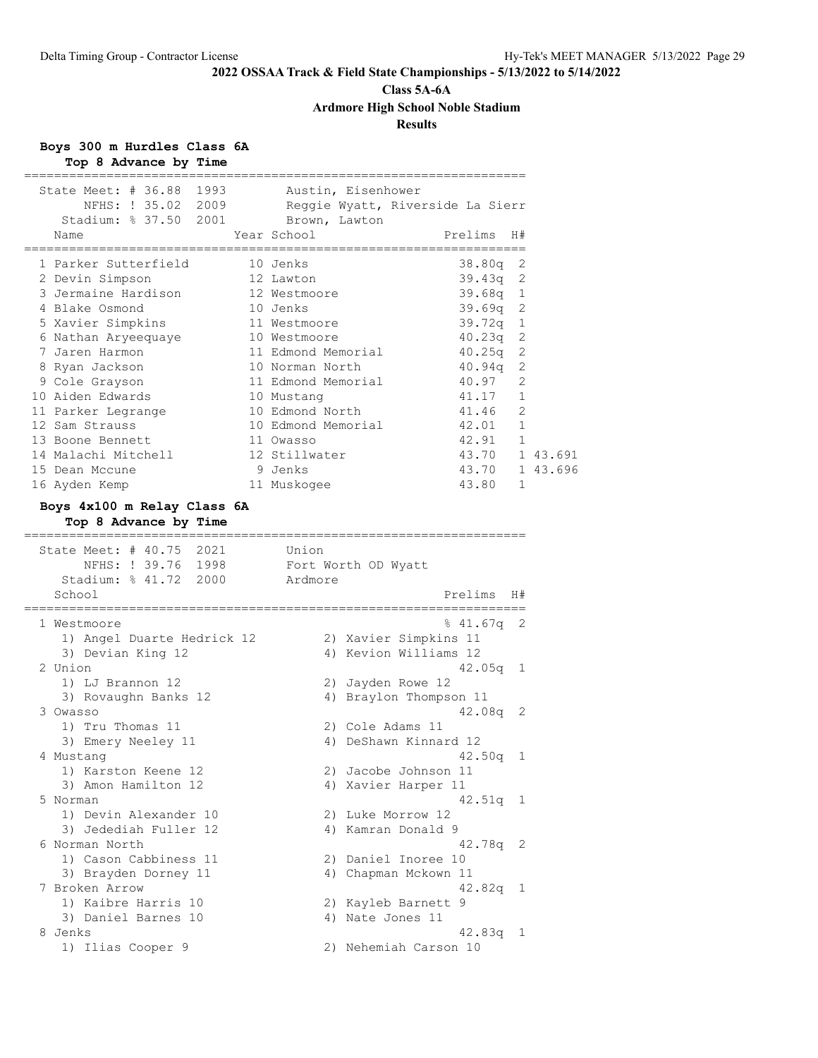# **Class 5A-6A Ardmore High School Noble Stadium**

# **Results**

**Boys 300 m Hurdles Class 6A Top 8 Advance by Time**

| State Meet: # 36.88 1993<br>Stadium: % 37.50 2001 Brown, Lawton<br>Name                       | Austin, Eisenhower<br>NFHS: ! 35.02 2009 Reggie Wyatt, Riverside La Sierr<br>Year School<br>Prelims<br>H# |   |
|-----------------------------------------------------------------------------------------------|-----------------------------------------------------------------------------------------------------------|---|
| 1 Parker Sutterfield                                                                          | 10 Jenks<br>38.80q                                                                                        | 2 |
| 2 Devin Simpson                                                                               | $39.43q$ 2<br>12 Lawton                                                                                   |   |
| 3 Jermaine Hardison                                                                           | 39.68q 1<br>12 Westmoore                                                                                  |   |
| 4 Blake Osmond                                                                                | 10 Jenks<br>$39.69q$ 2                                                                                    |   |
| 5 Xavier Simpkins                                                                             | 11 Westmoore<br>39.72q<br>1                                                                               |   |
| 6 Nathan Aryeequaye                                                                           | 40.23q<br>10 Westmoore                                                                                    | 2 |
| 7 Jaren Harmon                                                                                | 11 Edmond Memorial<br>40.25q                                                                              | 2 |
| 8 Ryan Jackson                                                                                | 40.94q<br>10 Norman North                                                                                 | 2 |
| 9 Cole Grayson                                                                                | 11 Edmond Memorial<br>40.97                                                                               | 2 |
| 10 Aiden Edwards                                                                              | 41.17<br>10 Mustang                                                                                       | 1 |
| 11 Parker Legrange                                                                            | 10 Edmond North<br>41.46 2                                                                                |   |
| 12 Sam Strauss                                                                                | 42.01 1<br>10 Edmond Memorial                                                                             |   |
| 13 Boone Bennett                                                                              | 11 Owasso                                                                                                 |   |
| 14 Malachi Mitchell                                                                           | $42.91$ 1<br>43.70 1 43.691<br>12 Stillwater                                                              |   |
| 15 Dean Mccune                                                                                | 43.70 1 43.696<br>9 Jenks                                                                                 |   |
| 16 Ayden Kemp                                                                                 | 43.80<br>11 Muskogee                                                                                      | 1 |
| State Meet: # 40.75 2021<br>NFHS: ! 39.76 1998 Fort Worth OD Wyatt                            | Union                                                                                                     |   |
| Stadium: % 41.72 2000 Ardmore                                                                 |                                                                                                           |   |
| School                                                                                        | Prelims<br>H#                                                                                             |   |
| 1 Westmoore<br>1) Angel Duarte Hedrick 12<br>3) Devian King 12<br>2 Union<br>1) LJ Brannon 12 | -2<br>% 41.67q<br>2) Xavier Simpkins 11<br>4) Kevion Williams 12<br>42.05q<br>1<br>2) Jayden Rowe 12      |   |
| 3) Rovaughn Banks 12                                                                          | 4) Braylon Thompson 11                                                                                    |   |
| 3 Owasso                                                                                      | $42.08q$ 2                                                                                                |   |
| 1) Tru Thomas 11                                                                              | 2) Cole Adams 11                                                                                          |   |
| 3) Emery Neeley 11                                                                            | 4) DeShawn Kinnard 12                                                                                     |   |
| 4 Mustang                                                                                     | 42.50q                                                                                                    | 1 |
| 1) Karston Keene 12                                                                           | 2) Jacobe Johnson 11                                                                                      |   |
| 3) Amon Hamilton 12                                                                           | 4) Xavier Harper 11                                                                                       |   |
| 5 Norman                                                                                      | $42.51q$ 1                                                                                                |   |
| 1) Devin Alexander 10                                                                         | 2) Luke Morrow 12                                                                                         |   |
| 3) Jedediah Fuller 12                                                                         | 4) Kamran Donald 9                                                                                        |   |
| 6 Norman North                                                                                | 42.78q 2                                                                                                  |   |
| 1) Cason Cabbiness 11                                                                         | 2) Daniel Inoree 10                                                                                       |   |
| 3) Brayden Dorney 11                                                                          | 4) Chapman Mckown 11                                                                                      |   |
| 7 Broken Arrow                                                                                | $42.82q$ 1                                                                                                |   |
| 1) Kaibre Harris 10                                                                           | 2) Kayleb Barnett 9                                                                                       |   |
| 3) Daniel Barnes 10                                                                           | 4) Nate Jones 11                                                                                          |   |
| 8 Jenks                                                                                       | $42.83q$ 1                                                                                                |   |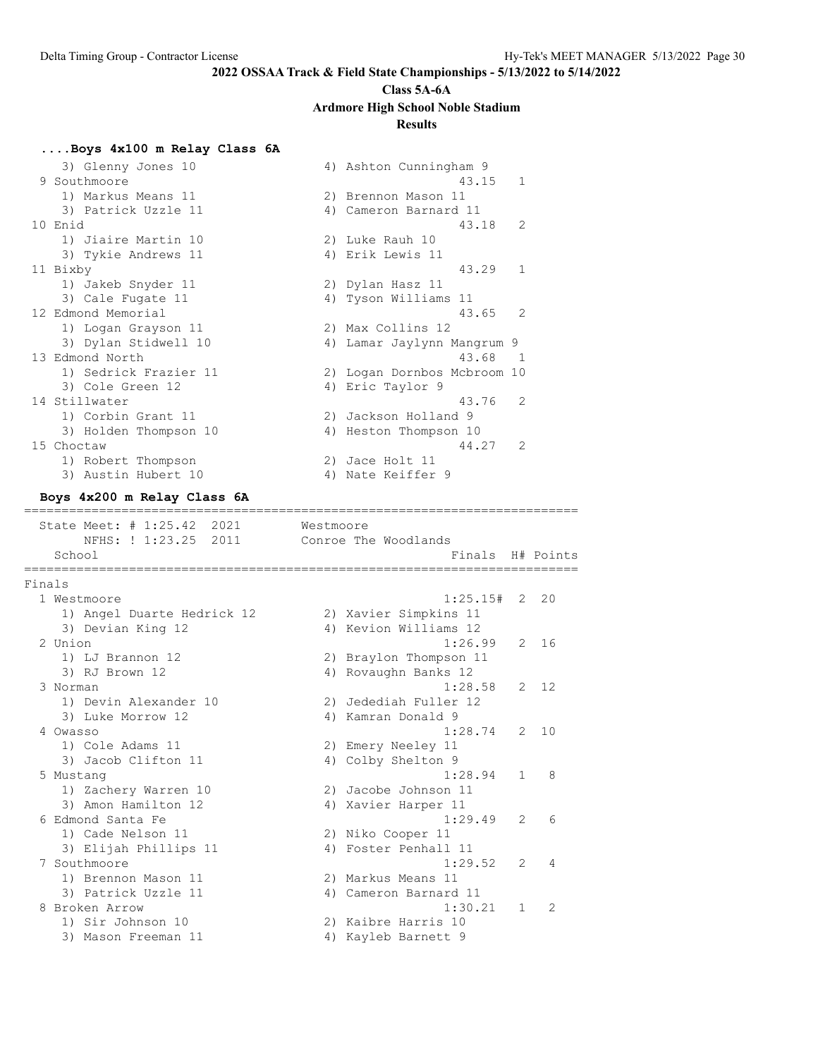# **Class 5A-6A Ardmore High School Noble Stadium**

### **Results**

### **....Boys 4x100 m Relay Class 6A**

|            | 3) Glenny Jones 10          |           | 4) Ashton Cunningham 9      |
|------------|-----------------------------|-----------|-----------------------------|
|            | 9 Southmoore                |           | $\mathbf{1}$<br>43.15       |
|            | 1) Markus Means 11          |           | 2) Brennon Mason 11         |
|            | 3) Patrick Uzzle 11         |           | 4) Cameron Barnard 11       |
| 10 Enid    |                             |           | 2<br>43.18                  |
|            | 1) Jiaire Martin 10         |           | 2) Luke Rauh 10             |
|            | 3) Tykie Andrews 11         |           | 4) Erik Lewis 11            |
| 11 Bixby   |                             |           | 43.29<br>$\mathbf{1}$       |
|            | 1) Jakeb Snyder 11          |           | 2) Dylan Hasz 11            |
|            | 3) Cale Fugate 11           |           | 4) Tyson Williams 11        |
|            | 12 Edmond Memorial          |           | 43.65<br>2                  |
|            | 1) Logan Grayson 11         |           | 2) Max Collins 12           |
|            | 3) Dylan Stidwell 10        |           | 4) Lamar Jaylynn Mangrum 9  |
|            | 13 Edmond North             |           | 43.68<br>$\overline{1}$     |
|            | 1) Sedrick Frazier 11       |           | 2) Logan Dornbos Mcbroom 10 |
|            | 3) Cole Green 12            |           | 4) Eric Taylor 9            |
|            | 14 Stillwater               |           | 43.76<br>2                  |
|            | 1) Corbin Grant 11          |           | 2) Jackson Holland 9        |
|            | 3) Holden Thompson 10       |           | 4) Heston Thompson 10       |
| 15 Choctaw |                             |           | $\overline{2}$<br>44.27     |
|            | 1) Robert Thompson          |           | 2) Jace Holt 11             |
|            | 3) Austin Hubert 10         |           | 4) Nate Keiffer 9           |
|            | Boys 4x200 m Relay Class 6A |           |                             |
|            | ====================        |           |                             |
|            | State Meet: # 1:25.42 2021  | Westmoore |                             |
|            | NFHS: ! 1:23.25<br>2011     |           | Conroe The Woodlands        |

# School **Finals H**# Points ========================================================================== Finals 1 Westmoore 1:25.15# 2 20 1) Angel Duarte Hedrick 12 2) Xavier Simpkins 11 3) Devian King 12 4) Kevion Williams 12 2 Union 1:26.99 2 16 1) LJ Brannon 12 2) Braylon Thompson 11 3) RJ Brown 12 (2008) 4) Rovaughn Banks 12 3 Norman 1:28.58 2 12 1) Devin Alexander 10 2) Jedediah Fuller 12 3) Luke Morrow 12 (4) Kamran Donald 9 4 Owasso 1:28.74 2 10 1) Cole Adams 11 2) Emery Neeley 11 3) Jacob Clifton 11 4) Colby Shelton 9 5 Mustang 1:28.94 1 8 1) Zachery Warren 10 2) Jacobe Johnson 11 3) Amon Hamilton 12 (4) Xavier Harper 11 6 Edmond Santa Fe 1:29.49 2 6 1) Cade Nelson 11 2) Niko Cooper 11 3) Elijah Phillips 11  $\hskip1cm$  4) Foster Penhall 11 7 Southmoore 1:29.52 2 4 1) Brennon Mason 11 2) Markus Means 11 3) Patrick Uzzle 11 4) Cameron Barnard 11 8 Broken Arrow 1:30.21 1 2 1) Sir Johnson 10 2) Kaibre Harris 10 3) Mason Freeman 11  $\hskip1cm$  4) Kayleb Barnett 9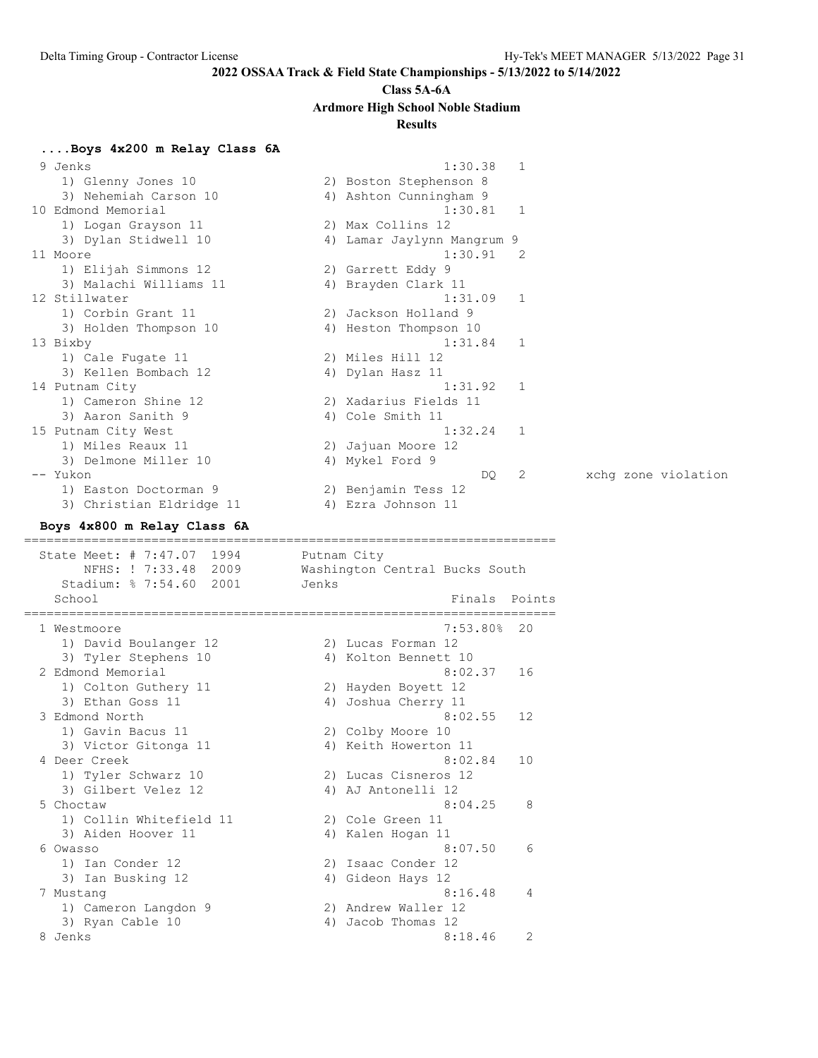#### **Class 5A-6A**

#### **Ardmore High School Noble Stadium**

### **Results**

**....Boys 4x200 m Relay Class 6A** 9 Jenks 1:30.38 1 1) Glenny Jones 10 2) Boston Stephenson 8 3) Nehemiah Carson 10 4) Ashton Cunningham 9 10 Edmond Memorial 1:30.81 1 1) Logan Grayson 11 2) Max Collins 12 3) Dylan Stidwell 10 4) Lamar Jaylynn Mangrum 9 11 Moore 1:30.91 2 1) Elijah Simmons 12 2) Garrett Eddy 9 3) Malachi Williams 11  $\qquad \qquad$  4) Brayden Clark 11 12 Stillwater 1:31.09 1 1) Corbin Grant 11 2) Jackson Holland 9 3) Holden Thompson 10 4) Heston Thompson 10 13 Bixby 1:31.84 1 1) Cale Fugate 11 2) Miles Hill 12 3) Kellen Bombach 12 (4) Dylan Hasz 11 14 Putnam City 1:31.92 1 1) Cameron Shine 12 2) Xadarius Fields 11 3) Aaron Sanith 9 4) Cole Smith 11 15 Putnam City West 1:32.24 1 1) Miles Reaux 11 2) Jajuan Moore 12 3) Delmone Miller 10 4) Mykel Ford 9 -- Yukon DQ 2 xchg zone violation 1) Easton Doctorman 9 2) Benjamin Tess 12 3) Christian Eldridge 11 (4) Ezra Johnson 11 **Boys 4x800 m Relay Class 6A** ======================================================================= State Meet: # 7:47.07 1994 Putnam City NFHS: ! 7:33.48 2009 Washington Central Bucks South Stadium: % 7:54.60 2001 Jenks School **Finals** Points ======================================================================= 1 Westmoore 7:53.80% 20 1) David Boulanger 12 12 2) Lucas Forman 12 3) Tyler Stephens 10 <a>> 4) Kolton Bennett 10 2 Edmond Memorial 8:02.37 16 1) Colton Guthery 11 2) Hayden Boyett 12 3) Ethan Goss 11  $\hskip1cm$  4) Joshua Cherry 11 3 Edmond North 8:02.55 12 1) Gavin Bacus 11 2) Colby Moore 10 3) Victor Gitonga 11 (4) Keith Howerton 11 4 Deer Creek 8:02.84 10 1) Tyler Schwarz 10 2) Lucas Cisneros 12 3) Gilbert Velez 12 (4) AJ Antonelli 12 5 Choctaw 8:04.25 8 1) Collin Whitefield 11 2) Cole Green 11 3) Aiden Hoover 11 4) Kalen Hogan 11 6 Owasso 8:07.50 6 1) Ian Conder 12 2) Isaac Conder 12 3) Ian Busking 12 4) Gideon Hays 12 7 Mustang 8:16.48 4 1) Cameron Langdon 9 2) Andrew Waller 12 3) Ryan Cable 10 4) Jacob Thomas 12 8 Jenks 2 (18.46 2)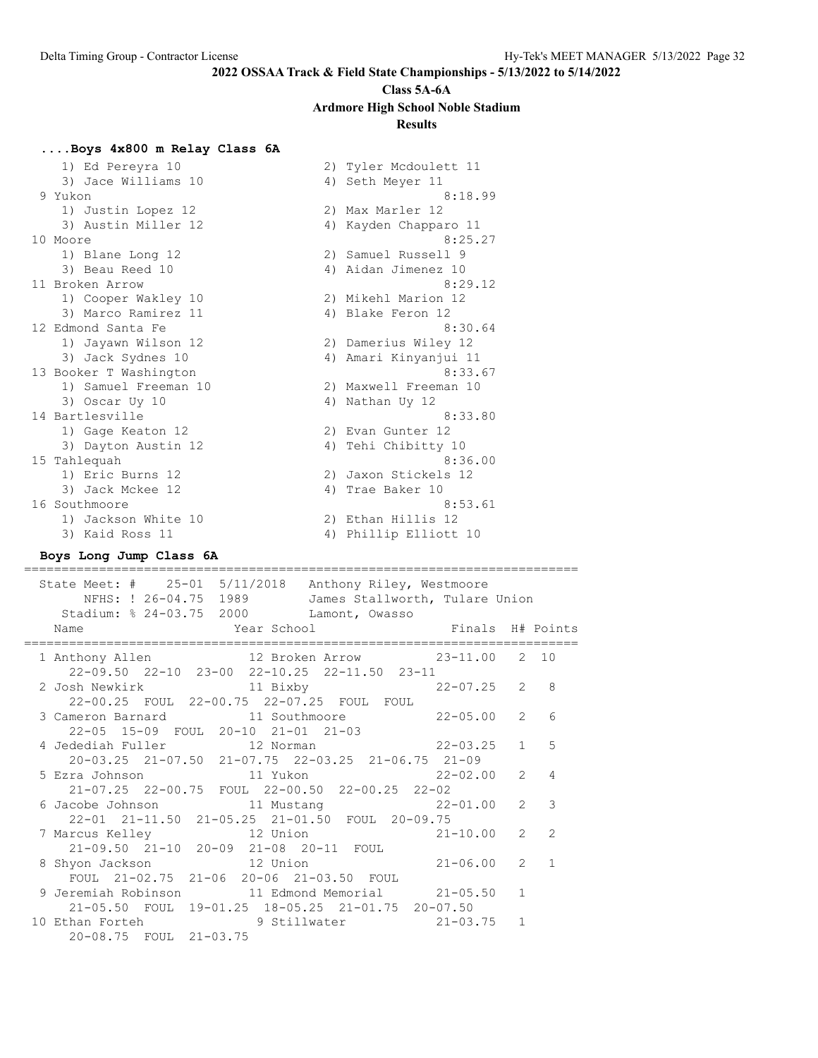# **Class 5A-6A Ardmore High School Noble Stadium**

#### **Results**

#### **....Boys 4x800 m Relay Class 6A**

| 2) Tyler Mcdoulett 11    |
|--------------------------|
| 4) Seth Meyer 11         |
| 8:18.99                  |
| 2) Max Marler 12         |
| 4) Kayden Chapparo 11    |
| 8:25.27                  |
| 2) Samuel Russell 9      |
| 4) Aidan Jimenez 10      |
| 8:29.12                  |
| 2) Mikehl Marion 12      |
| 4) Blake Feron 12        |
| 8:30.64                  |
| 2) Damerius Wiley 12     |
| Amari Kinyanjui 11<br>4) |
| 8:33.67                  |
| 2) Maxwell Freeman 10    |
| 4) Nathan Uy 12          |
| 8:33.80                  |
| 2) Evan Gunter 12        |
| Tehi Chibitty 10<br>4)   |
| 8:36.00                  |
| 2) Jaxon Stickels 12     |
| 4) Trae Baker 10         |
| 8:53.61                  |
| 2) Ethan Hillis 12       |
| 4) Phillip Elliott 10    |
|                          |

#### **Boys Long Jump Class 6A** ==========================================================================

 State Meet: # 25-01 5/11/2018 Anthony Riley, Westmoore NFHS: ! 26-04.75 1989 James Stallworth, Tulare Union Stadium: % 24-03.75 2000 Lamont, Owasso Name Year School Finals H# Points ========================================================================== 1 Anthony Allen 12 Broken Arrow 23-11.00 2 10 22-09.50 22-10 23-00 22-10.25 22-11.50 23-11 2 Josh Newkirk 11 Bixby 22-07.25 2 8 22-00.25 FOUL 22-00.75 22-07.25 FOUL FOUL 3 Cameron Barnard 11 Southmoore 22-05.00 2 6 22-05 15-09 FOUL 20-10 21-01 21-03 4 Jedediah Fuller 12 Norman 22-03.25 1 5 20-03.25 21-07.50 21-07.75 22-03.25 21-06.75 21-09 5 Ezra Johnson 11 Yukon 22-02.00 2 4 21-07.25 22-00.75 FOUL 22-00.50 22-00.25 22-02 6 Jacobe Johnson 11 Mustang 22-01.00 2 3 22-01 21-11.50 21-05.25 21-01.50 FOUL 20-09.75 7 Marcus Kelley 12 Union 21-10.00 2 2 21-09.50 21-10 20-09 21-08 20-11 FOUL 8 Shyon Jackson 12 Union 21-06.00 2 1 FOUL 21-02.75 21-06 20-06 21-03.50 FOUL 9 Jeremiah Robinson 11 Edmond Memorial 21-05.50 1 21-05.50 FOUL 19-01.25 18-05.25 21-01.75 20-07.50 10 Ethan Forteh 9 Stillwater 21-03.75 1 20-08.75 FOUL 21-03.75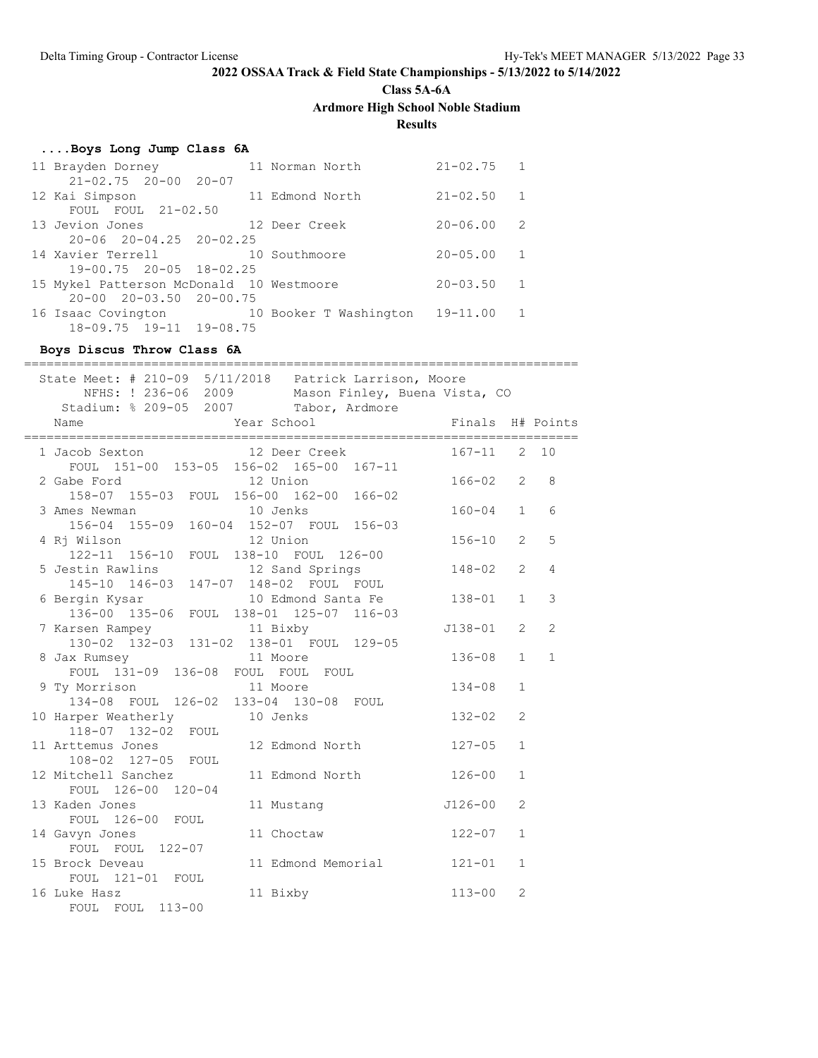**Class 5A-6A**

**Ardmore High School Noble Stadium**

# **Results**

# **....Boys Long Jump Class 6A**

|                                                                             |                                                                                                                                                                                                            | $21 - 02.75$                                                                                                                               | $\overline{1}$ |
|-----------------------------------------------------------------------------|------------------------------------------------------------------------------------------------------------------------------------------------------------------------------------------------------------|--------------------------------------------------------------------------------------------------------------------------------------------|----------------|
|                                                                             |                                                                                                                                                                                                            |                                                                                                                                            |                |
|                                                                             |                                                                                                                                                                                                            | $21 - 02.50$                                                                                                                               | $\overline{1}$ |
|                                                                             |                                                                                                                                                                                                            |                                                                                                                                            |                |
|                                                                             |                                                                                                                                                                                                            | $20 - 06.00$                                                                                                                               | -2             |
|                                                                             |                                                                                                                                                                                                            |                                                                                                                                            |                |
|                                                                             |                                                                                                                                                                                                            | $20 - 05.00$                                                                                                                               | -1             |
|                                                                             |                                                                                                                                                                                                            |                                                                                                                                            |                |
|                                                                             |                                                                                                                                                                                                            | $20 - 03.50$                                                                                                                               | $\overline{1}$ |
|                                                                             |                                                                                                                                                                                                            |                                                                                                                                            |                |
|                                                                             |                                                                                                                                                                                                            | $19 - 11.00$                                                                                                                               | $\overline{1}$ |
|                                                                             |                                                                                                                                                                                                            |                                                                                                                                            |                |
| 11 Brayden Dorney<br>12 Kai Simpson<br>13 Jevion Jones<br>14 Xavier Terrell | $21 - 02.75$ 20-00 20-07<br>FOUL FOUL $21-02.50$<br>$20 - 06$ $20 - 04.25$ $20 - 02.25$<br>19-00.75 20-05 18-02.25<br>$20 - 00$ $20 - 03.50$ $20 - 00.75$<br>16 Isaac Covington<br>18-09.75 19-11 19-08.75 | 11 Norman North<br>11 Edmond North<br>12 Deer Creek<br>10 Southmoore<br>15 Mykel Patterson McDonald 10 Westmoore<br>10 Booker T Washington |                |

# **Boys Discus Throw Class 6A**

| ==============                                                        |                                                                                                              |                  |                |                |
|-----------------------------------------------------------------------|--------------------------------------------------------------------------------------------------------------|------------------|----------------|----------------|
| Stadium: % 209-05 2007 Tabor, Ardmore                                 | State Meet: # 210-09 5/11/2018  Patrick Larrison, Moore<br>NFHS: ! 236-06 2009 Mason Finley, Buena Vista, CO |                  |                |                |
| Year School<br>Name                                                   |                                                                                                              | Finals H# Points |                |                |
| 1 Jacob Sexton 12 Deer Creek                                          |                                                                                                              | $167 - 11$       | $2^{\circ}$    | 10             |
| and the 12 Union<br>2 Gabe Ford                                       | FOUL 151-00 153-05 156-02 165-00 167-11                                                                      | $166 - 02$       | 2              | 8              |
| 3 Ames Newman 10 Jenks                                                | 158-07 155-03 FOUL 156-00 162-00 166-02                                                                      | $160 - 04$       | $\mathbf{1}$   | 6              |
| 4 Ri Wilson                                                           | 156-04 155-09 160-04 152-07 FOUL 156-03<br>12 Union                                                          | $156 - 10$       | $\overline{2}$ | 5              |
| 122-11 156-10 FOUL 138-10 FOUL 126-00                                 |                                                                                                              |                  |                |                |
| 145-10 146-03 147-07 148-02 FOUL FOUL                                 | 5 Jestin Rawlins 12 Sand Springs                                                                             | $148 - 02$       | $\overline{2}$ | 4              |
|                                                                       | 6 Bergin Kysar 10 Edmond Santa Fe<br>136-00 135-06 FOUL 138-01 125-07 116-03                                 | $138 - 01$       | $\mathbf{1}$   | 3              |
| 7 Karsen Rampey 11 Bixby                                              | 130-02 132-03 131-02 138-01 FOUL 129-05                                                                      | J138-01          | $\overline{2}$ | $\overline{2}$ |
| 8 Jax Rumsey                                                          | 11 Moore                                                                                                     | $136 - 08$       | $\mathbf{1}$   | $\mathbf{1}$   |
| FOUL 131-09 136-08 FOUL FOUL FOUL<br>9 Ty Morrison<br>11 Moore        |                                                                                                              | $134 - 08$       | $\mathbf{1}$   |                |
| 134-08 FOUL 126-02 133-04 130-08 FOUL<br>10 Harper Weatherly 10 Jenks |                                                                                                              | $132 - 02$       | $\overline{2}$ |                |
| 118-07 132-02 FOUL                                                    |                                                                                                              |                  |                |                |
| 11 Arttemus Jones<br>108-02 127-05 FOUL                               | 12 Edmond North                                                                                              | $127 - 05$       | $\mathbf{1}$   |                |
| 12 Mitchell Sanchez<br>FOUL 126-00 120-04                             | 11 Edmond North                                                                                              | $126 - 00$       | $\mathbf{1}$   |                |
| 13 Kaden Jones<br>FOUL 126-00 FOUL                                    | 11 Mustang                                                                                                   | $J126 - 00$      | $\overline{2}$ |                |
| 14 Gavyn Jones                                                        | 11 Choctaw                                                                                                   | $122 - 07$       | $\mathbf{1}$   |                |
| FOUL FOUL 122-07<br>15 Brock Deveau                                   | 11 Edmond Memorial                                                                                           | $121 - 01$       | $\mathbf{1}$   |                |
| FOUL 121-01 FOUL<br>16 Luke Hasz                                      | 11 Bixby                                                                                                     | $113 - 00$       | $\overline{2}$ |                |
| FOUL FOUL 113-00                                                      |                                                                                                              |                  |                |                |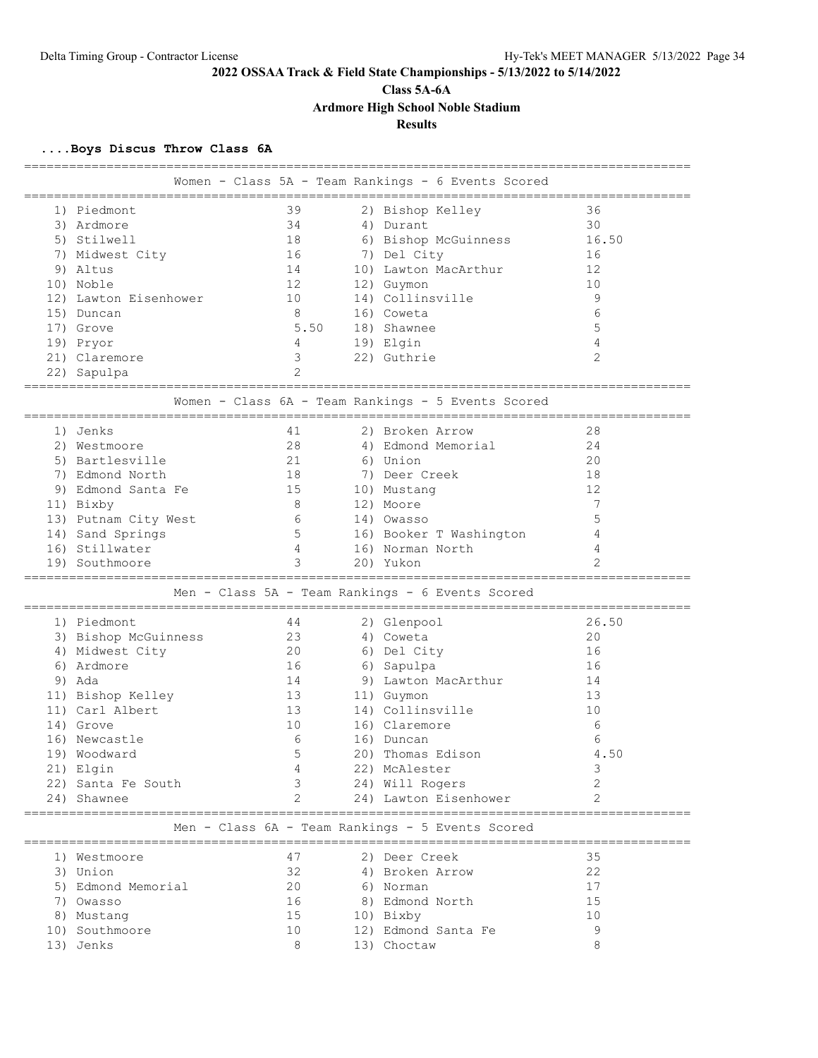**Class 5A-6A**

**Ardmore High School Noble Stadium**

# **Results**

### **....Boys Discus Throw Class 6A**

|                       |                            |      |                                                    | ================================= |
|-----------------------|----------------------------|------|----------------------------------------------------|-----------------------------------|
|                       | __________________________ |      | Women - Class 5A - Team Rankings - 6 Events Scored |                                   |
| 1) Piedmont           | 39                         |      | 2) Bishop Kelley                                   | 36                                |
| 3) Ardmore            | 34                         |      | 4) Durant                                          | 30                                |
| 5) Stilwell           | 18                         |      | 6) Bishop McGuinness                               | 16.50                             |
| 7) Midwest City       | 16                         |      | 7) Del City                                        | 16                                |
| 9) Altus              | 14                         |      | 10) Lawton MacArthur                               | 12                                |
| 10) Noble             | 12                         |      | 12) Guymon                                         | 10                                |
| 12) Lawton Eisenhower | 10                         |      | 14) Collinsville                                   | 9                                 |
| 15) Duncan            | 8                          |      | 16) Coweta                                         | 6                                 |
| 17) Grove             |                            | 5.50 | 18) Shawnee                                        | 5                                 |
| 19) Pryor             | 4                          |      | 19) Elgin                                          | 4                                 |
| 21) Claremore         | 3                          |      | 22) Guthrie                                        | $\overline{2}$                    |
| 22) Sapulpa           |                            |      |                                                    |                                   |
|                       |                            |      |                                                    |                                   |
|                       |                            |      | Women - Class 6A - Team Rankings - 5 Events Scored |                                   |
| 1) Jenks              | 41                         |      | 2) Broken Arrow                                    | 28                                |
| 2) Westmoore          | 28                         |      | 4) Edmond Memorial                                 | 24                                |
| 5) Bartlesville       | 21                         |      | 6) Union                                           | 20                                |
| 7) Edmond North       | 18                         |      | 7) Deer Creek                                      | 18                                |
| 9) Edmond Santa Fe    | 15                         |      | 10) Mustang                                        | 12                                |
| 11) Bixby             | 8                          |      | 12) Moore                                          | 7                                 |
| 13) Putnam City West  | 6                          |      | 14) Owasso                                         | 5                                 |
| 14) Sand Springs      | .5                         |      | 16) Booker T Washington                            | 4                                 |
| 16) Stillwater        | $\overline{4}$             |      | 16) Norman North                                   | 4                                 |
| 19) Southmoore        | 3                          |      | 20) Yukon                                          | $\mathfrak{D}$                    |
|                       |                            |      |                                                    |                                   |
|                       |                            |      | Men - Class 5A - Team Rankings - 6 Events Scored   |                                   |
| 1) Piedmont           | 44                         |      | 2) Glenpool                                        | 26.50                             |
| 3) Bishop McGuinness  | 23                         |      | 4) Coweta                                          | 20                                |
| 4) Midwest City       | 20                         |      | 6) Del City                                        | 16                                |
| 6) Ardmore            | 16                         |      | 6) Sapulpa                                         | 16                                |
| 9) Ada                | 14                         |      | 9) Lawton MacArthur                                | 14                                |
| 11) Bishop Kelley     | 13                         |      | 11) Guymon                                         | 13                                |
| 11) Carl Albert       | 13                         |      | 14) Collinsville                                   | 10                                |
| 14) Grove             | 10                         |      | 16) Claremore                                      | 6                                 |
| 16) Newcastle         | 6                          |      | 16) Duncan                                         | 6                                 |
| 19) Woodward          | 5                          |      | 20) Thomas Edison                                  | 4.50                              |
| 21) Elgin             | 4                          |      | 22) McAlester                                      | 3                                 |
| 22) Santa Fe South    | 3                          |      | 24) Will Rogers                                    | 2                                 |
| 24) Shawnee           |                            |      | 24) Lawton Eisenhower                              | $\overline{2}$                    |
|                       |                            |      |                                                    |                                   |
|                       |                            |      | Men - Class 6A - Team Rankings - 5 Events Scored   |                                   |
| 1) Westmoore          | 47                         |      | 2) Deer Creek                                      | 35                                |
| 3) Union              | 32                         |      | 4) Broken Arrow                                    | 22                                |
| 5) Edmond Memorial    | 20                         |      | 6) Norman                                          | 17                                |
| 7) Owasso             | 16                         |      | 8) Edmond North                                    | 15                                |
| 8) Mustang            | 15                         |      | 10) Bixby                                          | 10                                |
| 10) Southmoore        | 10                         |      | 12) Edmond Santa Fe                                | 9                                 |
| 13) Jenks             | 8                          |      | 13) Choctaw                                        | 8                                 |